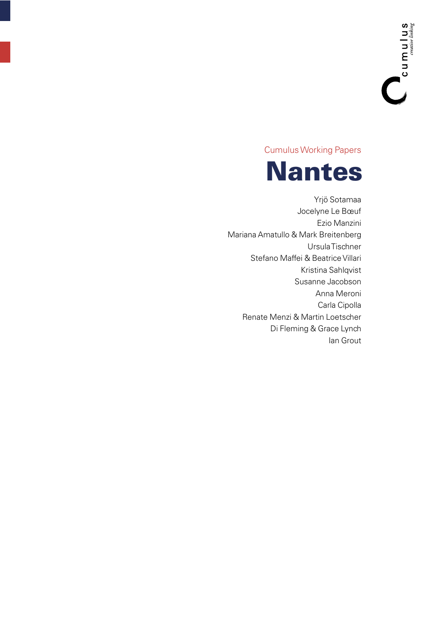**Cumulus Working Papers** 



Yrjö Sotamaa Jocelyne Le Bœuf Ezio Manzini Mariana Amatullo & Mark Breitenberg Ursula Tischner Stefano Maffei & Beatrice Villari Kristina Sahlqvist Susanne Jacobson Anna Meroni Carla Cipolla Renate Menzi & Martin Loetscher Di Fleming & Grace Lynch lan Grout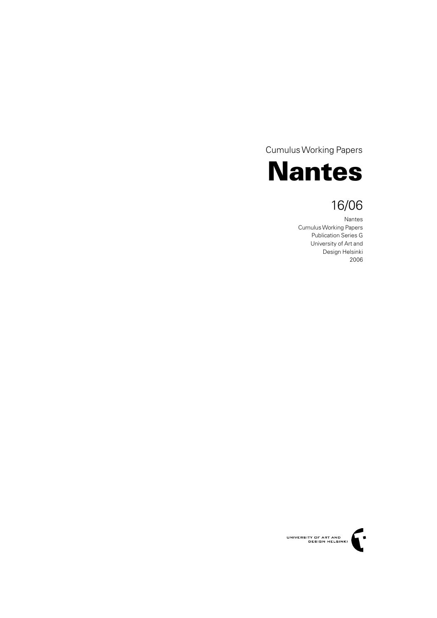**Cumulus Working Papers** 



# 16/06

Nantes Cumulus Working Papers **Publication Series G** University of Art and Design Helsinki 2006

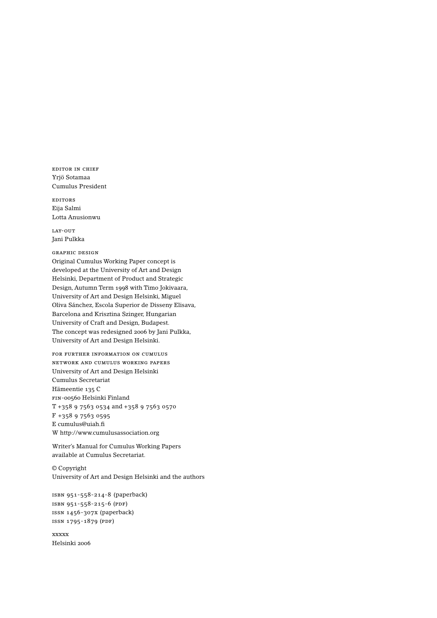EDITOR IN CHIEF Yriö Sotamaa Cumulus President

**EDITORS** Eija Salmi Lotta Anusionwu

LAY-OUT Tani Pulkka

**GRAPHIC DESIGN** Original Cumulus Working Paper concept is developed at the University of Art and Design Helsinki, Department of Product and Strategic Design, Autumn Term 1998 with Timo Jokivaara, University of Art and Design Helsinki, Miguel Oliva Sánchez, Escola Superior de Disseny Elisava, Barcelona and Krisztina Szinger, Hungarian University of Craft and Design, Budapest. The concept was redesigned 2006 by Jani Pulkka, University of Art and Design Helsinki.

FOR FURTHER INFORMATION ON CUMULUS NETWORK AND CUMULUS WORKING PAPERS University of Art and Design Helsinki Cumulus Secretariat Hämeentie 135 C FIN-00560 Helsinki Finland T +358 9 7563 0534 and +358 9 7563 0570  $F + 358975630595$ E cumulus@uiah.fi W http://www.cumulusassociation.org

Writer's Manual for Cumulus Working Papers available at Cumulus Secretariat.

 $\ensuremath{\mathbb{O}}$  Copyright University of Art and Design Helsinki and the authors

```
ISBN 951-558-214-8 (paperback)
ISBN 951-558-215-6 (PDF)
ISSN 1456-307X (paperback)
ISSN 1795-1879 (PDF)
```
**xxxxx** Helsinki 2006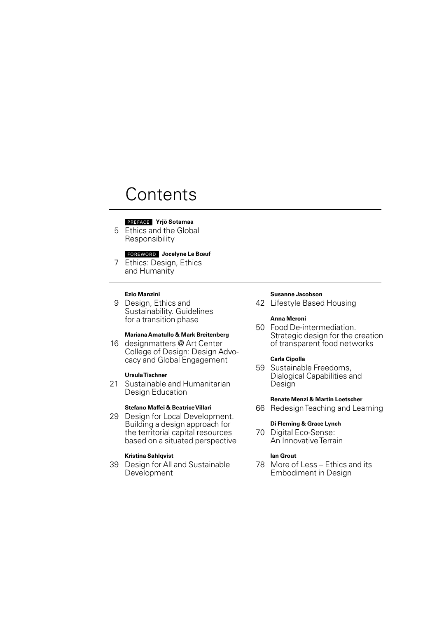# Contents

## **PREFACE** Yrjö Sotamaa

5 Ethics and the Global Responsibility

## FOREWORD Jocelyne Le Bœuf

7 Ethics: Design, Ethics and Humanity

## **Ezio Manzini**

9 Design, Ethics and Sustainability. Guidelines for a transition phase

# Mariana Amatullo & Mark Breitenberg

16 designmatters @ Art Center College of Design: Design Advocacy and Global Engagement

## **UrsulaTischner**

21 Sustainable and Humanitarian Design Education

#### Stefano Maffei & Beatrice Villari

29 Design for Local Development. Building a design approach for the territorial capital resources based on a situated perspective

# **Kristina Sahlgvist**

39 Design for All and Sustainable Development

#### **Susanne Jacobson**

42 Lifestyle Based Housing

#### **Anna Meroni**

50 Food De-intermediation. Strategic design for the creation of transparent food networks

### Carla Cipolla

59 Sustainable Freedoms, Dialogical Capabilities and Design

## **Renate Menzi & Martin Loetscher**

66 Redesign Teaching and Learning

# Di Fleming & Grace Lynch

70 Digital Eco-Sense: An Innovative Terrain

## lan Grout

78 More of Less - Ethics and its **Embodiment in Design**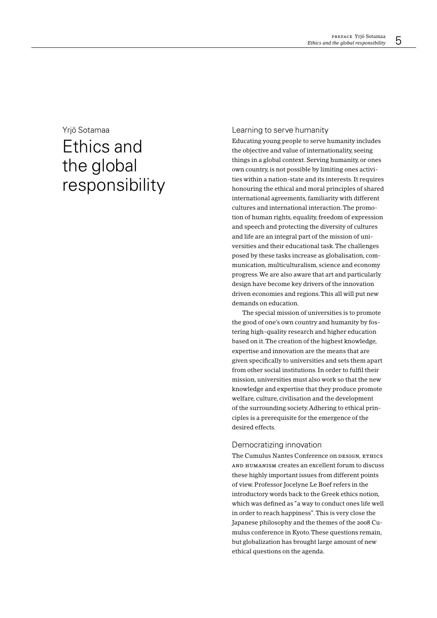# Yriö Sotamaa

# Ethics and the global responsibility

## Learning to serve humanity

Educating young people to serve humanity includes the objective and value of internationality, seeing things in a global context. Serving humanity, or ones own country, is not possible by limiting ones activities within a nation-state and its interests. It requires honouring the ethical and moral principles of shared international agreements, familiarity with different cultures and international interaction. The promotion of human rights, equality, freedom of expression and speech and protecting the diversity of cultures and life are an integral part of the mission of universities and their educational task. The challenges posed by these tasks increase as globalisation, communication, multiculturalism, science and economy progress. We are also aware that art and particularly design have become key drivers of the innovation driven economies and regions. This all will put new demands on education.

The special mission of universities is to promote the good of one's own country and humanity by fostering high-quality research and higher education based on it. The creation of the highest knowledge, expertise and innovation are the means that are given specifically to universities and sets them apart from other social institutions. In order to fulfil their mission, universities must also work so that the new knowledge and expertise that they produce promote welfare, culture, civilisation and the development of the surrounding society. Adhering to ethical principles is a prerequisite for the emergence of the desired effects.

# Democratizing innovation

The Cumulus Nantes Conference on DESIGN ETHICS AND HUMANISM Creates an excellent forum to discuss these highly important issues from different points of view. Professor Jocelyne Le Boef refers in the introductory words back to the Greek ethics notion, which was defined as "a way to conduct ones life well in order to reach happiness". This is very close the Japanese philosophy and the themes of the 2008 Cumulus conference in Kyoto. These questions remain, but globalization has brought large amount of new ethical questions on the agenda.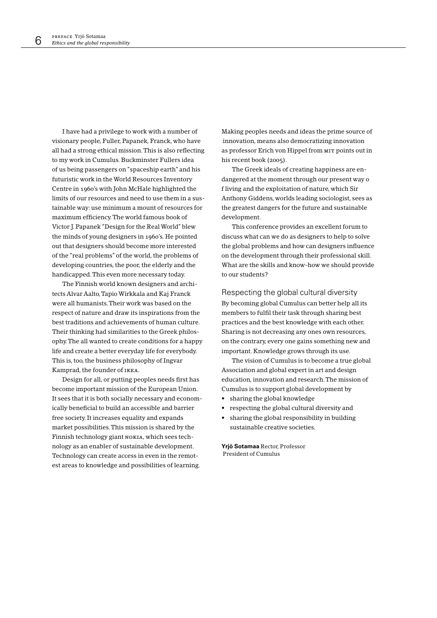I have had a privilege to work with a number of visionary people, Fuller, Papanek, Franck, who have all had a strong ethical mission. This is also reflecting to my work in Cumulus. Buckminster Fullers idea of us being passengers on "spaceship earth" and his futuristic work in the World Resources Inventory Centre in 1960's with John McHale highlighted the limits of our resources and need to use them in a sustainable way: use minimum a mount of resources for maximum efficiency. The world famous book of Victor J. Papanek "Design for the Real World" blew the minds of young designers in 1960's. He pointed out that designers should become more interested of the "real problems" of the world, the problems of developing countries, the poor, the elderly and the handicapped. This even more necessary today.

The Finnish world known designers and architects Alvar Aalto, Tapio Wirkkala and Kaj Franck were all humanists. Their work was based on the respect of nature and draw its inspirations from the best traditions and achievements of human culture. Their thinking had similarities to the Greek philosophy. The all wanted to create conditions for a happy life and create a better everyday life for everybody. This is, too, the business philosophy of Ingvar Kamprad, the founder of IKEA.

Design for all, or putting peoples needs first has become important mission of the European Union. It sees that it is both socially necessary and economically beneficial to build an accessible and barrier free society. It increases equality and expands market possibilities. This mission is shared by the Finnish technology giant NOKIA, which sees technology as an enabler of sustainable development. Technology can create access in even in the remotest areas to knowledge and possibilities of learning.

Making peoples needs and ideas the prime source of innovation, means also democratizing innovation as professor Erich von Hippel from MIT points out in his recent book (2005).

The Greek ideals of creating happiness are endangered at the moment through our present way o f living and the exploitation of nature, which Sir Anthony Giddens, worlds leading sociologist, sees as the greatest dangers for the future and sustainable development.

This conference provides an excellent forum to discuss what can we do as designers to help to solve the global problems and how can designers influence on the development through their professional skill. What are the skills and know-how we should provide to our students?

Respecting the global cultural diversity

By becoming global Cumulus can better help all its members to fulfil their task through sharing best practices and the best knowledge with each other. Sharing is not decreasing any ones own resources. on the contrary, every one gains something new and important. Knowledge grows through its use.

The vision of Cumulus is to become a true global Association and global expert in art and design education, innovation and research. The mission of Cumulus is to support global development by

- sharing the global knowledge
- respecting the global cultural diversity and
- sharing the global responsibility in building sustainable creative societies.

Yrjö Sotamaa Rector, Professor President of Cumulus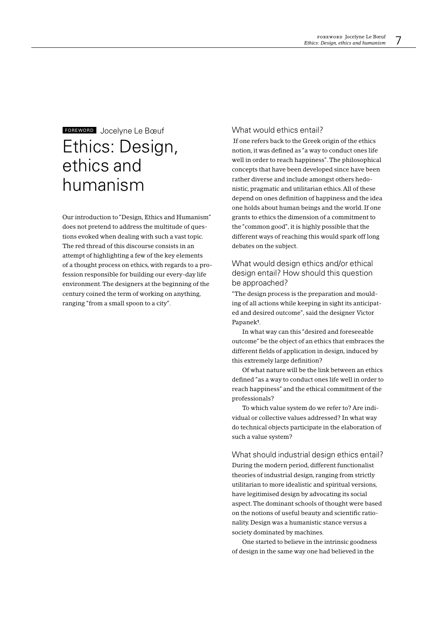# FOREWORD Jocelyne Le Bœuf Ethics: Design, ethics and humanism

Our introduction to "Design, Ethics and Humanism" does not pretend to address the multitude of questions evoked when dealing with such a vast topic. The red thread of this discourse consists in an attempt of highlighting a few of the key elements of a thought process on ethics, with regards to a profession responsible for building our every-day life environment. The designers at the beginning of the century coined the term of working on anything, ranging "from a small spoon to a city".

# What would ethics entail?

If one refers back to the Greek origin of the ethics notion, it was defined as "a way to conduct ones life well in order to reach happiness". The philosophical concepts that have been developed since have been rather diverse and include amongst others hedonistic, pragmatic and utilitarian ethics. All of these depend on ones definition of happiness and the idea one holds about human beings and the world. If one grants to ethics the dimension of a commitment to the "common good", it is highly possible that the different ways of reaching this would spark off long debates on the subject.

# What would design ethics and/or ethical design entail? How should this question be approached?

"The design process is the preparation and moulding of all actions while keeping in sight its anticipated and desired outcome", said the designer Victor Papanek<sup>1</sup>.

In what way can this "desired and foreseeable outcome" be the object of an ethics that embraces the different fields of application in design, induced by this extremely large definition?

Of what nature will be the link between an ethics defined "as a way to conduct ones life well in order to reach happiness" and the ethical commitment of the professionals?

To which value system do we refer to? Are individual or collective values addressed? In what way do technical objects participate in the elaboration of such a value system?

# What should industrial design ethics entail? During the modern period, different functionalist theories of industrial design, ranging from strictly utilitarian to more idealistic and spiritual versions, have legitimised design by advocating its social aspect. The dominant schools of thought were based on the notions of useful beauty and scientific rationality. Design was a humanistic stance versus a

One started to believe in the intrinsic goodness of design in the same way one had believed in the

society dominated by machines.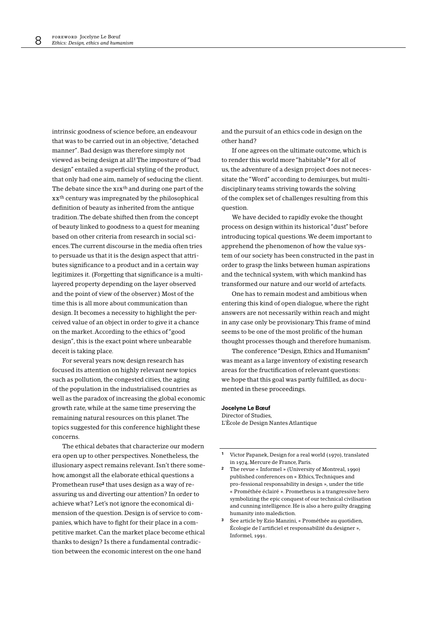intrinsic goodness of science before, an endeavour that was to be carried out in an objective, "detached manner". Bad design was therefore simply not viewed as being design at all! The imposture of "bad design" entailed a superficial styling of the product, that only had one aim, namely of seducing the client. The debate since the xix<sup>th</sup> and during one part of the xx<sup>th</sup> century was impregnated by the philosophical definition of beauty as inherited from the antique tradition. The debate shifted then from the concept of beauty linked to goodness to a quest for meaning based on other criteria from research in social sciences. The current discourse in the media often tries to persuade us that it is the design aspect that attributes significance to a product and in a certain way legitimizes it. (Forgetting that significance is a multilayered property depending on the layer observed and the point of view of the observer.) Most of the time this is all more about communication than design. It becomes a necessity to highlight the perceived value of an object in order to give it a chance on the market. According to the ethics of "good design", this is the exact point where unbearable deceit is taking place.

For several years now, design research has focused its attention on highly relevant new topics such as pollution, the congested cities, the aging of the population in the industrialised countries as well as the paradox of increasing the global economic growth rate, while at the same time preserving the remaining natural resources on this planet. The topics suggested for this conference highlight these concerns.

The ethical debates that characterize our modern era open up to other perspectives. Nonetheless, the illusionary aspect remains relevant. Isn't there somehow, amongst all the elaborate ethical questions a Promethean ruse<sup>2</sup> that uses design as a way of reassuring us and diverting our attention? In order to achieve what? Let's not ignore the economical dimension of the question. Design is of service to companies, which have to fight for their place in a competitive market. Can the market place become ethical thanks to design? Is there a fundamental contradiction between the economic interest on the one hand

and the pursuit of an ethics code in design on the other hand?

If one agrees on the ultimate outcome, which is to render this world more "habitable"<sup>3</sup> for all of us, the adventure of a design project does not necessitate the "Word" according to demiurges, but multidisciplinary teams striving towards the solving of the complex set of challenges resulting from this question.

We have decided to rapidly evoke the thought process on design within its historical "dust" before introducing topical questions. We deem important to apprehend the phenomenon of how the value system of our society has been constructed in the past in order to grasp the links between human aspirations and the technical system, with which mankind has transformed our nature and our world of artefacts.

One has to remain modest and ambitious when entering this kind of open dialogue, where the right answers are not necessarily within reach and might in any case only be provisionary. This frame of mind seems to be one of the most prolific of the human thought processes though and therefore humanism.

The conference "Design, Ethics and Humanism" was meant as a large inventory of existing research areas for the fructification of relevant questions: we hope that this goal was partly fulfilled, as documented in these proceedings.

#### Jocelyne Le Bœuf

Director of Studies, L'Ècole de Design Nantes Atlantique

 $\mathbf{1}$ Victor Papanek, Design for a real world (1970), translated in 1974, Mercure de France, Paris.

- $\overline{2}$ The revue « Informel » (University of Montreal, 1990) published conferences on « Ethics, Techniques and pro-fessional responsability in design », under the title « Prométhée éclairé ». Prometheus is a trangressive hero symbolizing the epic conquest of our technical civilisation and cunning intelligence. He is also a hero guilty dragging humanity into malediction
- $\overline{\mathbf{3}}$ See article by Ezio Manzini, « Prométhée au quotidien, Écologie de l'artificiel et responsabilité du designer », Informel, 1991.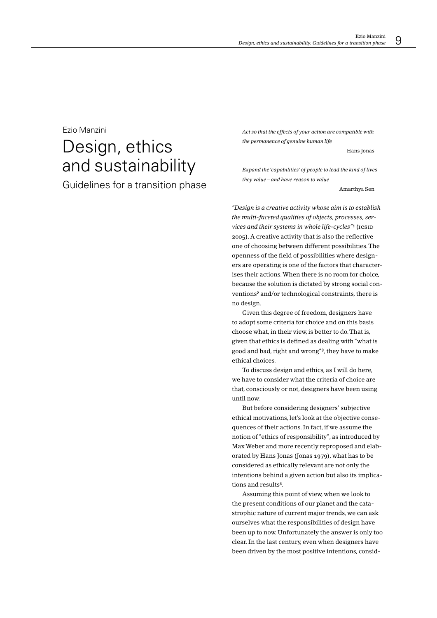# Fzio Manzini

# Design, ethics and sustainability

Guidelines for a transition phase

Act so that the effects of your action are compatible with the permanence of genuine human life

Hans Jonas

Expand the 'capabilities' of people to lead the kind of lives they value - and have reason to value

Amarthya Sen

"Design is a creative activity whose aim is to establish the multi-faceted qualities of objects, processes, services and their systems in whole life-cycles"<sup>1</sup> (ICSID 2005). A creative activity that is also the reflective one of choosing between different possibilities. The openness of the field of possibilities where designers are operating is one of the factors that characterises their actions. When there is no room for choice, because the solution is dictated by strong social conventions<sup>2</sup> and/or technological constraints, there is no design.

Given this degree of freedom, designers have to adopt some criteria for choice and on this basis choose what, in their view, is better to do. That is, given that ethics is defined as dealing with "what is good and bad, right and wrong"<sup>3</sup>, they have to make ethical choices

To discuss design and ethics, as I will do here, we have to consider what the criteria of choice are that, consciously or not, designers have been using until now.

But before considering designers' subjective ethical motivations, let's look at the objective consequences of their actions. In fact, if we assume the notion of "ethics of responsibility", as introduced by Max Weber and more recently reproposed and elaborated by Hans Jonas (Jonas 1979), what has to be considered as ethically relevant are not only the intentions behind a given action but also its implications and results<sup>4</sup>.

Assuming this point of view, when we look to the present conditions of our planet and the catastrophic nature of current major trends, we can ask ourselves what the responsibilities of design have been up to now. Unfortunately the answer is only too clear. In the last century, even when designers have been driven by the most positive intentions, consid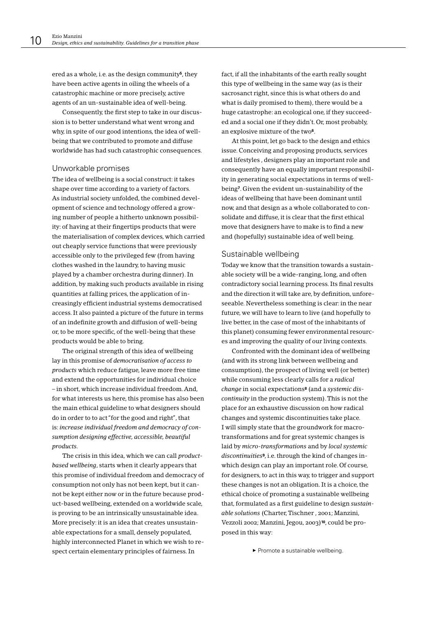ered as a whole, i.e. as the design community<sup>5</sup>, they have been active agents in oiling the wheels of a catastrophic machine or more precisely, active agents of an un-sustainable idea of well-being.

Consequently, the first step to take in our discussion is to better understand what went wrong and why, in spite of our good intentions, the idea of wellbeing that we contributed to promote and diffuse worldwide has had such catastrophic consequences.

### Unworkable promises

The idea of wellbeing is a social construct: it takes shape over time according to a variety of factors. As industrial society unfolded, the combined development of science and technology offered a growing number of people a hitherto unknown possibility: of having at their fingertips products that were the materialisation of complex devices, which carried out cheaply service functions that were previously accessible only to the privileged few (from having clothes washed in the laundry, to having music played by a chamber orchestra during dinner). In addition, by making such products available in rising quantities at falling prices, the application of increasingly efficient industrial systems democratised access. It also painted a picture of the future in terms of an indefinite growth and diffusion of well-being or, to be more specific, of the well-being that these products would be able to bring.

The original strength of this idea of wellbeing lay in this promise of *democratisation* of access to *products* which reduce fatigue, leave more free time and extend the opportunities for individual choice - in short, which increase individual freedom. And, for what interests us here, this promise has also been the main ethical guideline to what designers should do in order to to act "for the good and right", that is: increase individual freedom and democracy of consumption designing effective, accessible, beautiful products.

The crisis in this idea, which we can call *product*based wellbeing, starts when it clearly appears that this promise of individual freedom and democracy of consumption not only has not been kept, but it cannot be kept either now or in the future because product-based wellbeing, extended on a worldwide scale, is proving to be an intrinsically unsustainable idea. More precisely: it is an idea that creates unsustainable expectations for a small, densely populated, highly interconnected Planet in which we wish to respect certain elementary principles of fairness. In

fact, if all the inhabitants of the earth really sought this type of wellbeing in the same way (as is their sacrosanct right, since this is what others do and what is daily promised to them), there would be a huge catastrophe: an ecological one, if they succeeded and a social one if they didn't. Or, most probably, an explosive mixture of the two<sup>6</sup>.

At this point, let go back to the design and ethics issue. Conceiving and proposing products, services and lifestyles, designers play an important role and consequently have an equally important responsibility in generating social expectations in terms of wellbeing<sup>7</sup>. Given the evident un-sustainability of the ideas of wellbeing that have been dominant until now, and that design as a whole collaborated to consolidate and diffuse, it is clear that the first ethical move that designers have to make is to find a new and (hopefully) sustainable idea of well being.

### Sustainable wellbeing

Today we know that the transition towards a sustainable society will be a wide-ranging, long, and often contradictory social learning process. Its final results and the direction it will take are, by definition, unforeseeable. Nevertheless something is clear; in the near future, we will have to learn to live (and hopefully to live better, in the case of most of the inhabitants of this planet) consuming fewer environmental resources and improving the quality of our living contexts.

Confronted with the dominant idea of wellbeing (and with its strong link between wellbeing and consumption), the prospect of living well (or better) while consuming less clearly calls for a radical change in social expectations<sup>8</sup> (and a systemic discontinuity in the production system). This is not the place for an exhaustive discussion on how radical changes and systemic discontinuities take place. I will simply state that the groundwork for macrotransformations and for great systemic changes is laid by micro-transformations and by local systemic discontinuities<sup>9</sup>, i.e. through the kind of changes inwhich design can play an important role. Of course, for designers, to act in this way, to trigger and support these changes is not an obligation. It is a choice, the ethical choice of promoting a sustainable wellbeing that, formulated as a first guideline to design sustainable solutions (Charter Tischner, 2001; Manzini, Vezzoli 2002; Manzini, Jegou, 2003)<sup>10</sup>, could be proposed in this way:

 $\blacktriangleright$  Promote a sustainable wellbeing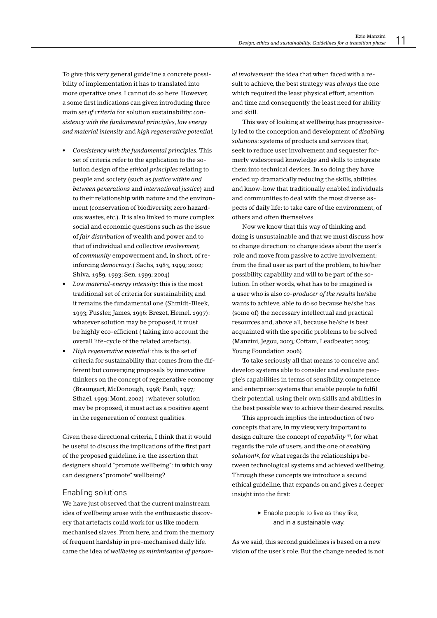To give this very general guideline a concrete possibility of implementation it has to translated into more operative ones. I cannot do so here. However, a some first indications can given introducing three main set of criteria for solution sustainability: consistency with the fundamental principles, low energy and material intensity and high regenerative potential.

- Consistency with the fundamental principles. This set of criteria refer to the application to the solution design of the ethical principles relating to people and society (such as justice within and between generations and international justice) and to their relationship with nature and the environment (conservation of biodiversity, zero hazardous wastes, etc.). It is also linked to more complex social and economic questions such as the issue of fair distribution of wealth and power and to that of individual and collective involvement. of *community* empowerment and, in short, of reinforcing democracy. (Sachs, 1983, 1999; 2002; Shiva, 1989, 1993; Sen, 1999; 2004)
- Low material-energy intensity: this is the most traditional set of criteria for sustainability, and it remains the fundamental one (Shmidt-Bleek, 1993; Fussler, James, 1996: Brezet, Hemel, 1997): whatever solution may be proposed, it must be highly eco-efficient (taking into account the overall life-cycle of the related artefacts).
- High regenerative potential: this is the set of criteria for sustainability that comes from the different but converging proposals by innovative thinkers on the concept of regenerative economy (Braungart, McDonough, 1998; Pauli, 1997; Sthael, 1999; Mont, 2002) : whatever solution may be proposed, it must act as a positive agent in the regeneration of context qualities.

Given these directional criteria, I think that it would be useful to discuss the implications of the first part of the proposed guideline, i.e. the assertion that designers should "promote wellbeing": in which way can designers "promote" wellbeing?

## Enabling solutions

We have just observed that the current mainstream idea of wellbeing arose with the enthusiastic discovery that artefacts could work for us like modern mechanised slaves. From here, and from the memory of frequent hardship in pre-mechanised daily life, came the idea of wellbeing as minimisation of personal involvement: the idea that when faced with a result to achieve, the best strategy was always the one which required the least physical effort, attention and time and consequently the least need for ability and skill.

This way of looking at wellbeing has progressively led to the conception and development of disabling solutions: systems of products and services that, seek to reduce user involvement and sequester formerly widespread knowledge and skills to integrate them into technical devices. In so doing they have ended up dramatically reducing the skills, abilities and know-how that traditionally enabled individuals and communities to deal with the most diverse aspects of daily life: to take care of the environment, of others and often themselves.

Now we know that this way of thinking and doing is unsustainable and that we must discuss how to change direction: to change ideas about the user's role and move from passive to active involvement; from the final user as part of the problem, to his/her possibility, capability and will to be part of the solution. In other words, what has to be imagined is a user who is also co-producer of the results he/she wants to achieve, able to do so because he/she has (some of) the necessary intellectual and practical resources and, above all, because he/she is best acquainted with the specific problems to be solved (Manzini, Jegou, 2003; Cottam, Leadbeater, 2005; Young Foundation 2006).

To take seriously all that means to conceive and develop systems able to consider and evaluate people's capabilities in terms of sensibility, competence and enterprise: systems that enable people to fulfil their potential, using their own skills and abilities in the best possible way to achieve their desired results.

This approach implies the introduction of two concepts that are, in my view, very important to design culture: the concept of *capability* <sup>11</sup>, for what regards the role of users, and the one of enabling solution<sup>12</sup>, for what regards the relationships between technological systems and achieved wellbeing. Through these concepts we introduce a second ethical guideline, that expands on and gives a deeper insight into the first:

> $\blacktriangleright$  Enable people to live as they like. and in a sustainable way.

As we said, this second guidelines is based on a new vision of the user's role. But the change needed is not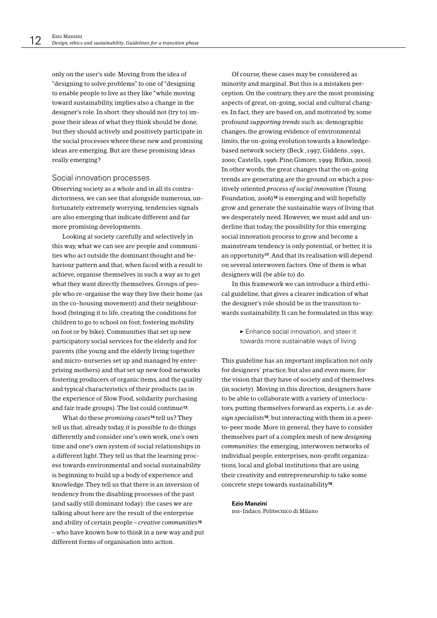only on the user's side. Moving from the idea of "designing to solve problems" to one of "designing to enable people to live as they like "while moving toward sustainability, implies also a change in the designer's role. In short: they should not (try to) impose their ideas of what they think should be done, but they should actively and positively participate in the social processes where these new and promising ideas are emerging. But are these promising ideas really emerging?

### Social innovation processes

Observing society as a whole and in all its contradictoriness, we can see that alongside numerous, unfortunately extremely worrying, tendencies signals are also emerging that indicate different and far more promising developments.

Looking at society carefully and selectively in this way, what we can see are people and communities who act outside the dominant thought and behaviour pattern and that, when faced with a result to achieve, organise themselves in such a way as to get what they want directly themselves. Groups of people who re-organise the way they live their home (as in the co-housing movement) and their neighbourhood (bringing it to life, creating the conditions for children to go to school on foot; fostering mobility on foot or by bike). Communities that set up new participatory social services for the elderly and for parents (the young and the elderly living together and micro-nurseries set up and managed by enterprising mothers) and that set up new food networks fostering producers of organic items, and the quality and typical characteristics of their products (as in the experience of Slow Food, solidarity purchasing and fair trade groups). The list could continue<sup>13</sup>.

What do these promising cases<sup>14</sup> tell us? They tell us that, already today, it is possible to do things differently and consider one's own work, one's own time and one's own system of social relationships in a different light. They tell us that the learning process towards environmental and social sustainability is beginning to build up a body of experience and knowledge. They tell us that there is an inversion of tendency from the disabling processes of the past (and sadly still dominant today): the cases we are talking about here are the result of the enterprise and ability of certain people - creative communities<sup>15</sup> - who have known how to think in a new way and put different forms of organisation into action.

Of course, these cases may be considered as minority and marginal. But this is a mistaken perception. On the contrary, they are the most promising aspects of great, on-going, social and cultural changes. In fact, they are based on, and motivated by, some profound supporting trends such as: demographic changes, the growing evidence of environmental limits, the on-going evolution towards a knowledgebased network society (Beck .1997: Giddens .1991. 2000; Castells, 1996; Pine, Gimore, 1999; Rifkin, 2000). In other words, the great changes that the on-going trends are generating are the ground on which a positively oriented process of social innovation (Young Foundation, 2006)<sup>16</sup> is emerging and will hopefully grow and generate the sustainable ways of living that we desperately need. However, we must add and underline that today, the possibility for this emerging social innovation process to grow and become a mainstream tendency is only potential, or better, it is an opportunity<sup>17</sup>. And that its realisation will depend on several interwoven factors. One of them is what designers will (be able to) do.

In this framework we can introduce a third ethical guideline, that gives a clearer indication of what the designer's role should be in the transition towards sustainability. It can be formulated in this way:

> Enhance social innovation, and steer it towards more sustainable ways of living

This guideline has an important implication not only for designers' practice, but also and even more, for the vision that they have of society and of themselves (in society). Moving in this direction, designers have to be able to collaborate with a variety of interlocutors, putting themselves forward as experts, i.e. as design specialists<sup>18</sup>, but interacting with them in a peerto-peer mode. More in general, they have to consider themselves part of a complex mesh of new designing communities: the emerging, interwoven networks of individual people, enterprises, non-profit organizations, local and global institutions that are using their creativity and entrepreneurship to take some concrete steps towards sustainability<sup>19</sup>.

#### **Fzio Manzini**

pis-Indaco, Politecnico di Milano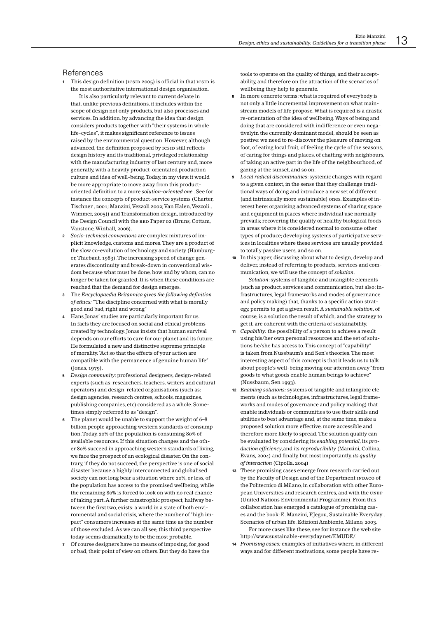## References

- This design definition (ICSID 2005) is official in that ICSID is the most authoritative international design organisation. It is also particularly relevant to current debate in that, unlike previous definitions, it includes within the scope of design not only products, but also processes and services. In addition, by advancing the idea that design considers products together with "their systems in whole life-cycles", it makes significant reference to issues raised by the environmental question. However, although advanced, the definition proposed by ICSID still reflects design history and its traditional, privileged relationship with the manufacturing industry of last century and, more generally, with a heavily product-orientated production culture and idea of well-being. Today, in my view, it would be more appropriate to move away from this productoriented definition to a more solution-oriented one. See for instance the concepts of product-service systems (Charter, Tischner, 2001: Manzini, Vezzoli 2002: Van Halen, Vezzoli... Wimmer, 2005)) and Transformation design, introduced by the Design Council with the RED Paper 02 (Bruns, Cottam, Vanstone, Winhall, 2006).
- 2 Socio-technical conventions are complex mixtures of implicit knowledge, customs and mores. They are a product of the slow co-evolution of technology and society (Hamburger, Thiebaut, 1983). The increasing speed of change generates discontinuity and break-down in conventional wisdom because what must be done, how and by whom, can no longer be taken for granted. It is when these conditions are reached that the demand for design emerges.
- The Encyclopaedia Britannica gives the following definition of ethics: "The discipline concerned with what is morally good and bad, right and wrong"
- Hans Jonas' studies are particularly important for us. In facts they are focused on social and ethical problems created by technology. Jonas insists that human survival depends on our efforts to care for our planet and its future. He formulated a new and distinctive supreme principle of morality. "Act so that the effects of your action are compatible with the permanence of genuine human life" (Jonas, 1979).
- Desian community: professional designers, design-related experts (such as: researchers, teachers, writers and cultural operators) and design-related organisations (such as: design agencies, research centres, schools, magazines, publishing companies, etc) considered as a whole. Sometimes simply referred to as "design".
- The planet would be unable to support the weight of 6-8 billion people approaching western standards of consumption. Today, 20% of the population is consuming 80% of available resources. If this situation changes and the other 80% succeed in approaching western standards of living, we face the prospect of an ecological disaster. On the contrary, if they do not succeed, the perspective is one of social disaster because a highly interconnected and globalised society can not long bear a situation where 20%, or less, of the population has access to the promised wellbeing, while the remaining 80% is forced to look on with no real chance of taking part. A further catastrophic prospect, halfway between the first two exists: a world in a state of both environmental and social crisis, where the number of "high impact" consumers increases at the same time as the number of those excluded. As we can all see, this third perspective today seems dramatically to be the most probable.
- $\overline{z}$ Of course designers have no means of imposing, for good or bad, their point of view on others. But they do have the

tools to operate on the quality of things, and their acceptability, and therefore on the attraction of the scenarios of wellbeing they help to generate.

- In more concrete terms: what is required of everybody is not only a little incremental improvement on what mainstream models of life propose. What is required is a drastic re-orientation of the idea of wellbeing. Ways of being and doing that are considered with indifference or even negativelyin the currently dominant model, should be seen as postive: we need to re-discover the pleasure of moving on foot, of eating local fruit, of feeling the cycle of the seasons, of caring for things and places, of chatting with neighbours. of taking an active part in the life of the neighbourhood, of gazing at the sunset, and so on.
- Local radical discontinuities: systemic changes with regard to a given context, in the sense that they challenge traditional ways of doing and introduce a new set of different (and intrinsically more sustainable) ones. Examples of interest here: organising advanced systems of sharing space and equipment in places where individual use normally prevails; recovering the quality of healthy biological foods in areas where it is considered normal to consume other types of produce; developing systems of participative services in localities where these services are usually provided to totally passive users, and so on.
- 10 In this paper, discussing about what to design, develop and deliver, instead of referring to products, services and communication we will use the concent of solution

Solution: systems of tangible and intangible elements (such as product, services and communication, but also: infrastructures, legal frameworks and modes of governance and policy making) that, thanks to a specific action strategy, permits to get a given result. A sustainable solution, of course, is a solution the result of which, and the strategy to get it, are coherent with the criteria of sustainability.

- 11 Capability: the possibility of a person to achieve a result using his/her own personal resources and the set of solutions he/she has access to. This concept of "capability is taken from Nussbaum's and Sen's theories. The most interesting aspect of this concept is that it leads us to talk about people's well-being moving our attention away "from goods to what goods enable human beings to achieve" (Nussbaum, Sen 1993).
- 12 Enabling solutions: systems of tangible and intangible elements (such as technologies, infrastructures, legal frameworks and modes of governance and policy making) that enable individuals or communities to use their skills and abilities to best advantage and, at the same time, make a proposed solution more effective, more accessible and therefore more likely to spread. The solution quality can be evaluated by considering its enablina potential, its production efficiency, and its reproducibility (Manzini, Collina, Evans, 2004) and finally, but most importantly, its quality of interaction (Cipolla, 2004)
- 13 These promising cases emerge from research carried out by the Faculty of Design and of the Department INDACO of the Politecnico di Milano, in collaboration with other European Universities and research centres, and with the UNEP (United Nations Environmental Programme). From this collaboration has emerged a catalogue of promising cases and the book: E. Manzini, F.Jegou, Sustainable Everyday. Scenarios of urban life. Edizioni Ambiente, Milano, 2003. For more cases like these, see for instance the web site http://www.sustainable-everyday.net/EMUDE/
- 14 Promising cases: examples of initiatives where, in different ways and for different motivations, some people have re-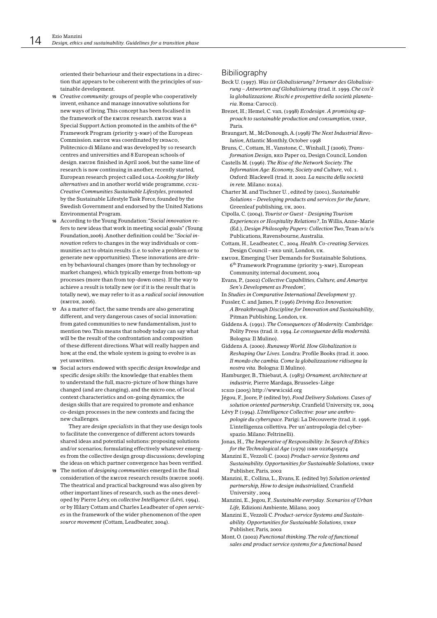oriented their behaviour and their expectations in a direction that appears to be coherent with the principles of sustainable development.

- 15 Creative community: groups of people who cooperatively invent, enhance and manage innovative solutions for new ways of living. This concept has been focalised in the framework of the EMUDE research, EMUDE was a Special Support Action promoted in the ambits of the 6th Framework Program (priority 3-NMP) of the European Commission. EMUDE WAS coordinated by INDACO, Politecnico di Milano and was developed by 10 research centres and universities and 8 European schools of design. EMUDE finished in April 2006, but the same line of research is now continuing in another, recently started, European research project called LOLA-Looking for likely alternatives and in another world wide programme, ccsL-Creative Communities Sustainable Lifestyles, promoted by the Sustainable Lifestyle Task Force, founded by the Swedish Government and endorsed by the United Nations Environmental Program.
- 16 According to the Young Foundation: "Social innovation refers to new ideas that work in meeting social goals" (Young Foundation, 2006). Another definition could be: "Social innovation refers to changes in the way individuals or communities act to obtain results (i.e. to solve a problem or to generate new opportunities). These innovations are driven by behavioural changes (more than by technology or market changes), which typically emerge from bottom-up processes (more than from top-down ones). If the way to achieve a result is totally new (or if it is the result that is totally new), we may refer to it as a radical social innovation (EMUDE, 2006).
- 17 As a matter of fact, the same trends are also generating different, and very dangerous cases of social innovation: from gated communities to new fundamentalism, just to mention two. This means that nobody today can say what will be the result of the confrontation and composition of these different directions. What will really happen and how, at the end, the whole system is going to evolve is as vet unwritten
- 18 Social actors endowed with specific design knowledge and specific design skills: the knowledge that enables them to understand the full, macro-picture of how things have changed (and are changing), and the micro one, of local context characteristics and on-going dynamics; the design skills that are required to promote and enhance co-design processes in the new contexts and facing the new challenges.

They are *design specialists* in that they use design tools to facilitate the convergence of different actors towards shared ideas and potential solutions; proposing solutions and/or scenarios; formulating effectively whatever emerges from the collective design group discussions; developing the ideas on which partner convergence has been verified.

19 The notion of designing communities emerged in the final consideration of the EMUDE research results (EMUDE 2006). The theatrical and practical background was also given by other important lines of research, such as the ones developed by Pierre Lévy, on collective Intelligence (Lévi, 1994), or by Hilary Cottam and Charles Leadbeater of open services in the framework of the wider phenomenon of the open source movement (Cottam, Leadbeater, 2004).

## Bibiliography

- Beck U. (1997). Was ist Globalisierung? Irrtumer des Globalisierung – Antworten auf Globalisierung (trad. it. 1999, Che cos'è la globalizzazione. Rischi e prospettive della società planetaria Roma: Carocci).
- Brezet, H.; Hemel, C. van, (1998) Ecodesign. A promising approach to sustainable production and consumption, UNEP, Paris.
- Braungart, M., McDonough, A.(1998) The Next Industrial Revolution. Atlantic Monthly. October 1998
- Bruns, C., Cottam, H., Vanstone, C., Winhall, J (2006), Transformation Design, RED Paper 02, Design Council, London

Castells M. (1996). The Rise of the Network Society. The Information Age: Economy, Society and Culture, vol. 1. Oxford: Blackwell (trad. it. 2002. La nascita della società  $in$  rete. Milano:  $EGEA$ ).

Charter M. and Tischner U., edited by (2001), Sustainable Solutions - Developing products and services for the future, Greenleaf publishing. UK. 2001.

- Cipolla, C. (2004), Tourist or Guest Designing Tourism Experiences or Hospitality Relations?, In Willis, Anne-Marie (Ed.), Design Philosophy Papers: Collection Two, Team D/E/S Publications, Ravensbourne, Australia.
- Cottam, H., Leadbeater, C., 2004. Health. Co-creating Services. Design Council - RED unit, London, UK.
- EMUDE, Emerging User Demands for Sustainable Solutions. 6<sup>th</sup> Framework Programme (priority 3-NMP), European Community, internal document, 2004
- Evans, P., (2002) Collective Capabilities, Culture, and Amartya Sen's Development as Freedom',
- In Studies in Comparative International Development 37.
- Fussler, C. and James, P. (1996) Driving Eco Innovation:
- A Breakthrough Discipline for Innovation and Sustainability, Pitman Publishing, London, UK.
- Giddens A. (1991). The Consequences of Modernity. Cambridge: Polity Press (trad. it. 1994. Le conseguenze della modernità. Bologna: Il Mulino).
- Giddens A. (2000). Runaway World. How Globalization is Reshaping Our Lives. Londra: Profile Books (trad. it. 2000. Il mondo che cambia. Come la globalizzazione ridisegna la nostra vita. Bologna: Il Mulino).

Hamburger, B., Thiebaut, A. (1983) Ornament, architecture at industrie, Pierre Mardaga, Brusseles-Liège

ICSID (2005) http://www.icsid.org

Jégou, F., Joore, P. (edited by), Food Delivery Solutions. Cases of solution oriented partnership, Cranfield University, UK, 2004

Lévy P. (1994). L'Intelligence Collective: pour une anthropologie du cyberspace. Parigi: La Découverte (trad. it. 1996. L'intelligenza collettiva. Per un'antropologia del cyberspazio. Milano: Feltrinelli).

Jonas, H., The Imperative of Responsibility: In Search of Ethics for the Technological Age (1979) ISBN 0226405974

- Manzini E., Vezzoli C. (2002) Product-service Systems and Sustainability. Opportunities for Sustainable Solutions, UNEP Publisher, Paris, 2002
- Manzini, E., Collina, L., Evans, E. (edited by) Solution oriented partnership, How to design industrialized, Cranfield University 2004
- Manzini, E., Jegou, F., Sustainable everyday. Scenarios of Urban Life, Edizioni Ambiente, Milano, 2003
- Manzini E., Vezzoli C. Product-service Systems and Sustainability. Opportunities for Sustainable Solutions, UNEP Publisher, Paris, 2002
- Mont, O. (2002) Functional thinking. The role of functional sales and product service systems for a functional based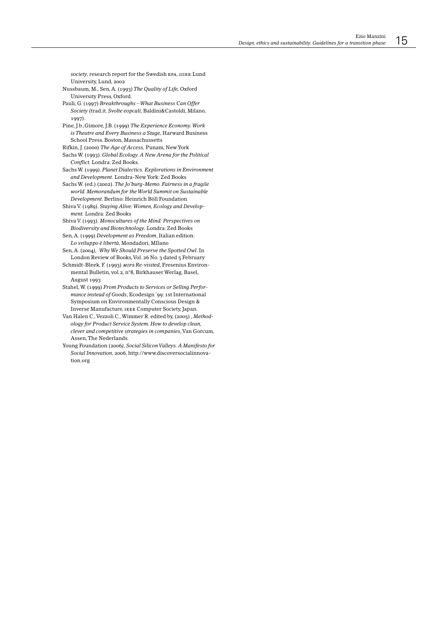society, research report for the Swedish EPA, IIIEE Lund University, Lund, 2002

Nussbaum, M., Sen, A. (1993) The Quality of Life, Oxford University Press, Oxford.

Pauli, G. (1997) Breakthroughs - What Business Can Offer Society (trad.it. Svolte eopcali, Baldini&Castoldi, Milano, 1997)

Pine, J.b., Gimore, J.B. (1999) The Experience Economy. Work is Theatre and Every Business a Stage, Harward Business School Press. Boston, Massachussetts

Rifkin, J. (2000) The Age of Access, Punam, New York Sachs W. (1993). Global Ecology. A New Arena for the Political Conflict. Londra: Zed Books.

Sachs W. (1999). Planet Dialectics. Explorations in Environment and Development. Londra-New York: Zed Books

Sachs W. (ed.) (2002). The Jo'burg-Memo. Fairness in a fragile world. Memorandum for the World Summit on Sustainable Development. Berlino: Heinrich Böll Foundation

Shiva V. (1989), Staving Alive: Women, Ecology and Development. Londra: Zed Books

Shiva V. (1993). Monocultures of the Mind: Perspectives on Biodiversity and Biotechnology. Londra: Zed Books

Sen, A. (1999) Development as Freedom, Italian edition: Lo sviluppo è libertà, Mondadori, MIlano

Sen, A. (2004), Why We Should Preserve the Spotted Owl. In London Review of Books, Vol. 26 No. 3 dated 5 February

Schmidt-Bleek, F. (1993) MIPS Re-visited, Fresenius Environmental Bulletin, vol.2, n°8. Birkhauser Werlag, Basel. August 1993

Stahel, W. (1999) From Products to Services or Selling Performance instead of Goods, Ecodesign '99: 1st International Symposium on Environmentally Conscious Design & Inverse Manufacture, IEEE Computer Society, Japan.

Van Halen C., Vezzoli C., Wimmer R. edited by, (2005) , Methodology for Product Service System. How to develop clean, clever and competitive strategies in companies, Van Gorcum, Assen. The Nederlands.

Young Foundation (2006), Social Silicon Valleys. A Manifesto for Social Innovation, 2006, http://www.discoversocialinnovation.org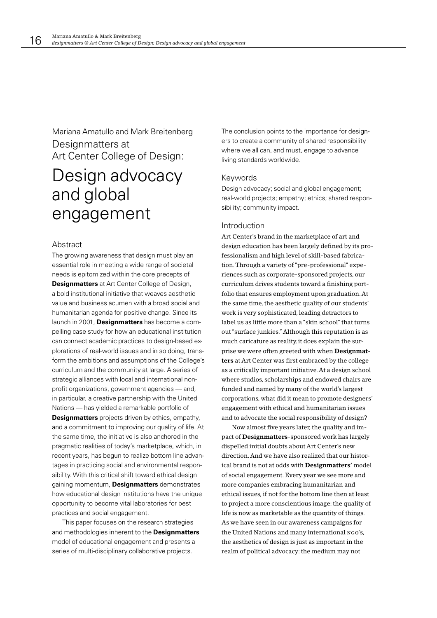Mariana Amatullo and Mark Breitenberg Designmatters at Art Center College of Design:

# Design advocacy and global engagement

# Abstract

The growing awareness that design must play an essential role in meeting a wide range of societal needs is epitomized within the core precepts of **Designmatters** at Art Center College of Design, a bold institutional initiative that weaves aesthetic value and business acumen with a broad social and humanitarian agenda for positive change. Since its launch in 2001, Designmatters has become a compelling case study for how an educational institution can connect academic practices to design-based explorations of real-world issues and in so doing, transform the ambitions and assumptions of the College's curriculum and the community at large. A series of strategic alliances with local and international nonprofit organizations, government agencies - and, in particular, a creative partnership with the United Nations - has yielded a remarkable portfolio of

**Designmatters** projects driven by ethics, empathy, and a commitment to improving our quality of life. At the same time, the initiative is also anchored in the pragmatic realities of today's marketplace, which, in recent vears, has begun to realize bottom line advantages in practicing social and environmental responsibility. With this critical shift toward ethical design gaining momentum, **Designmatters** demonstrates how educational design institutions have the unique opportunity to become vital laboratories for best practices and social engagement.

This paper focuses on the research strategies and methodologies inherent to the **Designmatters** model of educational engagement and presents a series of multi-disciplinary collaborative projects.

The conclusion points to the importance for designers to create a community of shared responsibility where we all can, and must, engage to advance living standards worldwide.

## Keywords

Design advocacy; social and global engagement; real-world projects; empathy; ethics; shared responsibility: community impact.

## Introduction

Art Center's brand in the marketplace of art and design education has been largely defined by its professionalism and high level of skill-based fabrication. Through a variety of "pre-professional" experiences such as corporate-sponsored projects, our curriculum drives students toward a finishing portfolio that ensures employment upon graduation. At the same time, the aesthetic quality of our students' work is very sophisticated, leading detractors to label us as little more than a "skin school" that turns out "surface junkies." Although this reputation is as much caricature as reality, it does explain the surprise we were often greeted with when Designmat**ters** at Art Center was first embraced by the college as a critically important initiative. At a design school where studios, scholarships and endowed chairs are funded and named by many of the world's largest corporations, what did it mean to promote designers' engagement with ethical and humanitarian issues and to advocate the social responsibility of design?

Now almost five years later, the quality and impact of Designmatters-sponsored work has largely dispelled initial doubts about Art Center's new direction. And we have also realized that our historical brand is not at odds with **Designmatters'** model of social engagement. Every year we see more and more companies embracing humanitarian and ethical issues, if not for the bottom line then at least to project a more conscientious image: the quality of life is now as marketable as the quantity of things. As we have seen in our awareness campaigns for the United Nations and many international NGO's, the aesthetics of design is just as important in the realm of political advocacy: the medium may not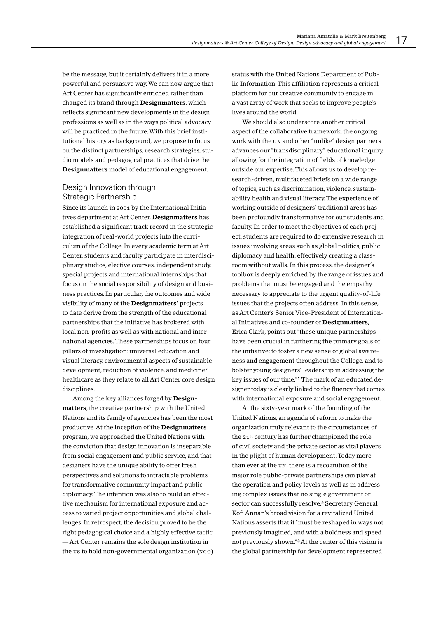be the message, but it certainly delivers it in a more powerful and persuasive way. We can now argue that Art Center has significantly enriched rather than changed its brand through Designmatters, which reflects significant new developments in the design professions as well as in the ways political advocacy will be practiced in the future. With this brief institutional history as background, we propose to focus on the distinct partnerships, research strategies, studio models and pedagogical practices that drive the Designmatters model of educational engagement.

# Design Innovation through Strategic Partnership

Since its launch in 2001 by the International Initiatives department at Art Center, Designmatters has established a significant track record in the strategic integration of real-world projects into the curriculum of the College. In every academic term at Art Center, students and faculty participate in interdisciplinary studios, elective courses, independent study, special projects and international internships that focus on the social responsibility of design and business practices. In particular, the outcomes and wide visibility of many of the **Designmatters'** projects to date derive from the strength of the educational partnerships that the initiative has brokered with local non-profits as well as with national and international agencies. These partnerships focus on four pillars of investigation: universal education and visual literacy, environmental aspects of sustainable development, reduction of violence, and medicine/ healthcare as they relate to all Art Center core design disciplines.

Among the key alliances forged by Designmatters, the creative partnership with the United Nations and its family of agencies has been the most productive. At the inception of the Designmatters program, we approached the United Nations with the conviction that design innovation is inseparable from social engagement and public service, and that designers have the unique ability to offer fresh perspectives and solutions to intractable problems for transformative community impact and public diplomacy. The intention was also to build an effective mechanism for international exposure and access to varied project opportunities and global challenges. In retrospect, the decision proved to be the right pedagogical choice and a highly effective tactic -Art Center remains the sole design institution in the us to hold non-governmental organization (NGO) status with the United Nations Department of Public Information. This affiliation represents a critical platform for our creative community to engage in a vast array of work that seeks to improve people's lives around the world.

We should also underscore another critical aspect of the collaborative framework: the ongoing work with the UN and other "unlike" design partners advances our "transdisciplinary" educational inquiry. allowing for the integration of fields of knowledge outside our expertise. This allows us to develop research-driven, multifaceted briefs on a wide range of topics, such as discrimination, violence, sustainability, health and visual literacy. The experience of working outside of designers' traditional areas has been profoundly transformative for our students and faculty. In order to meet the objectives of each project, students are required to do extensive research in issues involving areas such as global politics, public diplomacy and health, effectively creating a classroom without walls. In this process, the designer's toolbox is deeply enriched by the range of issues and problems that must be engaged and the empathy necessary to appreciate to the urgent quality-of-life issues that the projects often address. In this sense. as Art Center's Senior Vice-President of International Initiatives and co-founder of Designmatters, Erica Clark, points out "these unique partnerships have been crucial in furthering the primary goals of the initiative: to foster a new sense of global awareness and engagement throughout the College, and to bolster young designers' leadership in addressing the key issues of our time."<sup>1</sup> The mark of an educated designer today is clearly linked to the fluency that comes with international exposure and social engagement.

At the sixty-year mark of the founding of the United Nations, an agenda of reform to make the organization truly relevant to the circumstances of the 21st century has further championed the role of civil society and the private sector as vital players in the plight of human development. Today more than ever at the UN, there is a recognition of the major role public-private partnerships can play at the operation and policy levels as well as in addressing complex issues that no single government or sector can successfully resolve.<sup>2</sup> Secretary General Kofi Annan's broad vision for a revitalized United Nations asserts that it "must be reshaped in ways not previously imagined, and with a boldness and speed not previously shown." At the center of this vision is the global partnership for development represented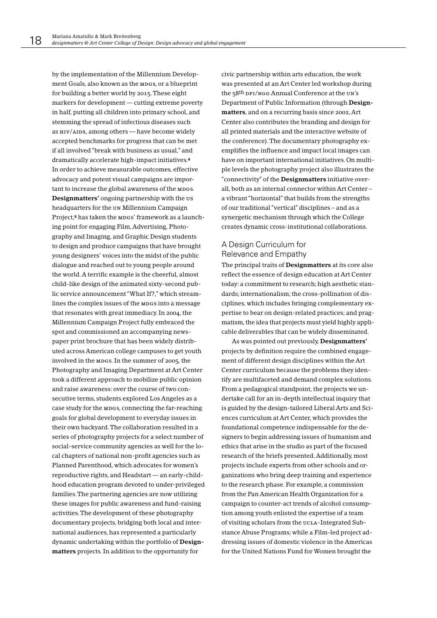by the implementation of the Millennium Development Goals, also known as the MDGS, or a blueprint for building a better world by 2015. These eight markers for development — cutting extreme poverty in half, putting all children into primary school, and stemming the spread of infectious diseases such as HIV/AIDS, among others - have become widely accepted benchmarks for progress that can be met if all involved "break with business as usual." and dramatically accelerate high-impact initiatives.<sup>4</sup> In order to achieve measurable outcomes, effective advocacy and potent visual campaigns are important to increase the global awareness of the MDGS. Designmatters' ongoing partnership with the us headquarters for the UN Millennium Campaign Project,<sup>5</sup> has taken the MDGS' framework as a launching point for engaging Film, Advertising, Photography and Imaging, and Graphic Design students to design and produce campaigns that have brought young designers' voices into the midst of the public dialogue and reached out to young people around the world. A terrific example is the cheerful, almost child-like design of the animated sixty-second public service announcement "What If?," which streamlines the complex issues of the MDGS into a message that resonates with great immediacy. In 2004, the Millennium Campaign Project fully embraced the spot and commissioned an accompanying newspaper print brochure that has been widely distributed across American college campuses to get youth involved in the MDGS. In the summer of 2005, the Photography and Imaging Department at Art Center took a different approach to mobilize public opinion and raise awareness: over the course of two consecutive terms, students explored Los Angeles as a case study for the MDGS, connecting the far-reaching goals for global development to everyday issues in their own backyard. The collaboration resulted in a series of photography projects for a select number of social-service community agencies as well for the local chapters of national non-profit agencies such as Planned Parenthood, which advocates for women's reproductive rights, and Headstart - an early-childhood education program devoted to under-privileged families. The partnering agencies are now utilizing these images for public awareness and fund-raising activities. The development of these photography documentary projects, bridging both local and international audiences, has represented a particularly dynamic undertaking within the portfolio of Designmatters projects. In addition to the opportunity for

civic partnership within arts education, the work was presented at an Art Center led workshop during the 58<sup>th</sup> DPI/NGO Annual Conference at the UN's Department of Public Information (through Designmatters, and on a recurring basis since 2002, Art Center also contributes the branding and design for all printed materials and the interactive website of the conference). The documentary photography exemplifies the influence and impact local images can have on important international initiatives. On multiple levels the photography project also illustrates the "connectivity" of the **Designmatters** initiative overall, both as an internal connector within Art Centera vibrant "horizontal" that builds from the strengths of our traditional "vertical" disciplines - and as a synergetic mechanism through which the College creates dynamic cross-institutional collaborations.

# A Design Curriculum for Relevance and Empathy

The principal traits of Designmatters at its core also reflect the essence of design education at Art Center today: a commitment to research; high aesthetic standards; internationalism; the cross-pollination of disciplines, which includes bringing complementary expertise to bear on design-related practices; and pragmatism, the idea that projects must yield highly applicable deliverables that can be widely disseminated.

As was pointed out previously, Designmatters' projects by definition require the combined engagement of different design disciplines within the Art Center curriculum because the problems they identify are multifaceted and demand complex solutions. From a pedagogical standpoint, the projects we undertake call for an in-depth intellectual inquiry that is guided by the design-tailored Liberal Arts and Sciences curriculum at Art Center, which provides the foundational competence indispensable for the designers to begin addressing issues of humanism and ethics that arise in the studio as part of the focused research of the briefs presented. Additionally, most projects include experts from other schools and organizations who bring deep training and experience to the research phase. For example, a commission from the Pan American Health Organization for a campaign to counter-act trends of alcohol consumption among youth enlisted the expertise of a team of visiting scholars from the UCLA-Integrated Substance Abuse Programs; while a Film-led project addressing issues of domestic violence in the Americas for the United Nations Fund for Women brought the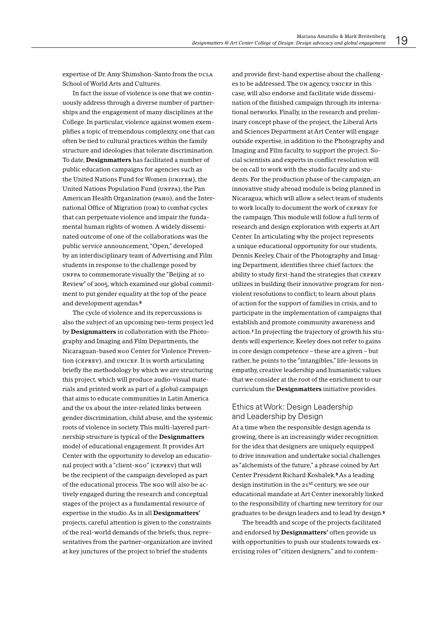expertise of Dr. Amy Shimshon-Santo from the ucLA School of World Arts and Cultures.

In fact the issue of violence is one that we continuously address through a diverse number of partnerships and the engagement of many disciplines at the College. In particular, violence against women exemplifies a topic of tremendous complexity, one that can often be tied to cultural practices within the family structure and ideologies that tolerate discrimination. To date, Designmatters has facilitated a number of public education campaigns for agencies such as the United Nations Fund for Women (UNIFEM), the United Nations Population Fund (UNFPA), the Pan American Health Organization (рано), and the International Office of Migration (IOM) to combat cycles that can perpetuate violence and impair the fundamental human rights of women. A widely disseminated outcome of one of the collaborations was the public service announcement, "Open," developed by an interdisciplinary team of Advertising and Film students in response to the challenge posed by UNFPA to commemorate visually the "Beijing at 10 Review" of 2005, which examined our global commitment to put gender equality at the top of the peace and development agendas.<sup>6</sup>

The cycle of violence and its repercussions is also the subject of an upcoming two-term project led by Designmatters in collaboration with the Photography and Imaging and Film Departments, the Nicaraguan-based NGO Center for Violence Prevention (CEPREV), and UNICEF. It is worth articulating briefly the methodology by which we are structuring this project, which will produce audio-visual materials and printed work as part of a global campaign that aims to educate communities in Latin America and the us about the inter-related links between gender discrimination, child abuse, and the systemic roots of violence in society. This multi-layered partnership structure is typical of the **Designmatters** model of educational engagement. It provides Art Center with the opportunity to develop an educational project with a "client-NGO" (CEPREV) that will be the recipient of the campaign developed as part of the educational process. The NGO will also be actively engaged during the research and conceptual stages of the project as a fundamental resource of expertise in the studio. As in all Designmatters' projects, careful attention is given to the constraints of the real-world demands of the briefs; thus, representatives from the partner-organization are invited at key junctures of the project to brief the students

and provide first-hand expertise about the challenges to be addressed. The UN agency, UNICEF in this case, will also endorse and facilitate wide dissemination of the finished campaign through its international networks. Finally, in the research and preliminary concept phase of the project, the Liberal Arts and Sciences Department at Art Center will engage outside expertise, in addition to the Photography and Imaging and Film faculty to support the project. Social scientists and experts in conflict resolution will be on call to work with the studio faculty and students. For the production phase of the campaign, an innovative study abroad module is being planned in Nicaragua, which will allow a select team of students to work locally to document the work of CEPREV for the campaign. This module will follow a full term of research and design exploration with experts at Art Center. In articulating why the project represents a unique educational opportunity for our students, Dennis Keeley, Chair of the Photography and Imaging Department, identifies three chief factors: the ability to study first-hand the strategies that CEPREV utilizes in building their innovative program for nonviolent resolutions to conflict; to learn about plans of action for the support of families in crisis, and to participate in the implementation of campaigns that establish and promote community awareness and action.<sup>7</sup> In projecting the trajectory of growth his students will experience, Keeley does not refer to gains in core design competence - these are a given - but rather, he points to the "intangibles," life-lessons in empathy, creative leadership and humanistic values that we consider at the root of the enrichment to our curriculum the Designmatters initiative provides.

# Ethics at Work: Design Leadership and Leadership by Design

At a time when the responsible design agenda is growing, there is an increasingly wider recognition for the idea that designers are uniquely equipped to drive innovation and undertake social challenges as "alchemists of the future," a phrase coined by Art Center President Richard Koshalek.<sup>8</sup> As a leading design institution in the  $21<sup>st</sup>$  century, we see our educational mandate at Art Center inexorably linked to the responsibility of charting new territory for our graduates to be design leaders and to lead by design.<sup>9</sup>

The breadth and scope of the projects facilitated and endorsed by Designmatters' often provide us with opportunities to push our students towards exercising roles of "citizen designers," and to contem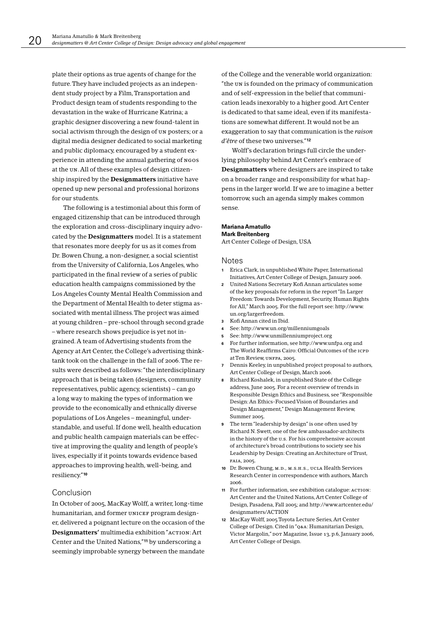plate their options as true agents of change for the future. They have included projects as an independent study project by a Film, Transportation and Product design team of students responding to the devastation in the wake of Hurricane Katrina; a graphic designer discovering a new found-talent in social activism through the design of UN posters; or a digital media designer dedicated to social marketing and public diplomacy, encouraged by a student experience in attending the annual gathering of NGOS at the UN. All of these examples of design citizenship inspired by the **Designmatters** initiative have opened up new personal and professional horizons for our students.

The following is a testimonial about this form of engaged citizenship that can be introduced through the exploration and cross-disciplinary inquiry advocated by the Designmatters model. It is a statement that resonates more deeply for us as it comes from Dr. Bowen Chung, a non-designer, a social scientist from the University of California, Los Angeles, who participated in the final review of a series of public education health campaigns commissioned by the Los Angeles County Mental Health Commission and the Department of Mental Health to deter stigma associated with mental illness. The project was aimed at young children - pre-school through second grade - where research shows prejudice is yet not ingrained. A team of Advertising students from the Agency at Art Center, the College's advertising thinktank took on the challenge in the fall of 2006. The results were described as follows: "the interdisciplinary approach that is being taken (designers, community representatives, public agency, scientists) - can go a long way to making the types of information we provide to the economically and ethnically diverse populations of Los Angeles - meaningful, understandable, and useful. If done well, health education and public health campaign materials can be effective at improving the quality and length of people's lives, especially if it points towards evidence based approaches to improving health, well-being, and resiliency."10

## Conclusion

In October of 2005, MacKay Wolff, a writer, long-time humanitarian, and former UNICEF program designer, delivered a poignant lecture on the occasion of the Designmatters' multimedia exhibition "ACTION: Art Center and the United Nations,"<sup>11</sup> by underscoring a seemingly improbable synergy between the mandate

of the College and the venerable world organization: "the un is founded on the primacy of communication and of self-expression in the belief that communication leads inexorably to a higher good. Art Center is dedicated to that same ideal, even if its manifestations are somewhat different. It would not be an exaggeration to say that communication is the raison d'être of these two universes."12

Wolff's declaration brings full circle the underlying philosophy behind Art Center's embrace of Designmatters where designers are inspired to take on a broader range and responsibility for what happens in the larger world. If we are to imagine a better tomorrow, such an agenda simply makes common sense.

#### Mariana Amatullo **Mark Breitenberg**

Art Center College of Design, USA

#### **Notes**

- 1 Erica Clark, in unpublished White Paper, International Initiatives, Art Center College of Design, January 2006.
- United Nations Secretary Kofi Annan articulates some  $\overline{2}$ of the key proposals for reform in the report "In Larger Freedom: Towards Development, Security, Human Rights for All," March 2005. For the full report see: http://www. un.org/largerfreedom.
- Kofi Annan cited in Ibid.  $\overline{\mathbf{3}}$
- See: http://www.un.org/millenniumgoals
- 5 See: http://www.unmillenniumproject.org
- For further information, see http://www.unfpa.org and  $6^{\circ}$ The World Reaffirms Cairo: Official Outcomes of the ICPD at Ten Review, UNFPA, 2005.
- 7 Dennis Keeley, in unpublished project proposal to authors, Art Center College of Design, March 2006.
- 8 Richard Koshalek, in unpublished State of the College address, June 2005. For a recent overview of trends in Responsible Design Ethics and Business, see "Responsible Design: An Ethics-Focused Vision of Boundaries and Design Management," Design Management Review, Summer 2005
- The term "leadership by design" is one often used by Richard N. Swett, one of the few ambassador-architects in the history of the u.s. For his comprehensive account of architecture's broad contributions to society see his Leadership by Design: Creating an Architecture of Trust, FAIA, 2005
- 10 Dr. Bowen Chung, M.D., M.S.H.S., UCLA Health Services Research Center in correspondence with authors, March  $2006$
- 11 For further information, see exhibition catalogue: ACTION: Art Center and the United Nations, Art Center College of Design, Pasadena, Fall 2005; and http://www.artcenter.edu/ designmatters/ACTION
- 12 MacKay Wolff, 2005 Toyota Lecture Series, Art Center College of Design. Cited in "Q&A: Humanitarian Design, Victor Margolin," DOT Magazine, Issue 13, p.6, January 2006, Art Center College of Design.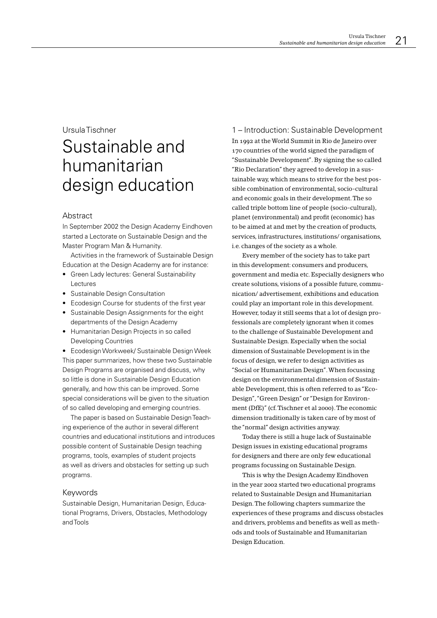# UrsulaTischner

# Sustainable and humanitarian design education

## Abstract

In September 2002 the Design Academy Eindhoven started a Lectorate on Sustainable Design and the Master Program Man & Humanity.

Activities in the framework of Sustainable Design Education at the Design Academy are for instance:

- Green Lady lectures: General Sustainability Lectures
- Sustainable Design Consultation
- Ecodesign Course for students of the first year
- Sustainable Design Assignments for the eight departments of the Design Academy
- Humanitarian Design Projects in so called **Developing Countries**

• Ecodesign Workweek/ Sustainable Design Week This paper summarizes, how these two Sustainable Design Programs are organised and discuss, why so little is done in Sustainable Design Education generally, and how this can be improved. Some special considerations will be given to the situation of so called developing and emerging countries.

The paper is based on Sustainable Design Teaching experience of the author in several different countries and educational institutions and introduces possible content of Sustainable Design teaching programs, tools, examples of student projects as well as drivers and obstacles for setting up such programs.

## Keywords

Sustainable Design, Humanitarian Design, Educational Programs, Drivers, Obstacles, Methodology and Tools

1 – Introduction: Sustainable Development In 1992 at the World Summit in Rio de Janeiro over 170 countries of the world signed the paradigm of "Sustainable Development". By signing the so called "Rio Declaration" they agreed to develop in a sustainable way, which means to strive for the best possible combination of environmental, socio-cultural and economic goals in their development. The so called triple bottom line of people (socio-cultural), planet (environmental) and profit (economic) has to be aimed at and met by the creation of products, services, infrastructures, institutions/organisations, i.e. changes of the society as a whole.

Every member of the society has to take part in this development: consumers and producers, government and media etc. Especially designers who create solutions, visions of a possible future, communication/advertisement, exhibitions and education could play an important role in this development. However, today it still seems that a lot of design professionals are completely ignorant when it comes to the challenge of Sustainable Development and Sustainable Design. Especially when the social dimension of Sustainable Development is in the focus of design, we refer to design activities as "Social or Humanitarian Design". When focussing design on the environmental dimension of Sustainable Development, this is often referred to as "Eco-Design", "Green Design" or "Design for Environment (DfE)" (cf. Tischner et al 2000). The economic dimension traditionally is taken care of by most of the "normal" design activities anyway.

Today there is still a huge lack of Sustainable Design issues in existing educational programs for designers and there are only few educational programs focussing on Sustainable Design.

This is why the Design Academy Eindhoven in the year 2002 started two educational programs related to Sustainable Design and Humanitarian Design. The following chapters summarize the experiences of these programs and discuss obstacles and drivers, problems and benefits as well as methods and tools of Sustainable and Humanitarian Design Education.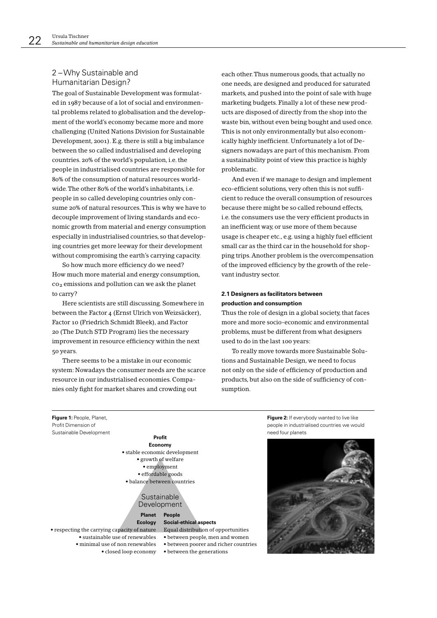# 2-Why Sustainable and Humanitarian Design?

The goal of Sustainable Development was formulated in 1987 because of a lot of social and environmental problems related to globalisation and the development of the world's economy became more and more challenging (United Nations Division for Sustainable Development, 2001). E.g. there is still a big imbalance between the so called industrialised and developing countries, 20% of the world's population, i.e. the people in industrialised countries are responsible for 80% of the consumption of natural resources worldwide. The other 80% of the world's inhabitants, i.e. people in so called developing countries only consume 20% of natural resources. This is why we have to decouple improvement of living standards and economic growth from material and energy consumption especially in industrialised countries, so that developing countries get more leeway for their development without compromising the earth's carrying capacity.

So how much more efficiency do we need? How much more material and energy consumption, co<sub>2</sub> emissions and pollution can we ask the planet to carry?

Here scientists are still discussing. Somewhere in between the Factor 4 (Ernst Ulrich von Weizsäcker), Factor 10 (Friedrich Schmidt Bleek), and Factor 20 (The Dutch STD Program) lies the necessary improvement in resource efficiency within the next 50 years.

There seems to be a mistake in our economic system: Nowadays the consumer needs are the scarce resource in our industrialised economies. Companies only fight for market shares and crowding out

each other. Thus numerous goods, that actually no one needs, are designed and produced for saturated markets, and pushed into the point of sale with huge marketing budgets. Finally a lot of these new products are disposed of directly from the shop into the waste bin, without even being bought and used once. This is not only environmentally but also economically highly inefficient. Unfortunately a lot of Designers nowadays are part of this mechanism. From a sustainability point of view this practice is highly problematic.

And even if we manage to design and implement eco-efficient solutions, very often this is not sufficient to reduce the overall consumption of resources because there might be so called rebound effects. i.e. the consumers use the very efficient products in an inefficient way, or use more of them because usage is cheaper etc., e.g. using a highly fuel efficient small car as the third car in the household for shopping trips. Another problem is the overcompensation of the improved efficiency by the growth of the relevant industry sector.

## 2.1 Designers as facilitators between production and consumption

Thus the role of design in a global society, that faces more and more socio-economic and environmental problems, must be different from what designers used to do in the last 100 years:

To really move towards more Sustainable Solutions and Sustainable Design, we need to focus not only on the side of efficiency of production and products, but also on the side of sufficiency of consumption.

Figure 1: People, Planet, Profit Dimension of Sustainable Development

#### Profit Economy · stable economic development · growth of welfare • employment · effordable goods · balance between countries

Sustainable Development

#### **Planet** People Ecology

• respecting the carrying capacity of nature · sustainable use of renewables · minimal use of non renewables • closed loop economy

**Social-ethical aspects** Equal distribution of opportunities · between people, men and women • between poorer and richer countries

• between the generations

Figure 2: If everybody wanted to live like people in industrialised countries we would need four planets

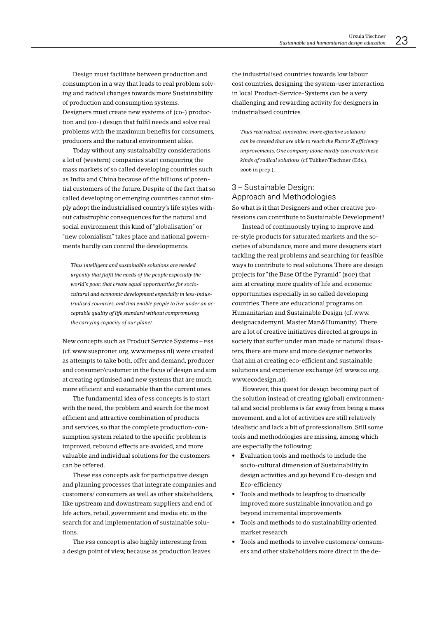Design must facilitate between production and consumption in a way that leads to real problem solving and radical changes towards more Sustainability of production and consumption systems. Designers must create new systems of (co-) production and (co-) design that fulfil needs and solve real problems with the maximum benefits for consumers, producers and the natural environment alike.

Today without any sustainability considerations a lot of (western) companies start conquering the mass markets of so called developing countries such as India and China because of the billions of potential customers of the future. Despite of the fact that so called developing or emerging countries cannot simply adopt the industrialised country's life styles without catastrophic consequences for the natural and social environment this kind of "globalisation" or "new colonialism" takes place and national governments hardly can control the developments.

Thus intelligent and sustainable solutions are needed urgently that fulfil the needs of the people especially the world's poor, that create equal opportunities for sociocultural and economic development especially in less-industrialised countries, and that enable people to live under an acceptable quality of life standard without compromising the carrying capacity of our planet.

New concepts such as Product Service Systems - PSS (cf. www.suspronet.org, www.mepss.nl) were created as attempts to take both, offer and demand, producer and consumer/customer in the focus of design and aim at creating optimised and new systems that are much more efficient and sustainable than the current ones.

The fundamental idea of PSS concepts is to start with the need, the problem and search for the most efficient and attractive combination of products and services, so that the complete production-consumption system related to the specific problem is improved, rebound effects are avoided, and more valuable and individual solutions for the customers can be offered

These PSS concepts ask for participative design and planning processes that integrate companies and customers/consumers as well as other stakeholders, like upstream and downstream suppliers and end of life actors, retail, government and media etc. in the search for and implementation of sustainable solutions.

The PSS concept is also highly interesting from a design point of view, because as production leaves the industrialised countries towards low labour cost countries, designing the system-user interaction in local Product-Service-Systems can be a very challenging and rewarding activity for designers in industrialised countries.

Thus real radical, innovative, more effective solutions can be created that are able to reach the Factor X efficiency improvements. One company alone hardly can create these kinds of radical solutions (cf. Tukker/Tischner (Eds.), 2006 in prep.).

# 3-Sustainable Design: Approach and Methodologies So what is it that Designers and other creative pro-

fessions can contribute to Sustainable Development?

Instead of continuously trying to improve and re-style products for saturated markets and the societies of abundance, more and more designers start tackling the real problems and searching for feasible ways to contribute to real solutions. There are design projects for "the Base Of the Pyramid" (BOP) that aim at creating more quality of life and economic opportunities especially in so called developing countries. There are educational programs on Humanitarian and Sustainable Design (cf. www. designacademy.nl, Master Man&Humanity). There are a lot of creative initiatives directed at groups in society that suffer under man made or natural disasters, there are more and more designer networks that aim at creating eco-efficient and sustainable solutions and experience exchange (cf. www.o2.org, www.ecodesign.at).

However, this quest for design becoming part of the solution instead of creating (global) environmental and social problems is far away from being a mass movement, and a lot of activities are still relatively idealistic and lack a bit of professionalism. Still some tools and methodologies are missing, among which are especially the following:

- Evaluation tools and methods to include the socio-cultural dimension of Sustainability in design activities and go beyond Eco-design and Eco-efficiency
- Tools and methods to leapfrog to drastically improved more sustainable innovation and go bevond incremental improvements
- Tools and methods to do sustainability oriented market research
- Tools and methods to involve customers/consumers and other stakeholders more direct in the de-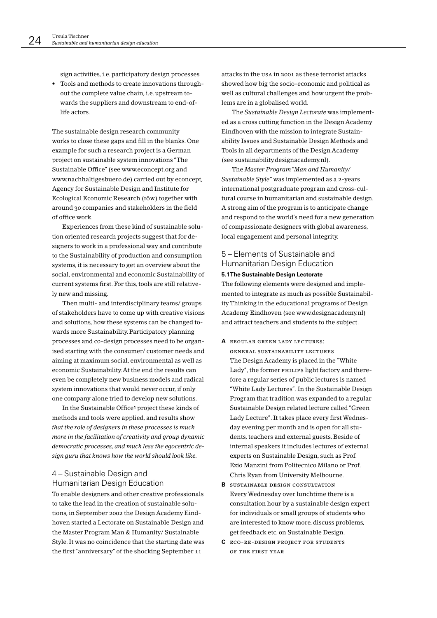sign activities, i.e. participatory design processes

• Tools and methods to create innovations throughout the complete value chain, i.e. upstream towards the suppliers and downstream to end-oflife actors

The sustainable design research community works to close these gaps and fill in the blanks. One example for such a research project is a German project on sustainable system innovations "The Sustainable Office" (see www.econcept.org and www.nachhaltigesbuero.de) carried out by econcept, Agency for Sustainable Design and Institute for Ecological Economic Research (1öw) together with around 30 companies and stakeholders in the field of office work.

Experiences from these kind of sustainable solution oriented research projects suggest that for designers to work in a professional way and contribute to the Sustainability of production and consumption systems, it is necessary to get an overview about the social, environmental and economic Sustainability of current systems first. For this, tools are still relatively new and missing.

Then multi- and interdisciplinary teams/groups of stakeholders have to come up with creative visions and solutions, how these systems can be changed towards more Sustainability. Participatory planning processes and co-design processes need to be organised starting with the consumer/customer needs and aiming at maximum social, environmental as well as economic Sustainability. At the end the results can even be completely new business models and radical system innovations that would never occur, if only one company alone tried to develop new solutions.

In the Sustainable Office<sup>1</sup> project these kinds of methods and tools were applied, and results show that the role of designers in these processes is much more in the facilitation of creativity and group dynamic democratic processes, and much less the eqocentric desian auru that knows how the world should look like.

# 4 – Sustainable Design and Humanitarian Design Education

To enable designers and other creative professionals to take the lead in the creation of sustainable solutions, in September 2002 the Design Academy Eindhoven started a Lectorate on Sustainable Design and the Master Program Man & Humanity/ Sustainable Style. It was no coincidence that the starting date was the first "anniversary" of the shocking September 11

attacks in the USA in 2001 as these terrorist attacks showed how big the socio-economic and political as well as cultural challenges and how urgent the problems are in a globalised world.

The Sustainable Design Lectorate was implemented as a cross cutting function in the Design Academy Eindhoven with the mission to integrate Sustainability Issues and Sustainable Design Methods and Tools in all departments of the Design Academy (see sustainability.designacademy.nl).

The Master Program "Man and Humanity/ Sustainable Style" was implemented as a 2-years international postgraduate program and cross-cultural course in humanitarian and sustainable design. A strong aim of the program is to anticipate change and respond to the world's need for a new generation of compassionate designers with global awareness, local engagement and personal integrity.

# 5 – Elements of Sustainable and Humanitarian Design Education

#### 5.1 The Sustainable Design Lectorate

The following elements were designed and implemented to integrate as much as possible Sustainability Thinking in the educational programs of Design Academy Eindhoven (see www.designacademy.nl) and attract teachers and students to the subject.

#### A REGULAR GREEN LADY LECTURES:

GENERAL SUSTAINABILITY LECTURES The Design Academy is placed in the "White" Lady", the former PHILIPS light factory and therefore a regular series of public lectures is named "White Lady Lectures". In the Sustainable Design Program that tradition was expanded to a regular Sustainable Design related lecture called "Green Lady Lecture". It takes place every first Wednesday evening per month and is open for all students, teachers and external guests. Beside of internal speakers it includes lectures of external experts on Sustainable Design, such as Prof. Ezio Manzini from Politecnico Milano or Prof. Chris Ryan from University Melbourne.

- **B** SUSTAINABLE DESIGN CONSULTATION Every Wednesday over lunchtime there is a consultation hour by a sustainable design expert for individuals or small groups of students who are interested to know more, discuss problems, get feedback etc. on Sustainable Design.
- C ECO-RE-DESIGN PROJECT FOR STUDENTS OF THE FIRST YEAR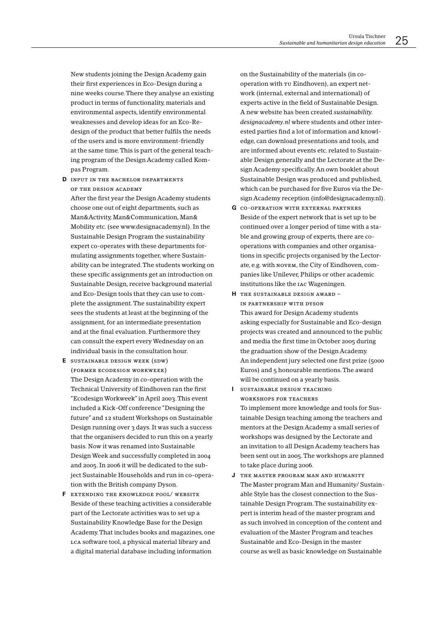New students joining the Design Academy gain their first experiences in Eco-Design during a nine weeks course. There they analyse an existing product in terms of functionality, materials and environmental aspects, identify environmental weaknesses and develop ideas for an Eco-Redesign of the product that better fulfils the needs of the users and is more environment-friendly at the same time. This is part of the general teaching program of the Design Academy called Kompas Program.

D INPUT IN THE BACHELOR DEPARTMENTS OF THE DESIGN ACADEMY

After the first year the Design Academy students choose one out of eight departments, such as Man&Activity, Man&Communication, Man& Mobility etc. (see www.designacademy.nl). In the Sustainable Design Program the sustainability expert co-operates with these departments formulating assignments together, where Sustainability can be integrated. The students working on these specific assignments get an introduction on Sustainable Design, receive background material and Eco-Design tools that they can use to complete the assignment. The sustainability expert sees the students at least at the beginning of the assignment, for an intermediate presentation and at the final evaluation. Furthermore they can consult the expert every Wednesday on an individual basis in the consultation hour.

- E SUSTAINABLE DESIGN WEEK (SDW) (FORMER ECODESIGN WORKWEEK) The Design Academy in co-operation with the Technical University of Eindhoven ran the first "Ecodesign Workweek" in April 2003. This event included a Kick-Off conference "Designing the future" and 12 student Workshops on Sustainable Design running over 3 days. It was such a success that the organisers decided to run this on a yearly basis. Now it was renamed into Sustainable Design Week and successfully completed in 2004 and 2005. In 2006 it will be dedicated to the subject Sustainable Households and run in co-operation with the British company Dyson.
- F EXTENDING THE KNOWLEDGE POOL/ WEBSITE Beside of these teaching activities a considerable part of the Lectorate activities was to set up a Sustainability Knowledge Base for the Design Academy. That includes books and magazines, one LCA software tool, a physical material library and a digital material database including information

on the Sustainability of the materials (in cooperation with TU Eindhoven), an expert network (internal, external and international) of experts active in the field of Sustainable Design. A new website has been created sustainability. *designacademy.nl* where students and other interested parties find a lot of information and knowledge, can download presentations and tools, and are informed about events etc. related to Sustainable Design generally and the Lectorate at the Design Academy specifically. An own booklet about Sustainable Design was produced and published, which can be purchased for five Euros via the Design Academy reception (info@designacademy.nl).

- **G** CO-OPERATION WITH EXTERNAL PARTNERS Beside of the expert network that is set up to be continued over a longer period of time with a stable and growing group of experts, there are cooperations with companies and other organisations in specific projects organised by the Lectorate, e.g. with NOVEM, the City of Eindhoven, companies like Unilever, Philips or other academic institutions like the IAC Wageningen.
- H THE SUSTAINABLE DESIGN AWARD -IN PARTNERSHIP WITH DYSON This award for Design Academy students asking especially for Sustainable and Eco-design projects was created and announced to the public and media the first time in October 2005 during the graduation show of the Design Academy. An independent jury selected one first prize (5000 Euros) and 5 honourable mentions. The award will be continued on a yearly basis.
- SUSTAINABLE DESIGN TEACHING П WORKSHOPS FOR TEACHERS To implement more knowledge and tools for Sustainable Design teaching among the teachers and mentors at the Design Academy a small series of workshops was designed by the Lectorate and an invitation to all Design Academy teachers has been sent out in 2005. The workshops are planned to take place during 2006.
- J THE MASTER PROGRAM MAN AND HUMANITY The Master program Man and Humanity/Sustainable Style has the closest connection to the Sustainable Design Program. The sustainability expert is interim head of the master program and as such involved in conception of the content and evaluation of the Master Program and teaches Sustainable and Eco-Design in the master course as well as basic knowledge on Sustainable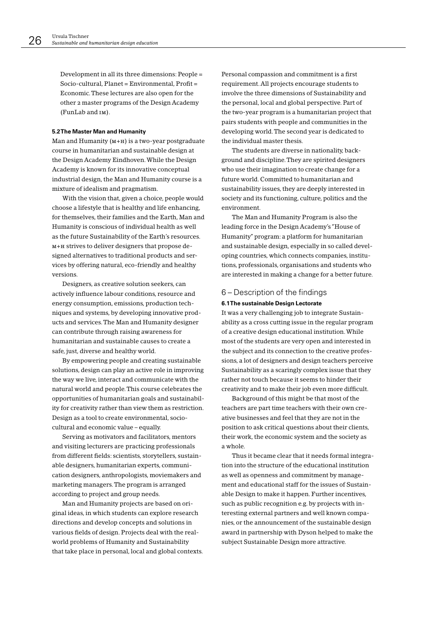Development in all its three dimensions: People = Socio-cultural, Planet = Environmental, Profit = Economic. These lectures are also open for the other 2 master programs of the Design Academy (FunLab and IM).

#### 5.2 The Master Man and Humanity

Man and Humanity  $(M+H)$  is a two-year postgraduate course in humanitarian and sustainable design at the Design Academy Eindhoven. While the Design Academy is known for its innovative conceptual industrial design, the Man and Humanity course is a mixture of idealism and pragmatism.

With the vision that, given a choice, people would choose a lifestyle that is healthy and life enhancing. for themselves, their families and the Earth, Man and Humanity is conscious of individual health as well as the future Sustainability of the Earth's resources. M+H strives to deliver designers that propose designed alternatives to traditional products and services by offering natural, eco-friendly and healthy versions.

Designers, as creative solution seekers, can actively influence labour conditions, resource and energy consumption, emissions, production techniques and systems, by developing innovative products and services. The Man and Humanity designer can contribute through raising awareness for humanitarian and sustainable causes to create a safe, just, diverse and healthy world.

By empowering people and creating sustainable solutions, design can play an active role in improving the way we live, interact and communicate with the natural world and people. This course celebrates the opportunities of humanitarian goals and sustainability for creativity rather than view them as restriction. Design as a tool to create environmental, sociocultural and economic value - equally.

Serving as motivators and facilitators, mentors and visiting lecturers are practicing professionals from different fields: scientists, storytellers, sustainable designers, humanitarian experts, communication designers, anthropologists, moviemakers and marketing managers. The program is arranged according to project and group needs.

Man and Humanity projects are based on original ideas, in which students can explore research directions and develop concepts and solutions in various fields of design. Projects deal with the realworld problems of Humanity and Sustainability that take place in personal, local and global contexts. Personal compassion and commitment is a first requirement. All projects encourage students to involve the three dimensions of Sustainability and the personal, local and global perspective. Part of the two-year program is a humanitarian project that pairs students with people and communities in the developing world. The second year is dedicated to the individual master thesis.

The students are diverse in nationality background and discipline. They are spirited designers who use their imagination to create change for a future world. Committed to humanitarian and sustainability issues, they are deeply interested in society and its functioning, culture, politics and the environment.

The Man and Humanity Program is also the leading force in the Design Academy's "House of Humanity" program: a platform for humanitarian and sustainable design, especially in so called developing countries, which connects companies, institutions, professionals, organisations and students who are interested in making a change for a better future.

## 6 – Description of the findings

#### 6.1 The sustainable Design Lectorate

It was a very challenging job to integrate Sustainability as a cross cutting issue in the regular program of a creative design educational institution. While most of the students are very open and interested in the subject and its connection to the creative professions, a lot of designers and design teachers perceive Sustainability as a scaringly complex issue that they rather not touch because it seems to hinder their creativity and to make their job even more difficult.

Background of this might be that most of the teachers are part time teachers with their own creative businesses and feel that they are not in the position to ask critical questions about their clients, their work, the economic system and the society as a whole.

Thus it became clear that it needs formal integration into the structure of the educational institution as well as openness and commitment by management and educational staff for the issues of Sustainable Design to make it happen. Further incentives, such as public recognition e.g. by projects with interesting external partners and well known companies, or the announcement of the sustainable design award in partnership with Dyson helped to make the subject Sustainable Design more attractive.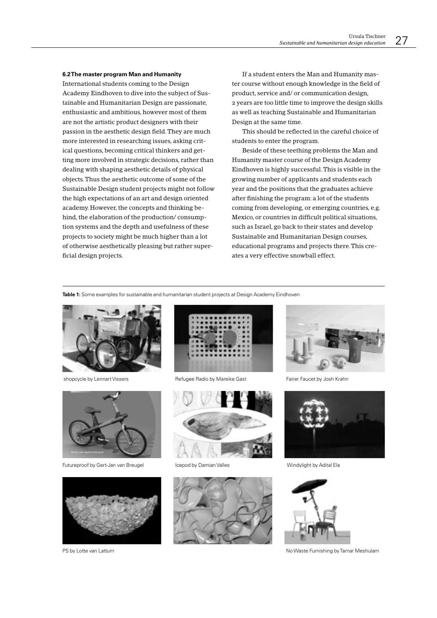#### 6.2 The master program Man and Humanity

International students coming to the Design Academy Eindhoven to dive into the subject of Sustainable and Humanitarian Design are passionate, enthusiastic and ambitious, however most of them are not the artistic product designers with their passion in the aesthetic design field. They are much more interested in researching issues, asking critical questions, becoming critical thinkers and getting more involved in strategic decisions, rather than dealing with shaping aesthetic details of physical objects. Thus the aesthetic outcome of some of the Sustainable Design student projects might not follow the high expectations of an art and design oriented academy. However, the concepts and thinking behind, the elaboration of the production/consumption systems and the depth and usefulness of these projects to society might be much higher than a lot of otherwise aesthetically pleasing but rather superficial design projects.

If a student enters the Man and Humanity master course without enough knowledge in the field of product, service and/ or communication design, 2 years are too little time to improve the design skills as well as teaching Sustainable and Humanitarian Design at the same time.

This should be reflected in the careful choice of students to enter the program.

Beside of these teething problems the Man and Humanity master course of the Design Academy Eindhoven is highly successful. This is visible in the growing number of applicants and students each year and the positions that the graduates achieve after finishing the program: a lot of the students coming from developing, or emerging countries, e.g. Mexico, or countries in difficult political situations, such as Israel, go back to their states and develop Sustainable and Humanitarian Design courses, educational programs and projects there. This creates a very effective snowball effect.

Table 1: Some examples for sustainable and humanitarian student projects at Design Academy Eindhoven



shopcycle by Lennart Vissers



Futureproof by Gert-Jan van Breugel



Refugee Radio by Mareike Gast



Icenod by Damian Valles



Fairer Faucet by Josh Krahn



Windylight by Adital Ela



No Waste Furnishing by Tamar Meshulam



PS by Lotte van Lattum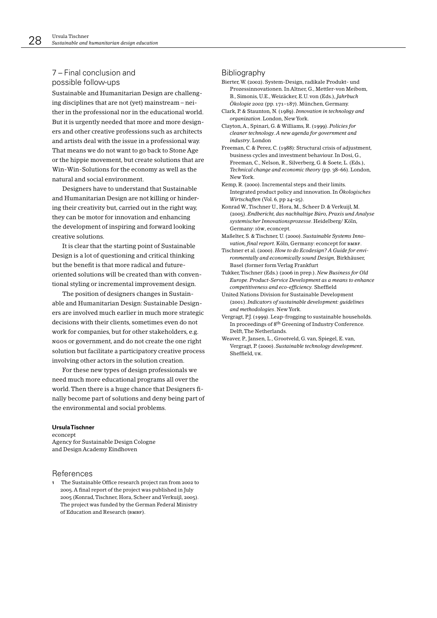# 7 – Final conclusion and possible follow-ups

Sustainable and Humanitarian Design are challenging disciplines that are not (yet) mainstream – neither in the professional nor in the educational world. But it is urgently needed that more and more designers and other creative professions such as architects and artists deal with the issue in a professional way. That means we do not want to go back to Stone Age or the hippie movement, but create solutions that are Win-Win-Solutions for the economy as well as the natural and social environment.

Designers have to understand that Sustainable and Humanitarian Design are not killing or hindering their creativity but, carried out in the right way, they can be motor for innovation and enhancing the development of inspiring and forward looking creative solutions.

It is clear that the starting point of Sustainable Design is a lot of questioning and critical thinking but the benefit is that more radical and futureoriented solutions will be created than with conventional styling or incremental improvement design.

The position of designers changes in Sustainable and Humanitarian Design: Sustainable Designers are involved much earlier in much more strategic decisions with their clients, sometimes even do not work for companies, but for other stakeholders, e.g. NGOS or government, and do not create the one right solution but facilitate a participatory creative process involving other actors in the solution creation.

For these new types of design professionals we need much more educational programs all over the world. Then there is a huge chance that Designers finally become part of solutions and deny being part of the environmental and social problems.

#### **HeulaTischner**

econcept Agency for Sustainable Design Cologne and Design Academy Eindhoven

#### References

1 The Sustainable Office research project ran from 2002 to 2005. A final report of the project was published in July 2005 (Konrad, Tischner, Hora, Scheer and Verkuijl, 2005). The project was funded by the German Federal Ministry of Education and Research (вмвг).

## Bibliography

- Bierter, W. (2002). System-Design, radikale Produkt- und Prozessinnovationen In Altner G. Mettler-von Meibom B., Simonis, U.E., Weizäcker, E.U. von (Eds.), Jahrbuch Ökologie 2002 (pp. 171-187). München, Germany.
- Clark, P. & Staunton, N. (1989). Innovation in technology and organization. London, New York.
- Clayton, A., Spinari, G. & Williams, R. (1999). Policies for cleaner technology. A new agenda for government and industry. London
- Freeman, C. & Perez, C. (1988): Structural crisis of adjustment, business cycles and investment behaviour. In Dosi, G., Freeman, C., Nelson, R., Silverberg, G. & Soete, L. (Eds.), Technical change and economic theory (pp. 38-66). London, New York
- Kemp, R. (2000). Incremental steps and their limits. Integrated product policy and innovation. In Ökologisches Wirtschaften (Vol. 6, pp 24-25).

Konrad W., Tischner U., Hora, M., Scheer D. & Verkuijl, M. (2005). Endbericht, das nachhaltige Büro, Praxis und Analyse systemischer Innovationsprozesse. Heidelberg/Köln, Germany: 1öw, econcept.

- Maßelter, S. & Tischner, U. (2000). Sustainable Systems Innovation, final report, Köln, Germany: econcept for BMBF.
- Tischner et al. (2000). How to do Ecodesign? A Guide for environmentally and economically sound Design, Birkhäuser, Basel (former form Verlag Frankfurt

Tukker, Tischner (Eds.) (2006 in prep.). New Business for Old Europe. Product-Service Development as a means to enhance competitiveness and eco-efficiency. Sheffield

United Nations Division for Sustainable Development (2001). Indicators of sustainable development: guidelines and methodologies. New York.

- Vergragt, P.J. (1999). Leap-frogging to sustainable households. In proceedings of 8<sup>th</sup> Greening of Industry Conference. Delft, The Netherlands.
- Weaver, P., Jansen, L., Grootveld, G. van, Spiegel, E. van, Vergragt, P. (2000). Sustainable technology development. Sheffield. UK.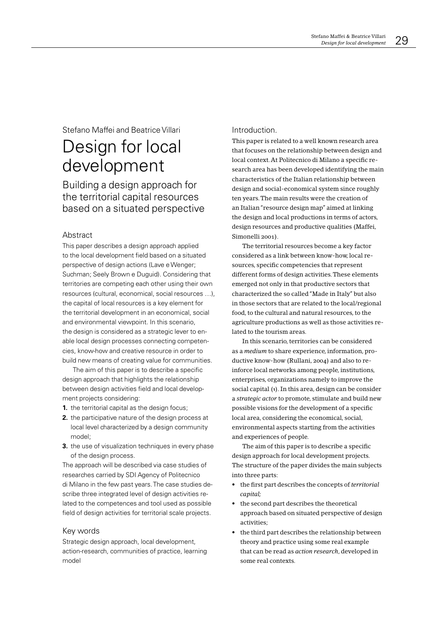# Stefano Maffei and Beatrice Villari

# Design for local development

Building a design approach for the territorial capital resources based on a situated perspective

## Abstract

This paper describes a design approach applied to the local development field based on a situated perspective of design actions (Lave e Wenger; Suchman; Seely Brown e Duguid). Considering that territories are competing each other using their own resources (cultural, economical, social resources ...), the capital of local resources is a key element for the territorial development in an economical, social and environmental viewpoint. In this scenario, the design is considered as a strategic lever to enable local design processes connecting competencies, know-how and creative resource in order to build new means of creating value for communities.

The aim of this paper is to describe a specific design approach that highlights the relationship between design activities field and local development projects considering:

- 1. the territorial capital as the design focus;
- 2. the participative nature of the design process at local level characterized by a design community model;
- 3. the use of visualization techniques in every phase of the design process.

The approach will be described via case studies of researches carried by SDI Agency of Politecnico di Milano in the few past years. The case studies describe three integrated level of design activities related to the competences and tool used as possible field of design activities for territorial scale projects.

### Key words

Strategic design approach, local development, action-research, communities of practice, learning model

## Introduction.

This paper is related to a well known research area that focuses on the relationship between design and local context. At Politecnico di Milano a specific research area has been developed identifying the main characteristics of the Italian relationship between design and social-economical system since roughly ten years. The main results were the creation of an Italian "resource design map" aimed at linking the design and local productions in terms of actors, design resources and productive qualities (Maffei, Simonelli 2001).

The territorial resources become a key factor considered as a link between know-how, local resources, specific competencies that represent different forms of design activities. These elements emerged not only in that productive sectors that characterized the so called "Made in Italy" but also in those sectors that are related to the local/regional food, to the cultural and natural resources, to the agriculture productions as well as those activities related to the tourism areas.

In this scenario, territories can be considered as a medium to share experience, information, productive know-how (Rullani, 2004) and also to reinforce local networks among people, institutions, enterprises, organizations namely to improve the social capital (1). In this area, design can be consider a strategic actor to promote, stimulate and build new possible visions for the development of a specific local area, considering the economical, social, environmental aspects starting from the activities and experiences of people.

The aim of this paper is to describe a specific design approach for local development projects. The structure of the paper divides the main subjects into three parts:

- the first part describes the concepts of *territorial* capital:
- the second part describes the theoretical approach based on situated perspective of design activities;
- the third part describes the relationship between theory and practice using some real example that can be read as *action research*, developed in some real contexts.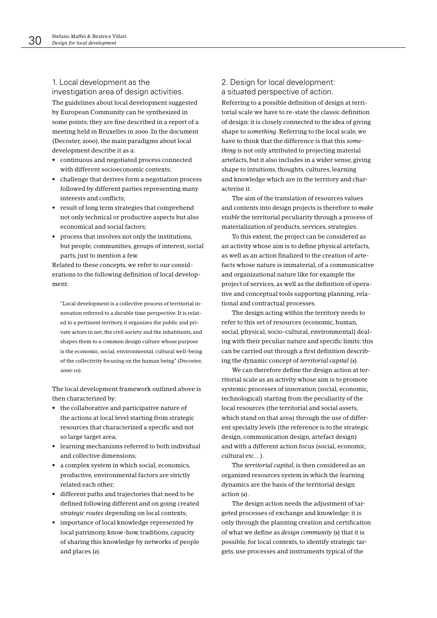## 1. Local development as the investigation area of design activities.

The guidelines about local development suggested by European Community can be synthesized in some points; they are fine described in a report of a meeting held in Bruxelles in 2000. In the document (Decoster, 2000), the main paradigms about local development describe it as a:

- continuous and negotiated process connected with different socioeconomic contexts;
- challenge that derives form a negotiation process followed by different parties representing many interests and conflicts:
- result of long term strategies that comprehend not only technical or productive aspects but also economical and social factors;
- process that involves not only the institutions, but people, communities, groups of interest, social parts, just to mention a few.

Related to these concepts, we refer to our considerations to the following definition of local development:

"Local development is a collective process of territorial innovation referred to a durable time perspective. It is related to a pertinent territory, it organizes the public and private actors in net, the civil society and the inhabitants, and shapes them to a common design culture whose purpose is the economic, social, environmental, cultural well-being of the collectivity focusing on the human being" (Decoster,  $2000:10$ 

The local development framework outlined above is then characterized by:

- the collaborative and participative nature of the actions at local level starting from strategic resources that characterized a specific and not so large target area;
- learning mechanisms referred to both individual and collective dimensions:
- a complex system in which social, economics, productive, environmental factors are strictly related each other:
- different paths and trajectories that need to be defined following different and on going created strategic routes depending on local contexts:
- importance of local knowledge represented by local patrimony, know-how, traditions, capacity of sharing this knowledge by networks of people and places (2).

## 2. Design for local development: a situated perspective of action.

Referring to a possible definition of design at territorial scale we have to re-state the classic definition of design: it is closely connected to the idea of giving shape to something. Referring to the local scale, we have to think that the difference is that this some*thing* is not only attributed to projecting material artefacts, but it also includes in a wider sense, giving shape to intuitions, thoughts, cultures, learning and knowledge which are in the territory and characterise it.

The aim of the translation of resources values and contents into design projects is therefore to make visible the territorial peculiarity through a process of materialization of products, services, strategies.

To this extent, the project can be considered as an activity whose aim is to define physical artefacts. as well as an action finalized to the creation of artefacts whose nature is immaterial, of a communicative and organizational nature like for example the project of services, as well as the definition of operative and conceptual tools supporting planning, relational and contractual processes.

The design acting within the territory needs to refer to this set of resources (economic, human, social, physical, socio-cultural, environmental) dealing with their peculiar nature and specific limits: this can be carried out through a first definition describing the dynamic concept of *territorial capital* (3).

We can therefore define the design action at territorial scale as an activity whose aim is to promote systemic processes of innovation (social, economic, technological) starting from the peculiarity of the local resources (the territorial and social assets. which stand on that area) through the use of different specialty levels (the reference is to the strategic design, communication design, artefact design) and with a different action focus (social, economic, cultural etc )

The territorial capital, is then considered as an organized resources system in which the learning dynamics are the basis of the territorial design action (4).

The design action needs the adjustment of targeted processes of exchange and knowledge: it is only through the planning creation and certification of what we define as *design community* (5) that it is possible, for local contexts, to identify strategic targets, use processes and instruments typical of the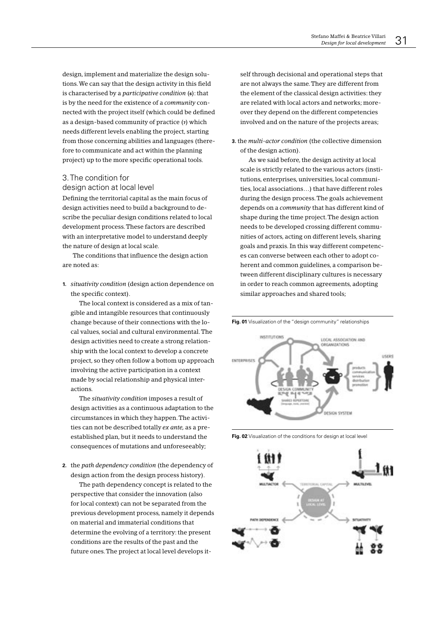design, implement and materialize the design solutions. We can say that the design activity in this field is characterised by a *participative condition*  $(6)$ : that is by the need for the existence of a *community* connected with the project itself (which could be defined as a design-based community of practice (7) which needs different levels enabling the project, starting from those concerning abilities and languages (therefore to communicate and act within the planning project) up to the more specific operational tools.

## 3. The condition for design action at local level

Defining the territorial capital as the main focus of design activities need to build a background to describe the peculiar design conditions related to local development process. These factors are described with an interpretative model to understand deeply the nature of design at local scale.

The conditions that influence the design action are noted as:

1. situativity condition (design action dependence on the specific context).

The local context is considered as a mix of tangible and intangible resources that continuously change because of their connections with the local values, social and cultural environmental. The design activities need to create a strong relationship with the local context to develop a concrete project, so they often follow a bottom up approach involving the active participation in a context made by social relationship and physical interactions.

The situativity condition imposes a result of design activities as a continuous adaptation to the circumstances in which they happen. The activities can not be described totally ex ante, as a preestablished plan, but it needs to understand the consequences of mutations and unforeseeably;

2. the path dependency condition (the dependency of design action from the design process history).

The path dependency concept is related to the perspective that consider the innovation (also for local context) can not be separated from the previous development process, namely it depends on material and immaterial conditions that determine the evolving of a territory: the present conditions are the results of the past and the future ones. The project at local level develops itself through decisional and operational steps that are not always the same. They are different from the element of the classical design activities: they are related with local actors and networks; moreover they depend on the different competencies involved and on the nature of the projects areas;

3. the multi-actor condition (the collective dimension of the design action).

As we said before, the design activity at local scale is strictly related to the various actors (institutions, enterprises, universities, local communities, local associations...) that have different roles during the design process. The goals achievement depends on a community that has different kind of shape during the time project. The design action needs to be developed crossing different communities of actors, acting on different levels, sharing goals and praxis. In this way different competences can converse between each other to adopt coherent and common guidelines, a comparison between different disciplinary cultures is necessary in order to reach common agreements, adopting similar approaches and shared tools;





Fig. 02 Visualization of the conditions for design at local level

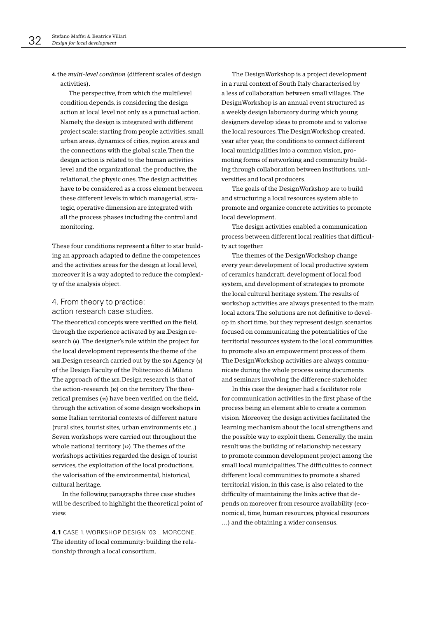4. the multi-level condition (different scales of design activities).

The perspective, from which the multilevel condition depends, is considering the design action at local level not only as a punctual action. Namely, the design is integrated with different project scale: starting from people activities, small urban areas, dynamics of cities, region areas and the connections with the global scale. Then the design action is related to the human activities level and the organizational, the productive, the relational, the physic ones. The design activities have to be considered as a cross element between these different levels in which managerial, strategic, operative dimension are integrated with all the process phases including the control and monitoring.

These four conditions represent a filter to star building an approach adapted to define the competences and the activities areas for the design at local level, moreover it is a way adopted to reduce the complexity of the analysis object.

# 4. From theory to practice: action research case studies.

The theoretical concepts were verified on the field, through the experience activated by ME. Design research (8). The designer's role within the project for the local development represents the theme of the ME. Design research carried out by the spi Agency (9) of the Design Faculty of the Politecnico di Milano. The approach of the ME. Design research is that of the action-research (10) on the territory. The theoretical premises (11) have been verified on the field, through the activation of some design workshops in some Italian territorial contexts of different nature (rural sites, tourist sites, urban environments etc..) Seven workshops were carried out throughout the whole national territory (12). The themes of the workshops activities regarded the design of tourist services, the exploitation of the local productions, the valorisation of the environmental, historical, cultural heritage.

In the following paragraphs three case studies will be described to highlight the theoretical point of  $v$ iew

4.1 CASE 1. WORKSHOP DESIGN '03 \_ MORCONE. The identity of local community: building the relationship through a local consortium.

The DesignWorkshop is a project development in a rural context of South Italy characterised by a less of collaboration between small villages. The DesignWorkshop is an annual event structured as a weekly design laboratory during which young designers develop ideas to promote and to valorise the local resources. The DesignWorkshop created, year after year, the conditions to connect different local municipalities into a common vision, promoting forms of networking and community building through collaboration between institutions, universities and local producers.

The goals of the DesignWorkshop are to build and structuring a local resources system able to promote and organize concrete activities to promote local development.

The design activities enabled a communication process between different local realities that difficulty act together.

The themes of the DesignWorkshop change every year: development of local productive system of ceramics handcraft, development of local food system, and development of strategies to promote the local cultural heritage system. The results of workshop activities are always presented to the main local actors. The solutions are not definitive to develop in short time, but they represent design scenarios focused on communicating the potentialities of the territorial resources system to the local communities to promote also an empowerment process of them. The DesignWorkshop activities are always communicate during the whole process using documents and seminars involving the difference stakeholder.

In this case the designer had a facilitator role for communication activities in the first phase of the process being an element able to create a common vision. Moreover, the design activities facilitated the learning mechanism about the local strengthens and the possible way to exploit them. Generally, the main result was the building of relationship necessary to promote common development project among the small local municipalities. The difficulties to connect different local communities to promote a shared territorial vision, in this case, is also related to the difficulty of maintaining the links active that depends on moreover from resource availability (economical, time, human resources, physical resources ...) and the obtaining a wider consensus.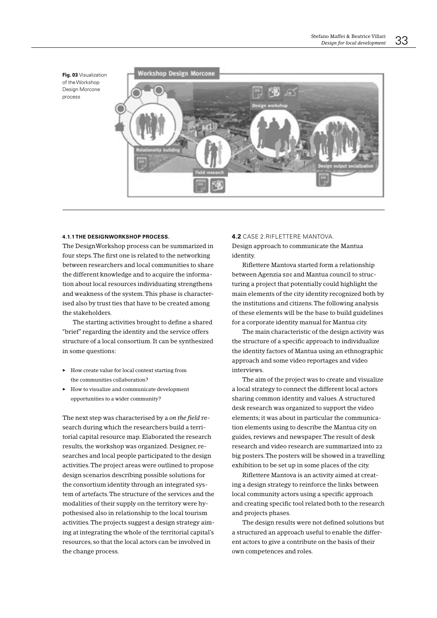Fig. 03 Visualization of the Workshon Design Morcone process



#### 4.1.1 THE DESIGNWORKSHOP PROCESS.

The DesignWorkshop process can be summarized in four steps. The first one is related to the networking between researchers and local communities to share the different knowledge and to acquire the information about local resources individuating strengthens and weakness of the system. This phase is characterised also by trust ties that have to be created among the stakeholders.

The starting activities brought to define a shared "brief" regarding the identity and the service offers structure of a local consortium. It can be synthesized in some questions:

- $\blacktriangleright$  How create value for local context starting from the communities collaboration?
- $\blacktriangleright$  How to visualize and communicate development opportunities to a wider community?

The next step was characterised by a on the field research during which the researchers build a territorial capital resource map. Elaborated the research results, the workshop was organized. Designer, researches and local people participated to the design activities. The project areas were outlined to propose design scenarios describing possible solutions for the consortium identity through an integrated system of artefacts. The structure of the services and the modalities of their supply on the territory were hypothesised also in relationship to the local tourism activities. The projects suggest a design strategy aiming at integrating the whole of the territorial capital's resources, so that the local actors can be involved in the change process.

#### 4.2 CASE 2.RIFLETTERE MANTOVA.

Design approach to communicate the Mantua identity.

Riflettere Mantova started form a relationship between Agenzia spi and Mantua council to structuring a project that potentially could highlight the main elements of the city identity recognized both by the institutions and citizens. The following analysis of these elements will be the base to build guidelines for a corporate identity manual for Mantua city.

The main characteristic of the design activity was the structure of a specific approach to individualize the identity factors of Mantua using an ethnographic approach and some video reportages and video interviews.

The aim of the project was to create and visualize a local strategy to connect the different local actors sharing common identity and values. A structured desk research was organized to support the video elements; it was about in particular the communication elements using to describe the Mantua city on guides, reviews and newspaper. The result of desk research and video research are summarized into 22 big posters. The posters will be showed in a travelling exhibition to be set up in some places of the city.

Riflettere Mantova is an activity aimed at creating a design strategy to reinforce the links between local community actors using a specific approach and creating specific tool related both to the research and projects phases.

The design results were not defined solutions but a structured an approach useful to enable the different actors to give a contribute on the basis of their own competences and roles.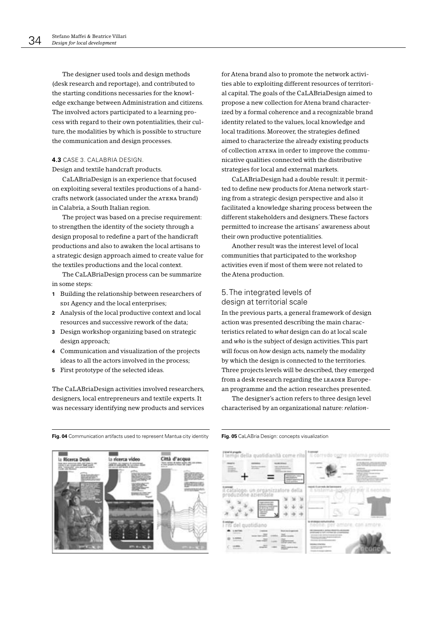The designer used tools and design methods (desk research and reportage), and contributed to the starting conditions necessaries for the knowledge exchange between Administration and citizens. The involved actors participated to a learning process with regard to their own potentialities, their culture, the modalities by which is possible to structure the communication and design processes.

#### 4.3 CASE 3. CALABRIA DESIGN.

Design and textile handcraft products.

CaLABriaDesign is an experience that focused on exploiting several textiles productions of a handcrafts network (associated under the ATENA brand) in Calabria, a South Italian region.

The project was based on a precise requirement: to strengthen the identity of the society through a design proposal to redefine a part of the handicraft productions and also to awaken the local artisans to a strategic design approach aimed to create value for the textiles productions and the local context.

The CaLABriaDesign process can be summarize in some steps:

- 1 Building the relationship between researchers of spi Agency and the local enterprises;
- 2 Analysis of the local productive context and local resources and successive rework of the data;
- 3 Design workshop organizing based on strategic design approach;
- 4 Communication and visualization of the projects ideas to all the actors involved in the process:
- 5 First prototype of the selected ideas.

The CaLABriaDesign activities involved researchers, designers, local entrepreneurs and textile experts. It was necessary identifying new products and services for Atena brand also to promote the network activities able to exploiting different resources of territorial capital. The goals of the CaLABriaDesign aimed to propose a new collection for Atena brand characterized by a formal coherence and a recognizable brand identity related to the values, local knowledge and local traditions. Moreover, the strategies defined aimed to characterize the already existing products of collection ATENA in order to improve the communicative qualities connected with the distributive strategies for local and external markets.

CaLABriaDesign had a double result: it permitted to define new products for Atena network starting from a strategic design perspective and also it facilitated a knowledge sharing process between the different stakeholders and designers. These factors permitted to increase the artisans' awareness about their own productive potentialities.

Another result was the interest level of local communities that participated to the workshop activities even if most of them were not related to the Atena production.

## 5. The integrated levels of design at territorial scale

In the previous parts, a general framework of design action was presented describing the main characteristics related to what design can do at local scale and who is the subject of design activities. This part will focus on how design acts, namely the modality by which the design is connected to the territories. Three projects levels will be described, they emerged from a desk research regarding the LEADER European programme and the action researches presented.

The designer's action refers to three design level characterised by an organizational nature: relation-



Fig. 04 Communication artifacts used to represent Mantua city identity Fig. 05 CaLABria Design: concepts visualization

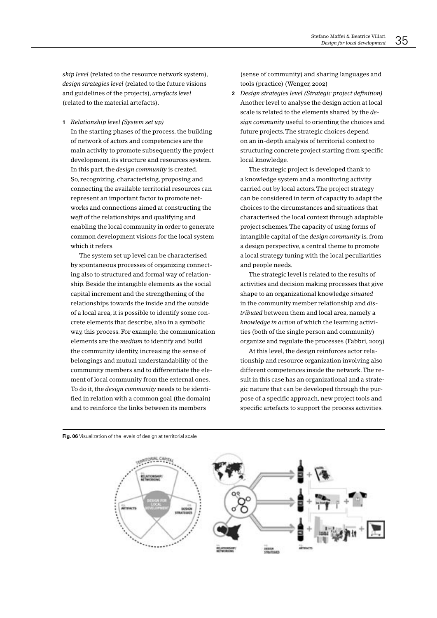ship level (related to the resource network system), design strategies level (related to the future visions and guidelines of the projects), artefacts level (related to the material artefacts).

1 Relationship level (System set up)

In the starting phases of the process, the building of network of actors and competencies are the main activity to promote subsequently the project development, its structure and resources system. In this part, the *design community* is created. So, recognizing, characterising, proposing and connecting the available territorial resources can represent an important factor to promote networks and connections aimed at constructing the weft of the relationships and qualifying and enabling the local community in order to generate common development visions for the local system which it refers.

The system set up level can be characterised by spontaneous processes of organizing connecting also to structured and formal way of relationship. Beside the intangible elements as the social capital increment and the strengthening of the relationships towards the inside and the outside of a local area, it is possible to identify some concrete elements that describe, also in a symbolic way, this process. For example, the communication elements are the *medium* to identify and build the community identity, increasing the sense of belongings and mutual understandability of the community members and to differentiate the element of local community from the external ones. To do it, the *design community* needs to be identified in relation with a common goal (the domain) and to reinforce the links between its members

(sense of community) and sharing languages and tools (practice) (Wenger, 2002)

2 Design strategies level (Strategic project definition) Another level to analyse the design action at local scale is related to the elements shared by the design community useful to orienting the choices and future projects. The strategic choices depend on an in-depth analysis of territorial context to structuring concrete project starting from specific local knowledge.

The strategic project is developed thank to a knowledge system and a monitoring activity carried out by local actors. The project strategy can be considered in term of capacity to adapt the choices to the circumstances and situations that characterised the local context through adaptable project schemes. The capacity of using forms of intangible capital of the design community is, from a design perspective, a central theme to promote a local strategy tuning with the local peculiarities and people needs.

The strategic level is related to the results of activities and decision making processes that give shape to an organizational knowledge situated in the community member relationship and distributed between them and local area, namely a knowledge in action of which the learning activities (both of the single person and community) organize and regulate the processes (Fabbri, 2003)

At this level, the design reinforces actor relationship and resource organization involving also different competences inside the network. The result in this case has an organizational and a strategic nature that can be developed through the purpose of a specific approach, new project tools and specific artefacts to support the process activities.



Fig. 06 Visualization of the levels of design at territorial scale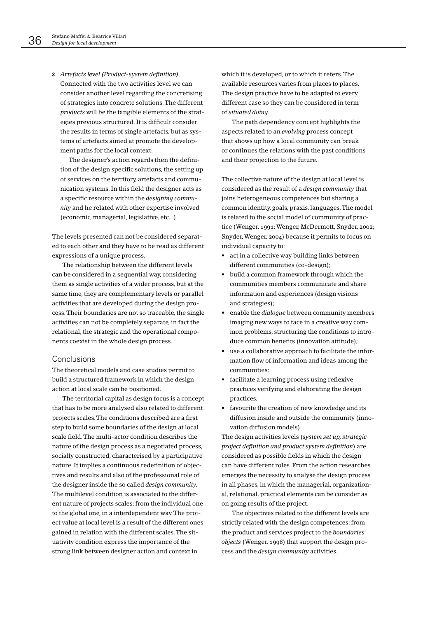3 Artefacts level (Product-system definition) Connected with the two activities level we can consider another level regarding the concretising of strategies into concrete solutions. The different products will be the tangible elements of the strategies previous structured. It is difficult consider the results in terms of single artefacts, but as systems of artefacts aimed at promote the development paths for the local context.

The designer's action regards then the definition of the design specific solutions, the setting up of services on the territory, artefacts and communication systems. In this field the designer acts as a specific resource within the designing community and he related with other expertise involved (economic, managerial, legislative, etc...).

The levels presented can not be considered separated to each other and they have to be read as different expressions of a unique process.

The relationship between the different levels can be considered in a sequential way, considering them as single activities of a wider process, but at the same time, they are complementary levels or parallel activities that are developed during the design process. Their boundaries are not so traceable, the single activities can not be completely separate, in fact the relational, the strategic and the operational components coexist in the whole design process.

### Conclusions

The theoretical models and case studies permit to build a structured framework in which the design action at local scale can be positioned.

The territorial capital as design focus is a concept that has to be more analysed also related to different projects scales. The conditions described are a first step to build some boundaries of the design at local scale field. The multi-actor condition describes the nature of the design process as a negotiated process. socially constructed, characterised by a participative nature. It implies a continuous redefinition of objectives and results and also of the professional role of the designer inside the so called *design community*. The multilevel condition is associated to the different nature of projects scales: from the individual one to the global one, in a interdependent way. The project value at local level is a result of the different ones gained in relation with the different scales. The situativity condition express the importance of the strong link between designer action and context in

which it is developed, or to which it refers. The available resources varies from places to places. The design practice have to be adapted to every different case so they can be considered in term of situated doing.

The path dependency concept highlights the aspects related to an evolving process concept that shows up how a local community can break or continues the relations with the past conditions and their projection to the future.

The collective nature of the design at local level is considered as the result of a *design community* that joins heterogeneous competences but sharing a common identity, goals, praxis, languages. The model is related to the social model of community of practice (Wenger, 1991; Wenger, McDermott, Snyder, 2002; Snyder, Wenger, 2004) because it permits to focus on individual capacity to:

- act in a collective way building links between different communities (co-design);
- build a common framework through which the communities members communicate and share information and experiences (design visions and strategies);
- enable the dialogue between community members imaging new ways to face in a creative way common problems, structuring the conditions to introduce common benefits (innovation attitude);
- use a collaborative approach to facilitate the information flow of information and ideas among the communities:
- facilitate a learning process using reflexive practices verifying and elaborating the design practices:
- favourite the creation of new knowledge and its diffusion inside and outside the community (innovation diffusion models).

The design activities levels (system set up, strategic project definition and product system definition) are considered as possible fields in which the design can have different roles. From the action researches emerges the necessity to analyse the design process in all phases, in which the managerial, organizational, relational, practical elements can be consider as on going results of the project.

The objectives related to the different levels are strictly related with the design competences: from the product and services project to the boundaries objects (Wenger, 1998) that support the design process and the *design community* activities.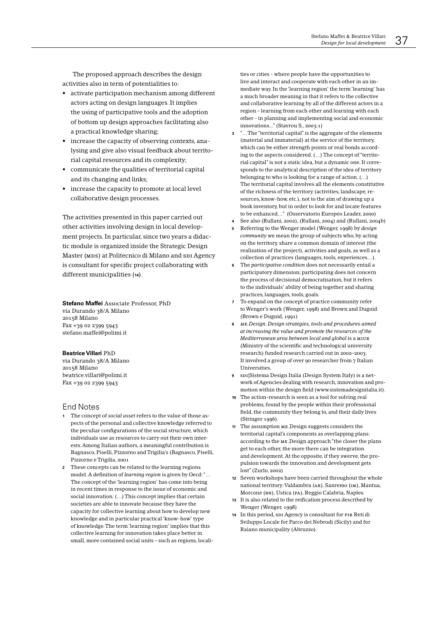The proposed approach describes the design activities also in term of potentialities to:

- activate participation mechanism among different actors acting on design languages. It implies the using of participative tools and the adoption of bottom up design approaches facilitating also a practical knowledge sharing;
- increase the capacity of observing contexts, analysing and give also visual feedback about territorial capital resources and its complexity;
- communicate the qualities of territorial capital and its changing and links;
- increase the capacity to promote at local level collaborative design processes.

The activities presented in this paper carried out other activities involving design in local development projects. In particular, since two years a didactic module is organized inside the Strategic Design Master (MDS) at Politecnico di Milano and SDI Agency is consultant for specific project collaborating with different municipalities (14).

Stefano Maffei Associate Professor, PhD via Durando 38/A Milano 20158 Milano Fax +39 02 2399 5943 stefano.maffei@polimi.it

#### **Beatrice Villari PhD**

via Durando 38/A Milano 20158 Milano beatrice.villari@polimi.it Fax +39 02 2399 5943

### **Fnd Notes**

- 1 The concept of social asset refers to the value of those aspects of the personal and collective knowledge referred to the peculiar configurations of the social structure, which individuals use as resources to carry out their own interests. Among Italian authors, a meaningful contribution is Bagnasco, Piselli, Pizzorno and Trigilia's (Bagnasco, Piselli, Pizzorno e Trigilia, 2001
- 2 These concepts can be related to the learning regions model. A definition of *learning region* is given by Oecd:"... The concept of the 'learning region' has come into being in recent times in response to the issue of economic and social innovation. (...) This concept implies that certain societies are able to innovate because they have the capacity for collective learning about how to develop new knowledge and in particular practical 'know-how' type of knowledge. The term 'learning region' implies that this collective learning for innovation takes place better in small, more contained social units - such as regions, locali-

ties or cities - where people have the opportunities to live and interact and cooperate with each other in an immediate way. In the 'learning region' the term 'learning' has a much broader meaning in that it refers to the collective and collaborative learning by all of the different actors in a region – learning from each other and learning with each other - in planning and implementing social and economic innovations..." (Stavrou S., 2003:1)

- $\overline{\mathbf{a}}$ "...The "territorial capital" is the aggregate of the elements (material and immaterial) at the service of the territory, which can be either strength points or real bonds according to the aspects considered. (...) The concept of "territorial capital" is not a static idea, but a dynamic one. It corresponds to the analytical description of the idea of territory belonging to who is looking for a range of action. (...) The territorial capital involves all the elements constitutive of the richness of the territory (activities, landscape, resources, know-how, etc.), not to the aim of drawing up a book inventory, but in order to look for and locate features to be enhanced..." (Osservatorio Europeo Leader, 2000)
- See also (Rullani, 2002), (Rullani, 2004) and (Rullani, 2004b)
- Referring to the Wenger model (Wenger, 1998) by design community we mean the group of subjects who, by acting on the territory, share a common domain of interest (the realization of the project), activities and goals, as well as a collection of practices (languages, tools, experiences...).
- The participative condition does not necessarily entail a participatory dimension; participating does not concern the process of decisional democratisation, but it refers to the individuals' ability of being together and sharing practices, languages, tools, goals.
- 7 To expand on the concept of practice community refer to Wenger's work (Wenger, 1998) and Brown and Duguid (Brown e Duguid, 1991)
- 8 ME. Design. Design strategies, tools and procedures gimed at increasing the value and promote the resources of the Mediterranean area between local and alobal is a MIUR (Ministry of the scientific and technological university research) funded research carried out in 2002-2003. It involved a group of over 90 researcher from 7 Italian **Universities**
- spilSistema Design Italia (Design System Italy) is a network of Agencies dealing with research, innovation and promotion within the design field (www.sistemadesignitalia.it).
- 10 The action-research is seen as a tool for solving real problems, found by the people within their professional field, the community they belong to, and their daily lives (Stringer 1996).
- 11 The assumption ME. Design suggests considers the territorial capital's components as overlapping plans: according to the ME. Design approach "the closer the plans get to each other, the more there can be integration and development. At the opposite, if they swerve, the propulsion towards the innovation and development gets lost" (Zurlo, 2002)
- 12 Seven workshops have been carried throughout the whole national territory: Valdambra (AR), Sanremo (IM), Mantua, Morcone (BN), Ustica (PA), Reggio Calabria, Naples.
- 13 It is also related to the reification process described by Wenger (Wenger, 1998)
- 14 In this period, spi Agency is consultant for PIR Reti di Sviluppo Locale for Parco dei Nebrodi (Sicily) and for Raiano municipality (Abruzzo).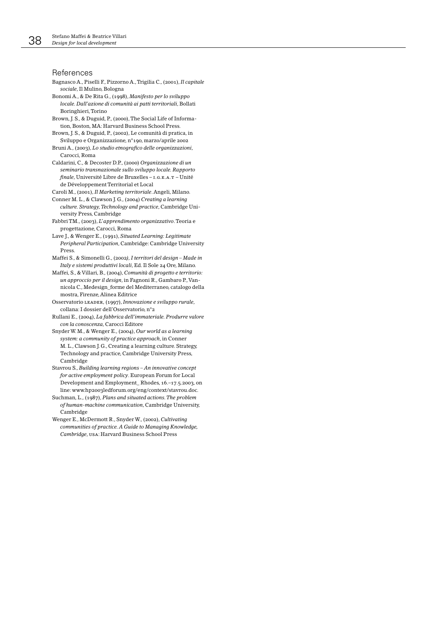### References

- Bagnasco A., Piselli F., Pizzorno A., Trigilia C., (2001), Il capitale sociale Il Mulino Bologna
- Bonomi A., & De Rita G., (1998), Manifesto per lo sviluppo locale. Dall'azione di comunità ai patti territoriali, Bollati Boringhieri Torino
- Brown, J. S., & Duguid, P., (2000), The Social Life of Information, Boston, MA: Harvard Business School Press.
- Brown, J. S., & Duguid, P., (2002), Le comunità di pratica, in Sviluppo e Organizzazione, n°190, marzo/aprile 2002
- Bruni A., (2003), Lo studio etnografico delle organizzazioni, Carocci, Roma

Caldarini, C., & Decoster D.P., (2000) Organizzazione di un seminario transnazionale sullo sviluppo locale. Rapporto finale, Université Libre de Bruxelles - I.G.E.A.T - Unité de Développement Territorial et Local

- Caroli M., (2001). *Il Morketino territoriale*. Angeli. Milano.
- Conner M. L., & Clawson J. G., (2004) Creating a learning culture. Strategy, Technology and practice, Cambridge University Press, Cambridge
- Fabbri TM., (2003), L'apprendimento organizzativo. Teoria e progettazione, Carocci, Roma
- Lave J., & Wenger E., (1991), Situated Learning: Legitimate Peripheral Participation, Cambridge: Cambridge University Press
- Maffei S., & Simonelli G., (2002), I territori del design Made in Italy e sistemi produttivi locali, Ed. Il Sole 24 Ore, Milano.
- Maffei, S., & Villari, B., (2004), Comunità di progetto e territorio: un approccio per il design, in Fagnoni R., Gambaro P., Vannicola C., Medesign\_forme del Mediterraneo, catalogo della mostra, Firenze, Alinea Editrice
- Osservatorio LEADER, (1997), Innovazione e sviluppo rurale, collana: I dossier dell'Osservatorio, n°2
- Rullani E., (2004), La fabbrica dell'immateriale. Produrre valore con la conoscenza. Carocci Editore
- Snyder W. M., & Wenger E., (2004), Our world as a learning system: a community of practice approach, in Conner M. L., Clawson J. G., Creating a learning culture. Strategy, Technology and practice, Cambridge University Press, Cambridge
- Stavrou S., Building learning regions An innovative concept for active employment policy. European Forum for Local Development and Employment\_Rhodes, 16 .- 17.5.2003, on line: www.hp2oo3ledforum.org/eng/context/stavrou.doc.
- Suchman, L., (1987), Plans and situated actions. The problem of human-machine communication, Cambridge University, Cambridge
- Wenger E., McDermott R., Snyder W., (2002), Cultivating communities of practice. A Guide to Managina Knowledge. Cambridge, USA: Harvard Business School Press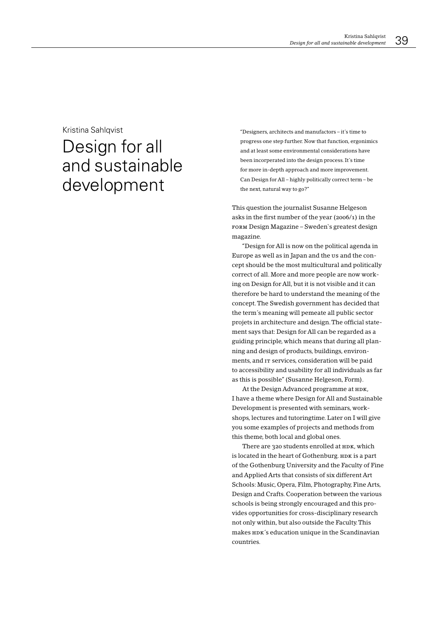### Kristina Sahlgvist

# Design for all and sustainable development

"Designers, architects and manufactors - it's time to progress one step further. Now that function, ergonimics and at least some environmental considerations have been incorperated into the design process. It's time for more in-depth approach and more improvement. Can Design for All – highly politically correct term – be the next, natural way to go?"

This question the journalist Susanne Helgeson asks in the first number of the year (2006/1) in the говм Design Magazine - Sweden's greatest design magazine.

"Design for All is now on the political agenda in Europe as well as in Japan and the us and the concept should be the most multicultural and politically correct of all. More and more people are now working on Design for All, but it is not visible and it can therefore be hard to understand the meaning of the concept. The Swedish government has decided that the term's meaning will pemeate all public sector projets in architecture and design. The official statement says that: Design for All can be regarded as a guiding principle, which means that during all planning and design of products, buildings, environments, and IT services, consideration will be paid to accessibility and usability for all individuals as far as this is possible" (Susanne Helgeson, Form).

At the Design Advanced programme at HDK, I have a theme where Design for All and Sustainable Development is presented with seminars, workshops, lectures and tutoringtime. Later on I will give you some examples of projects and methods from this theme, both local and global ones.

There are 320 students enrolled at HDK, which is located in the heart of Gothenburg. HDK is a part of the Gothenburg University and the Faculty of Fine and Applied Arts that consists of six different Art Schools: Music, Opera, Film, Photography, Fine Arts, Design and Crafts. Cooperation between the various schools is being strongly encouraged and this provides opportunities for cross-disciplinary research not only within, but also outside the Faculty. This makes  $HDX's$  education unique in the Scandinavian countries.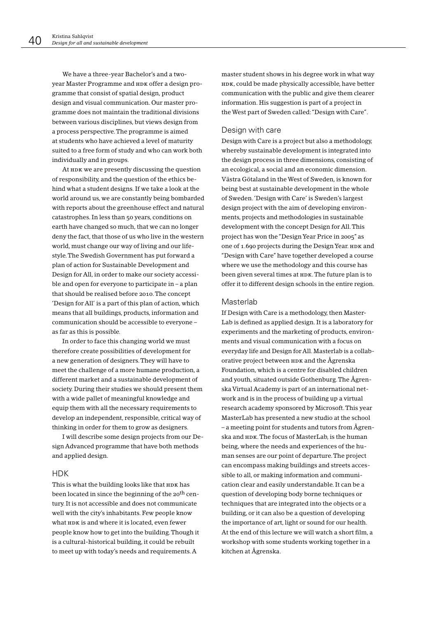We have a three-year Bachelor's and a twoyear Master Programme and HDK offer a design programme that consist of spatial design, product design and visual communication. Our master programme does not maintain the traditional divisions between various disciplines, but views design from a process perspective. The programme is aimed at students who have achieved a level of maturity suited to a free form of study and who can work both individually and in groups.

At HDK we are presently discussing the question of responsibility, and the question of the ethics behind what a student designs. If we take a look at the world around us, we are constantly being bombarded with reports about the greenhouse effect and natural catastrophes. In less than 50 years, conditions on earth have changed so much, that we can no longer deny the fact, that those of us who live in the western world, must change our way of living and our lifestyle. The Swedish Government has put forward a plan of action for Sustainable Development and Design for All, in order to make our society accessible and open for everyone to participate in - a plan that should be realised before 2010. The concept 'Design for All' is a part of this plan of action, which means that all buildings, products, information and communication should be accessible to everyone as far as this is possible.

In order to face this changing world we must therefore create possibilities of development for a new generation of designers. They will have to meet the challenge of a more humane production, a different market and a sustainable development of society. During their studies we should present them with a wide pallet of meaningful knowledge and equip them with all the necessary requirements to develop an independent, responsible, critical way of thinking in order for them to grow as designers.

I will describe some design projects from our Design Advanced programme that have both methods and applied design.

### **HDK**

This is what the building looks like that HDK has been located in since the beginning of the 20<sup>th</sup> century. It is not accessible and does not communicate well with the city's inhabitants. Few people know what HDK is and where it is located, even fewer people know how to get into the building. Though it is a cultural-historical building, it could be rebuilt to meet up with today's needs and requirements. A

master student shows in his degree work in what way HDK, could be made physically accessible, have better communication with the public and give them clearer information. His suggestion is part of a project in the West part of Sweden called: "Design with Care".

### Design with care

Design with Care is a project but also a methodology, whereby sustainable development is integrated into the design process in three dimensions, consisting of an ecological, a social and an economic dimension. Västra Götaland in the West of Sweden, is known for being best at sustainable development in the whole of Sweden. 'Design with Care' is Sweden's largest design project with the aim of developing environments, projects and methodologies in sustainable development with the concept Design for All. This project has won the "Design Year Price in 2005" as one of 1.690 projects during the Design Year. HDK and "Design with Care" have together developed a course where we use the methodology and this course has been given several times at HDK. The future plan is to offer it to different design schools in the entire region.

### Masterlab

If Design with Care is a methodology, then Master-Lab is defined as applied design. It is a laboratory for experiments and the marketing of products, environments and visual communication with a focus on everyday life and Design for All. Masterlab is a collaborative project between  $HDR$  and the Ågrenska Foundation, which is a centre for disabled children and youth, situated outside Gothenburg. The Ågrenska Virtual Academy is part of an international network and is in the process of building up a virtual research academy sponsored by Microsoft. This year MasterLab has presented a new studio at the school - a meeting point for students and tutors from Ågrenska and HDK. The focus of MasterLab, is the human being, where the needs and experiences of the human senses are our point of departure. The project can encompass making buildings and streets accessible to all, or making information and communication clear and easily understandable. It can be a question of developing body borne techniques or techniques that are integrated into the objects or a building, or it can also be a question of developing the importance of art, light or sound for our health. At the end of this lecture we will watch a short film, a workshop with some students working together in a kitchen at Ågrenska.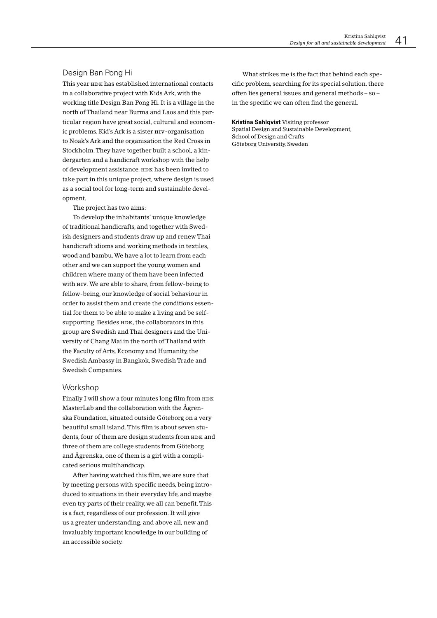### Design Ban Pong Hi

This year HDK has established international contacts in a collaborative project with Kids Ark, with the working title Design Ban Pong Hi. It is a village in the north of Thailand near Burma and Laos and this particular region have great social, cultural and economic problems. Kid's Ark is a sister ни -organisation to Noak's Ark and the organisation the Red Cross in Stockholm. They have together built a school, a kindergarten and a handicraft workshop with the help of development assistance. HDK has been invited to take part in this unique project, where design is used as a social tool for long-term and sustainable development.

The project has two aims:

To develop the inhabitants' unique knowledge of traditional handicrafts, and together with Swedish designers and students draw up and renew Thai handicraft idioms and working methods in textiles. wood and bambu. We have a lot to learn from each other and we can support the young women and children where many of them have been infected with HIV. We are able to share, from fellow-being to fellow-being, our knowledge of social behaviour in order to assist them and create the conditions essential for them to be able to make a living and be selfsupporting. Besides HDK, the collaborators in this group are Swedish and Thai designers and the University of Chang Mai in the north of Thailand with the Faculty of Arts, Economy and Humanity, the Swedish Ambassy in Bangkok, Swedish Trade and Swedish Companies.

### Workshop

Finally I will show a four minutes long film from HDK MasterLab and the collaboration with the Ågrenska Foundation, situated outside Göteborg on a very beautiful small island. This film is about seven students, four of them are design students from HDK and three of them are college students from Göteborg and Ågrenska, one of them is a girl with a complicated serious multihandicap.

After having watched this film, we are sure that by meeting persons with specific needs, being introduced to situations in their everyday life, and maybe even try parts of their reality, we all can benefit. This is a fact, regardless of our profession. It will give us a greater understanding, and above all, new and invaluably important knowledge in our building of an accessible society.

What strikes me is the fact that behind each specific problem, searching for its special solution, there often lies general issues and general methods - so in the specific we can often find the general.

**Kristina Sahlovist Visiting professor** 

Spatial Design and Sustainable Development, School of Design and Crafts Göteborg University, Sweden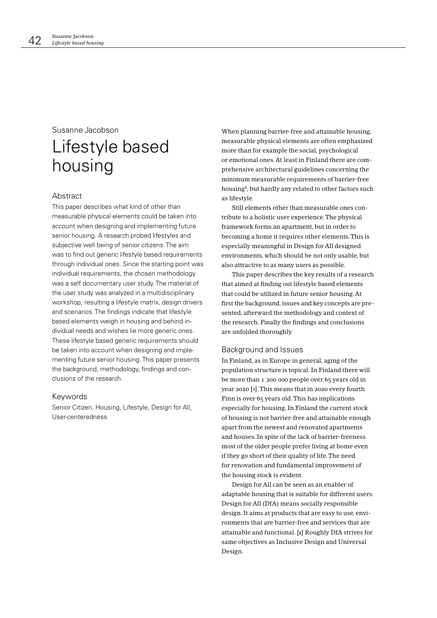# Susanne Jacobson Lifestyle based housing

### **Abstract**

This paper describes what kind of other than measurable physical elements could be taken into account when designing and implementing future senior housing. A research probed lifestyles and subjective well being of senior citizens. The aim was to find out generic lifestyle based requirements through individual ones. Since the starting point was individual requirements, the chosen methodology was a self documentary user study. The material of the user study was analyzed in a multidisciplinary workshop, resulting a lifestyle matrix, design drivers and scenarios. The findings indicate that lifestyle based elements weigh in housing and behind individual needs and wishes lie more generic ones. These lifestyle based generic requirements should be taken into account when designing and implementing future senior housing. This paper presents the background, methodology, findings and conclusions of the research.

### Keywords

Senior Citizen, Housing, Lifestyle, Design for All, User-centeredness

When planning barrier-free and attainable housing, measurable physical elements are often emphasized more than for example the social, psychological or emotional ones. At least in Finland there are comprehensive architectural guidelines concerning the minimum measurable requirements of barrier-free housing<sup>1</sup>, but hardly any related to other factors such as lifestyle.

Still elements other than measurable ones contribute to a holistic user experience. The physical framework forms an apartment, but in order to becoming a home it requires other elements. This is especially meaningful in Design for All designed environments, which should be not only usable, but also attractive to as many users as possible.

This paper describes the key results of a research that aimed at finding out lifestyle based elements that could be utilized in future senior housing. At first the background, issues and key concepts are presented, afterward the methodology and context of the research. Finally the findings and conclusions are unfolded thoroughly.

### Background and Issues

In Finland, as in Europe in general, aging of the population structure is topical. In Finland there will be more than 1 200 000 people over 65 years old in year 2020 [1]. This means that in 2020 every fourth Finn is over 65 years old. This has implications especially for housing. In Finland the current stock of housing is not barrier-free and attainable enough apart from the newest and renovated apartments and houses. In spite of the lack of barrier-freeness most of the older people prefer living at home even if they go short of their quality of life. The need for renovation and fundamental improvement of the housing stock is evident.

Design for All can be seen as an enabler of adaptable housing that is suitable for different users. Design for All (DfA) means socially responsible design. It aims at products that are easy to use, environments that are barrier-free and services that are attainable and functional. [2] Roughly DfA strives for same objectives as Inclusive Design and Universal Design.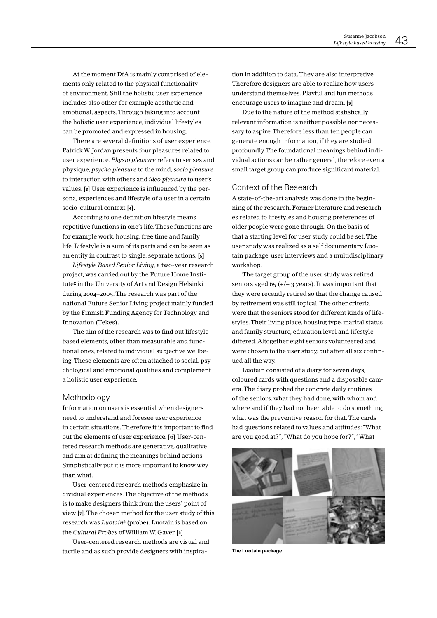At the moment DfA is mainly comprised of elements only related to the physical functionality of environment. Still the holistic user experience includes also other, for example aesthetic and emotional, aspects. Through taking into account the holistic user experience, individual lifestyles can be promoted and expressed in housing.

There are several definitions of user experience. Patrick W. Jordan presents four pleasures related to user experience. Physio pleasure refers to senses and physique, psycho pleasure to the mind, socio pleasure to interaction with others and ideo pleasure to user's values. [3] User experience is influenced by the persona, experiences and lifestyle of a user in a certain socio-cultural context [4].

According to one definition lifestyle means repetitive functions in one's life. These functions are for example work, housing, free time and family life. Lifestyle is a sum of its parts and can be seen as an entity in contrast to single, separate actions. [5]

Lifestyle Based Senior Living, a two-year research project, was carried out by the Future Home Institute<sup>2</sup> in the University of Art and Design Helsinki during 2004-2005. The research was part of the national Future Senior Living project mainly funded by the Finnish Funding Agency for Technology and Innovation (Tekes).

The aim of the research was to find out lifestyle based elements, other than measurable and functional ones, related to individual subjective wellbeing. These elements are often attached to social, psychological and emotional qualities and complement a holistic user experience.

### Methodology

Information on users is essential when designers need to understand and foresee user experience in certain situations. Therefore it is important to find out the elements of user experience. [6] User-centered research methods are generative, qualitative and aim at defining the meanings behind actions. Simplistically put it is more important to know why than what.

User-centered research methods emphasize individual experiences. The objective of the methods is to make designers think from the users' point of view [7]. The chosen method for the user study of this research was Luotain<sup>3</sup> (probe). Luotain is based on the Cultural Probes of William W. Gaver [8].

User-centered research methods are visual and tactile and as such provide designers with inspiration in addition to data. They are also interpretive. Therefore designers are able to realize how users understand themselves. Playful and fun methods encourage users to imagine and dream. [9]

Due to the nature of the method statistically relevant information is neither possible nor necessary to aspire. Therefore less than ten people can generate enough information, if they are studied profoundly. The foundational meanings behind individual actions can be rather general, therefore even a small target group can produce significant material.

### Context of the Research

A state-of-the-art analysis was done in the beginning of the research. Former literature and researches related to lifestyles and housing preferences of older people were gone through. On the basis of that a starting level for user study could be set. The user study was realized as a self documentary Luotain package, user interviews and a multidisciplinary workshop.

The target group of the user study was retired seniors aged 65 ( $+/-$  3 years). It was important that they were recently retired so that the change caused by retirement was still topical. The other criteria were that the seniors stood for different kinds of lifestyles. Their living place, housing type, marital status and family structure, education level and lifestyle differed. Altogether eight seniors volunteered and were chosen to the user study, but after all six continued all the way.

Luotain consisted of a diary for seven days, coloured cards with questions and a disposable camera. The diary probed the concrete daily routines of the seniors: what they had done, with whom and where and if they had not been able to do something, what was the preventive reason for that. The cards had questions related to values and attitudes: "What are you good at?", "What do you hope for?", "What



The Luotain package.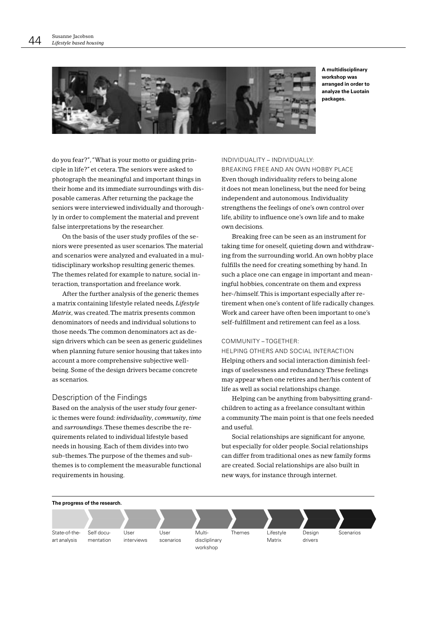

A multidisciplinary workshop was arranged in order to analyze the Luotain packages

do you fear?", "What is your motto or guiding principle in life?" et cetera. The seniors were asked to photograph the meaningful and important things in their home and its immediate surroundings with disposable cameras. After returning the package the seniors were interviewed individually and thoroughly in order to complement the material and prevent false interpretations by the researcher.

On the basis of the user study profiles of the seniors were presented as user scenarios. The material and scenarios were analyzed and evaluated in a multidisciplinary workshop resulting generic themes. The themes related for example to nature, social interaction, transportation and freelance work.

After the further analysis of the generic themes a matrix containing lifestyle related needs, Lifestyle Matrix, was created. The matrix presents common denominators of needs and individual solutions to those needs. The common denominators act as design drivers which can be seen as generic guidelines when planning future senior housing that takes into account a more comprehensive subjective wellbeing. Some of the design drivers became concrete as scenarios.

### Description of the Findings

Based on the analysis of the user study four generic themes were found: individuality, community, time and surroundings. These themes describe the requirements related to individual lifestyle based needs in housing. Each of them divides into two sub-themes. The purpose of the themes and subthemes is to complement the measurable functional requirements in housing.

### INDIVIDUALITY - INDIVIDUALLY:

BREAKING FREE AND AN OWN HOBBY PLACE Even though individuality refers to being alone it does not mean loneliness, but the need for being independent and autonomous. Individuality strengthens the feelings of one's own control over life, ability to influence one's own life and to make own decisions.

Breaking free can be seen as an instrument for taking time for oneself, quieting down and withdrawing from the surrounding world. An own hobby place fulfills the need for creating something by hand. In such a place one can engage in important and meaningful hobbies, concentrate on them and express her-/himself. This is important especially after retirement when one's content of life radically changes. Work and career have often been important to one's self-fulfillment and retirement can feel as a loss.

### COMMUNITY - TOGETHER:

HELPING OTHERS AND SOCIAL INTERACTION Helping others and social interaction diminish feelings of uselessness and redundancy. These feelings may appear when one retires and her/his content of life as well as social relationships change.

Helping can be anything from babysitting grandchildren to acting as a freelance consultant within a community. The main point is that one feels needed and useful.

Social relationships are significant for anyone, but especially for older people. Social relationships can differ from traditional ones as new family forms are created. Social relationships are also built in new ways, for instance through internet.

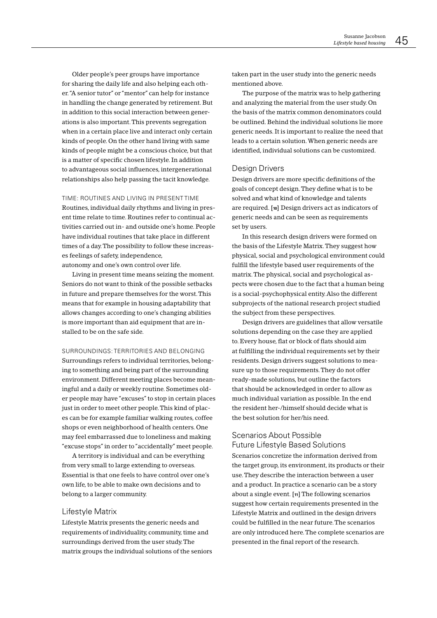Older people's peer groups have importance for sharing the daily life and also helping each other. "A senior tutor" or "mentor" can help for instance in handling the change generated by retirement. But in addition to this social interaction between generations is also important. This prevents segregation when in a certain place live and interact only certain kinds of people. On the other hand living with same kinds of people might be a conscious choice, but that is a matter of specific chosen lifestyle. In addition to advantageous social influences, intergenerational relationships also help passing the tacit knowledge.

TIME: ROUTINES AND LIVING IN PRESENTTIME Routines, individual daily rhythms and living in present time relate to time. Routines refer to continual activities carried out in- and outside one's home. People

have individual routines that take place in different times of a day. The possibility to follow these increases feelings of safety, independence,

autonomy and one's own control over life.

Living in present time means seizing the moment. Seniors do not want to think of the possible setbacks in future and prepare themselves for the worst. This means that for example in housing adaptability that allows changes according to one's changing abilities is more important than aid equipment that are installed to be on the safe side.

SURROUNDINGS: TERRITORIES AND RELONGING

Surroundings refers to individual territories, belonging to something and being part of the surrounding environment. Different meeting places become meaningful and a daily or weekly routine. Sometimes older people may have "excuses" to stop in certain places just in order to meet other people. This kind of places can be for example familiar walking routes, coffee shops or even neighborhood of health centers. One may feel embarrassed due to loneliness and making "excuse stops" in order to "accidentally" meet people.

A territory is individual and can be everything from very small to large extending to overseas. Essential is that one feels to have control over one's own life, to be able to make own decisions and to belong to a larger community.

### Lifestyle Matrix

Lifestyle Matrix presents the generic needs and requirements of individuality, community, time and surroundings derived from the user study. The matrix groups the individual solutions of the seniors taken part in the user study into the generic needs mentioned above.

The purpose of the matrix was to help gathering and analyzing the material from the user study. On the basis of the matrix common denominators could be outlined. Behind the individual solutions lie more generic needs. It is important to realize the need that leads to a certain solution. When generic needs are identified individual solutions can be customized

### Design Drivers

Design drivers are more specific definitions of the goals of concept design. They define what is to be solved and what kind of knowledge and talents are required. [10] Design drivers act as indicators of generic needs and can be seen as requirements set by users.

In this research design drivers were formed on the basis of the Lifestyle Matrix. They suggest how physical, social and psychological environment could fulfill the lifestyle based user requirements of the matrix. The physical, social and psychological aspects were chosen due to the fact that a human being is a social-psychophysical entity. Also the different subprojects of the national research project studied the subject from these perspectives.

Design drivers are guidelines that allow versatile solutions depending on the case they are applied to. Every house, flat or block of flats should aim at fulfilling the individual requirements set by their residents. Design drivers suggest solutions to measure up to those requirements. They do not offer ready-made solutions, but outline the factors that should be acknowledged in order to allow as much individual variation as possible. In the end the resident her-/himself should decide what is the best solution for her/his need

### Scenarios About Possible **Future Lifestyle Based Solutions**

Scenarios concretize the information derived from the target group, its environment, its products or their use. They describe the interaction between a user and a product. In practice a scenario can be a story about a single event. [11] The following scenarios suggest how certain requirements presented in the Lifestyle Matrix and outlined in the design drivers could be fulfilled in the near future. The scenarios are only introduced here. The complete scenarios are presented in the final report of the research.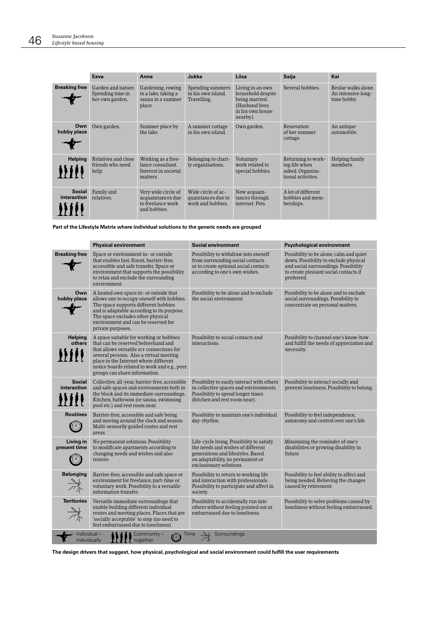|                              | Eeva                                                      | Anne                                                                          | Jukka                                                         | Liisa                                                                                                     | <b>Saija</b>                                                                  | Kai                                                      |
|------------------------------|-----------------------------------------------------------|-------------------------------------------------------------------------------|---------------------------------------------------------------|-----------------------------------------------------------------------------------------------------------|-------------------------------------------------------------------------------|----------------------------------------------------------|
| <b>Breaking free</b>         | Garden and nature.<br>Spending time in<br>her own garden. | Gardening, rowing<br>in a lake, taking a<br>sauna in a summer<br>place.       | Spending summers<br>in his own island.<br>Travelling.         | Living in an own<br>household despite<br>being married.<br>(Husband lives<br>in his own house<br>nearby.) | Several hobbies.                                                              | Reular walks alone.<br>An intensive long-<br>time hobby. |
| Own<br>hobby place           | Own garden.                                               | Summer place by<br>the lake.                                                  | A summer cottage<br>in his own island.                        | Own garden.                                                                                               | Renovation<br>of her summer<br>cottage.                                       | An antique<br>automobile.                                |
| <b>Helping</b>               | Relatives and close<br>friends who need<br>help.          | Working as a free-<br>lance consultant.<br>Interest in societal<br>matters.   | Belonging to chari-<br>ty organizations.                      | Voluntary<br>work related to<br>special hobbies.                                                          | Returning to work-<br>ing life when<br>asked. Organiza-<br>tional activities. | <b>Helping family</b><br>members.                        |
| <b>Social</b><br>interaction | Family and<br>relatives.                                  | Very wide circle of<br>acquaintances due<br>to freelance work<br>and hobbies. | Wide circle of ac-<br>quaintances due to<br>work and hobbies. | New acquain-<br>tances through<br>internet. Pets.                                                         | A lot of different<br>hobbies and mem-<br>berships.                           |                                                          |

Part of the Lifestyle Matrix where individual solutions to the generic needs are grouped

|                                                                                | <b>Physical environment</b>                                                                                                                                                                                                                                                                      | Social environment                                                                                                                                                                 | <b>Psychological environment</b>                                                                                                                                                |  |  |
|--------------------------------------------------------------------------------|--------------------------------------------------------------------------------------------------------------------------------------------------------------------------------------------------------------------------------------------------------------------------------------------------|------------------------------------------------------------------------------------------------------------------------------------------------------------------------------------|---------------------------------------------------------------------------------------------------------------------------------------------------------------------------------|--|--|
| <b>Breaking free</b>                                                           | Space or environment in- or outside<br>that enables fast, fluent, barrier-free,<br>accessible and safe transfer. Space or<br>environment that supports the possibility<br>to relax and exclude the surrounding<br>environment.                                                                   | Possibility to withdraw into oneself<br>from surrounding social contacts<br>or to create optional social contacts<br>according to one's own wishes.                                | Possibility to be alone, calm and quiet<br>down. Possibility to exclude physical<br>and social surroundings. Possibility<br>to create pleasant social contacts if<br>preferred. |  |  |
| Own<br>hobby place                                                             | A heated own space in- or outside that<br>allows one to occupy oneself with hobbies.<br>The space supports different hobbies<br>and is adaptable according to its purpose.<br>The space excludes other physical<br>environment and can be reserved for<br>private purposes.                      | Possibility to be alone and to exclude<br>the social environment.                                                                                                                  | Possibility to be alone and to exclude<br>social surroundings. Possibility to<br>concentrate on personal matters.                                                               |  |  |
| <b>Helping</b><br>others                                                       | A space suitable for working or hobbies<br>that can be reserved beforehand and<br>that allows versatile ICT connections for<br>several persons. Also a virtual meeting<br>place in the Internet where different<br>notice boards related to work and e.g., peer<br>groups can share information. | Possibility to social contacts and<br>interactions.                                                                                                                                | Possibility to channel one's know-how<br>and fulfill the needs of appreciation and<br>necessity.                                                                                |  |  |
| <b>Social</b><br>interaction                                                   | Collective, all-year, barrier-free, accessible<br>and safe spaces and environments both in<br>the block and its immediate surroundings.<br>Kitchen, bathroom (or sauna, swimming<br>pool etc.) and rest room near.                                                                               | Possibility to easily interact with others<br>in collective spaces and environments.<br>Possibility to spend longer times<br>(kitchen and rest room near).                         | Possibility to interact socially and<br>prevent loneliness. Possibility to belong.                                                                                              |  |  |
| <b>Routines</b>                                                                | Barrier-free, accessible and safe being<br>and moving around the clock and season.<br>Multi-sensorily guided routes and rest<br>areas.                                                                                                                                                           | Possibility to maintain one's individual<br>day-rhythm.                                                                                                                            | Possibility to feel independence,<br>autonomy and control over one's life.                                                                                                      |  |  |
| Living in<br>present time                                                      | No permanent solutions. Possibility<br>to modificate apartments according to<br>changing needs and wishes and also<br>restore.                                                                                                                                                                   | Life-cycle living. Possibility to satisfy<br>the needs and wishes of different<br>generations and lifestyles. Based<br>on adaptability, no permanent or<br>exclusionary solutions. | Minimizing the reminder of one's<br>disabilities or growing disability in<br>future.                                                                                            |  |  |
| <b>Belonging</b>                                                               | Barrier-free, accessible and safe space or<br>environment for freelance, part-time or<br>voluntary work. Possibility to a versatile<br>information transfer.                                                                                                                                     | Possibility to return to working life<br>and interaction with professionals.<br>Possibility to participate and affect in<br>society.                                               | Possibility to feel ability to affect and<br>being needed. Relieving the changes<br>caused by retirement.                                                                       |  |  |
| <b>Territories</b>                                                             | Versatile immediate surroundings that<br>enable building different individual<br>routes and meeting places. Places that are<br>'socially acceptable' to stop (no need to<br>feel embarrassed due to loneliness).                                                                                 | Possibility to accidentally run into<br>others without feeling pointed out or<br>embarrassed due to loneliness.                                                                    | Possibility to solve problems caused by<br>loneliness without feeling embarrassed.                                                                                              |  |  |
| Individual-<br>Surroundings<br>Community -<br>Time<br>individually<br>together |                                                                                                                                                                                                                                                                                                  |                                                                                                                                                                                    |                                                                                                                                                                                 |  |  |

The design drivers that suggest, how physical, psychological and social environment could fulfill the user requirements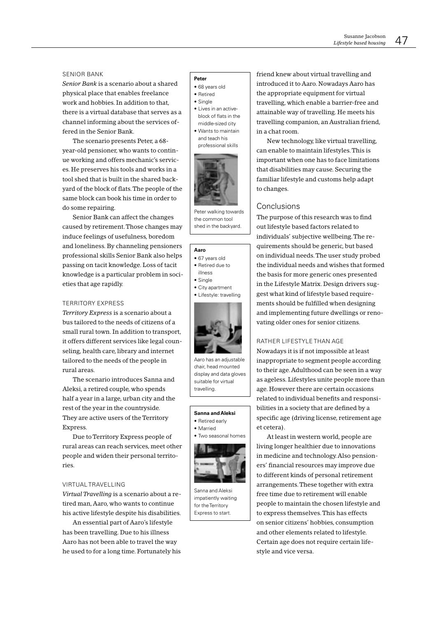#### **SENIOR BANK**

Senior Bank is a scenario about a shared physical place that enables freelance work and hobbies. In addition to that. there is a virtual database that serves as a channel informing about the services offered in the Senior Bank.

The scenario presents Peter, a 68year-old pensioner, who wants to continue working and offers mechanic's services. He preserves his tools and works in a tool shed that is built in the shared backyard of the block of flats. The people of the same block can book his time in order to do some repairing.

Senior Bank can affect the changes caused by retirement. Those changes may induce feelings of usefulness, boredom and loneliness. By channeling pensioners professional skills Senior Bank also helps passing on tacit knowledge. Loss of tacit knowledge is a particular problem in societies that age rapidly.

### **TERRITORY EXPRESS**

Territory Express is a scenario about a bus tailored to the needs of citizens of a small rural town. In addition to transport, it offers different services like legal counseling, health care, library and internet tailored to the needs of the people in rural areas

The scenario introduces Sanna and Aleksi, a retired couple, who spends half a year in a large, urban city and the rest of the year in the countryside. They are active users of the Territory Express.

Due to Territory Express people of rural areas can reach services, meet other people and widen their personal territories.

#### VIRTUAL TRAVELLING

Virtual Travelling is a scenario about a retired man, Aaro, who wants to continue his active lifestyle despite his disabilities.

An essential part of Aaro's lifestyle has been travelling. Due to his illness Aaro has not been able to travel the way he used to for a long time. Fortunately his

#### Peter

- · 68 years old
- Retired
- $\bullet$  Single
- Lives in an activeblock of flats in the middle-sized city
- $\bullet$  Wants to maintain and teach his professional skills



Peter walking towards the common tool shed in the backyard.

#### Aaro

- · 67 years old
- Retired due to
- illness
- Single
- City apartment · Lifestyle: travelling



Aaro has an adiustable chair, head mounted display and data gloves suitable for virtual travelling.

### Sanna and Aleksi

- Retired early
- Married





Sanna and Aleksi impatiently waiting for the Territory Express to start

friend knew about virtual travelling and introduced it to Aaro. Nowadays Aaro has the appropriate equipment for virtual travelling, which enable a barrier-free and attainable way of travelling. He meets his travelling companion, an Australian friend. in a chat room.

New technology, like virtual travelling, can enable to maintain lifestyles. This is important when one has to face limitations that disabilities may cause. Securing the familiar lifestyle and customs help adapt to changes.

### Conclusions

The purpose of this research was to find out lifestyle based factors related to individuals' subjective wellbeing. The requirements should be generic, but based on individual needs. The user study probed the individual needs and wishes that formed the basis for more generic ones presented in the Lifestyle Matrix. Design drivers suggest what kind of lifestyle based requirements should be fulfilled when designing and implementing future dwellings or renovating older ones for senior citizens.

### RATHER LIFESTYLE THAN AGE

Nowadays it is if not impossible at least inappropriate to segment people according to their age. Adulthood can be seen in a way as ageless. Lifestyles unite people more than age. However there are certain occasions related to individual benefits and responsibilities in a society that are defined by a specific age (driving license, retirement age et cetera).

At least in western world, people are living longer healthier due to innovations in medicine and technology. Also pensioners' financial resources may improve due to different kinds of personal retirement arrangements. These together with extra free time due to retirement will enable people to maintain the chosen lifestyle and to express themselves. This has effects on senior citizens' hobbies, consumption and other elements related to lifestyle. Certain age does not require certain lifestyle and vice versa.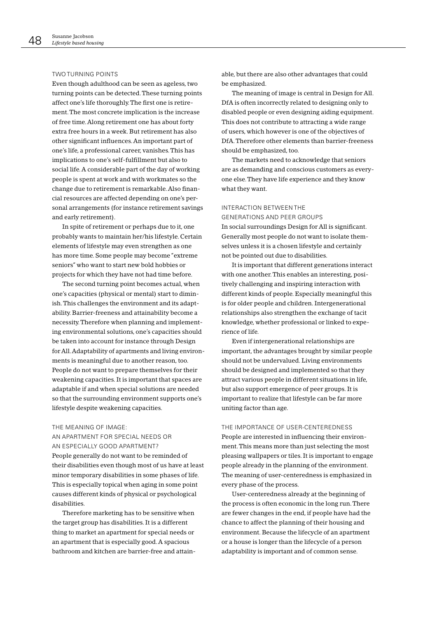#### **TWO TURNING POINTS**

Even though adulthood can be seen as ageless, two turning points can be detected. These turning points affect one's life thoroughly. The first one is retirement. The most concrete implication is the increase of free time. Along retirement one has about forty extra free hours in a week. But retirement has also other significant influences. An important part of one's life, a professional career, vanishes. This has implications to one's self-fulfillment but also to social life. A considerable part of the day of working people is spent at work and with workmates so the change due to retirement is remarkable. Also financial resources are affected depending on one's personal arrangements (for instance retirement savings and early retirement).

In spite of retirement or perhaps due to it, one probably wants to maintain her/his lifestyle. Certain elements of lifestyle may even strengthen as one has more time. Some people may become "extreme seniors" who want to start new bold hobbies or projects for which they have not had time before.

The second turning point becomes actual, when one's capacities (physical or mental) start to diminish. This challenges the environment and its adaptability. Barrier-freeness and attainability become a necessity. Therefore when planning and implementing environmental solutions, one's capacities should be taken into account for instance through Design for All. Adaptability of apartments and living environments is meaningful due to another reason, too. People do not want to prepare themselves for their weakening capacities. It is important that spaces are adaptable if and when special solutions are needed so that the surrounding environment supports one's lifestyle despite weakening capacities.

#### THE MEANING OF IMAGE:

### AN APARTMENT FOR SPECIAL NEEDS OR AN ESPECIALLY GOOD APARTMENT?

People generally do not want to be reminded of their disabilities even though most of us have at least minor temporary disabilities in some phases of life. This is especially topical when aging in some point causes different kinds of physical or psychological disabilities.

Therefore marketing has to be sensitive when the target group has disabilities. It is a different thing to market an apartment for special needs or an apartment that is especially good. A spacious bathroom and kitchen are barrier-free and attainable, but there are also other advantages that could be emphasized.

The meaning of image is central in Design for All. DfA is often incorrectly related to designing only to disabled people or even designing aiding equipment. This does not contribute to attracting a wide range of users, which however is one of the objectives of DfA. Therefore other elements than barrier-freeness should be emphasized, too.

The markets need to acknowledge that seniors are as demanding and conscious customers as everyone else. They have life experience and they know what they want.

### INTERACTION BETWEEN THE

**GENERATIONS AND PEER GROUPS** In social surroundings Design for All is significant. Generally most people do not want to isolate themselves unless it is a chosen lifestyle and certainly not be pointed out due to disabilities.

It is important that different generations interact with one another. This enables an interesting, positively challenging and inspiring interaction with different kinds of people. Especially meaningful this is for older people and children. Intergenerational relationships also strengthen the exchange of tacit knowledge, whether professional or linked to experience of life.

Even if intergenerational relationships are important, the advantages brought by similar people should not be undervalued. Living environments should be designed and implemented so that they attract various people in different situations in life, but also support emergence of peer groups. It is important to realize that lifestyle can be far more uniting factor than age.

#### THE IMPORTANCE OF USER-CENTEREDNESS

People are interested in influencing their environment. This means more than just selecting the most pleasing wallpapers or tiles. It is important to engage people already in the planning of the environment. The meaning of user-centeredness is emphasized in every phase of the process.

User-centeredness already at the beginning of the process is often economic in the long run. There are fewer changes in the end, if people have had the chance to affect the planning of their housing and environment. Because the lifecycle of an apartment or a house is longer than the lifecycle of a person adaptability is important and of common sense.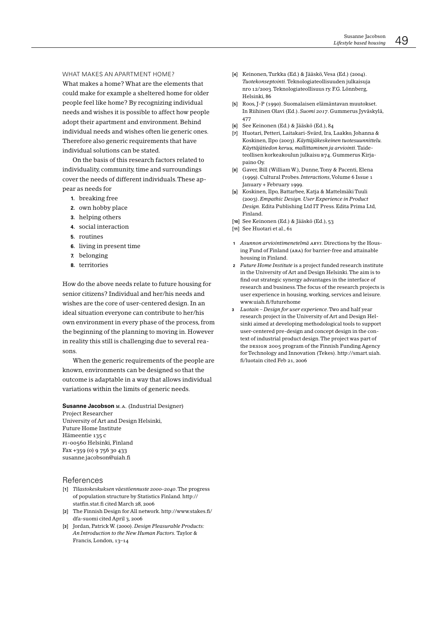WHAT MAKES AN APARTMENT HOME? What makes a home? What are the elements that could make for example a sheltered home for older people feel like home? By recognizing individual needs and wishes it is possible to affect how people adopt their apartment and environment. Behind individual needs and wishes often lie generic ones. Therefore also generic requirements that have individual solutions can be stated

On the basis of this research factors related to individuality, community, time and surroundings cover the needs of different individuals. These appear as needs for

- 1. breaking free
- 2. own hobby place
- 3. helping others
- 4. social interaction
- 5. routines
- 6. living in present time
- 7. belonging
- 8. territories

How do the above needs relate to future housing for senior citizens? Individual and her/his needs and wishes are the core of user-centered design. In an ideal situation everyone can contribute to her/his own environment in every phase of the process, from the beginning of the planning to moving in. However in reality this still is challenging due to several reasons

When the generic requirements of the people are known, environments can be designed so that the outcome is adaptable in a way that allows individual variations within the limits of generic needs.

Susanne Jacobson M.A. (Industrial Designer) Project Researcher **University of Art and Design Helsinki Future Home Institute** Hämeentie 135 c FI-00560 Helsinki, Finland Fax +359 (0) 9 756 30 433 susanne.jacobson@uiah.fi

#### References

- [1] Tilastokeskuksen väestöennuste 2000-2040. The progress of population structure by Statistics Finland. http:// statfin.stat.fi cited March 28, 2006
- [2] The Finnish Design for All network, http://www.stakes.fi/ dfa-suomi cited April 3, 2006
- [3] Jordan, Patrick W. (2000). Design Pleasurable Products: An Introduction to the New Human Factors. Taylor & Francis, London, 13-14
- [4] Keinonen, Turkka (Ed.) & Jääskö, Vesa (Ed.) (2004). Tuotekonseptointi. Teknologiateollisuuden julkaisuja nro 12/2003. Teknologiateollisuus ry. F.G. Lönnberg, Helsinki, 86
- [5] Roos, J-P (1990). Suomalaisen elämäntavan muutokset. In Riihinen Olavi (Ed.). Suomi 2017. Gummerus Jyväskylä, 477
- [6] See Keinonen (Ed.) & Jääskö (Ed.), 84
- [7] Huotari, Petteri, Laitakari-Svärd, Ira, Laakko, Johanna & Koskinen, Ilpo (2003). Käyttäjäkeskeinen tuotesuunnittelu. Käyttäjätiedon keruu, mallittaminen ja arviointi. Taideteollisen korkeakoulun julkaisu B74. Gummerus Kirjapaino Ov.
- [8] Gaver, Bill (William W.), Dunne, Tony & Pacenti, Elena (1999). Cultural Probes. Interactions, Volume 6 Issue 1 January + February 1999.
- [9] Koskinen, Ilpo, Battarbee, Katja & Mattelmäki Tuuli (2003). Empathic Design. User Experience in Product Design. Edita Publishing Ltd IT Press. Edita Prima Ltd, Finland.
- [10] See Keinonen (Ed.) & Jääskö (Ed.), 53
- [11] See Huotari et al., 61
- 1 Asunnon arviointimenetelmä ARVI. Directions by the Housing Fund of Finland (ARA) for barrier-free and attainable housing in Finland.
- 2 Future Home Institute is a project funded research institute in the University of Art and Design Helsinki. The aim is to find out strategic synergy advantages in the interface of research and business. The focus of the research projects is user experience in housing, working, services and leisure. www.uiah.fi/futurehome
- Luotain Design for user experience. Two and half year  $\mathbf{a}$ research project in the University of Art and Design Helsinki aimed at developing methodological tools to support user-centered pre-design and concept design in the context of industrial product design. The project was part of the DESIGN 2005 program of the Finnish Funding Agency for Technology and Innovation (Tekes), http://smart.uiah. fi/luotain cited Feb 21, 2006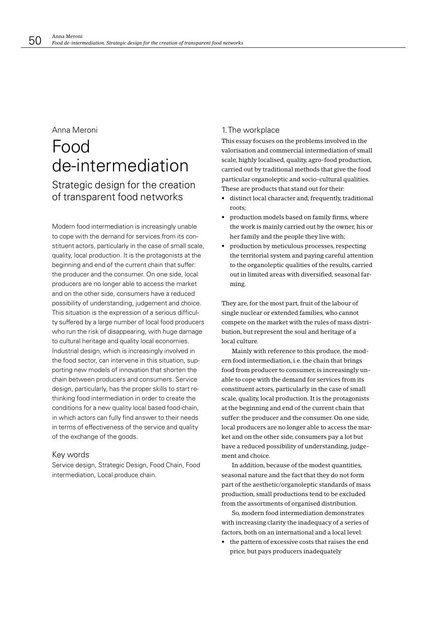### Anna Meroni

## Food de-intermediation Strategic design for the creation of transparent food networks

Modern food intermediation is increasingly unable to cope with the demand for services from its constituent actors, particularly in the case of small scale, quality, local production. It is the protagonists at the beginning and end of the current chain that suffer: the producer and the consumer. On one side, local producers are no longer able to access the market and on the other side, consumers have a reduced possibility of understanding, judgement and choice. This situation is the expression of a serious difficulty suffered by a large number of local food producers who run the risk of disappearing, with huge damage to cultural heritage and quality local economies. Industrial design, which is increasingly involved in the food sector, can intervene in this situation, supporting new models of innovation that shorten the chain between producers and consumers. Service design, particularly, has the proper skills to start rethinking food intermediation in order to create the conditions for a new quality local based food-chain, in which actors can fully find answer to their needs in terms of effectiveness of the service and quality of the exchange of the goods.

### Key words

Service design, Strategic Design, Food Chain, Food intermediation, Local produce chain.

### 1. The workplace

This essay focuses on the problems involved in the valorisation and commercial intermediation of small scale, highly localised, quality, agro-food production, carried out by traditional methods that give the food particular organoleptic and socio-cultural qualities. These are products that stand out for their:

- distinct local character and, frequently, traditional roots:
- production models based on family firms, where the work is mainly carried out by the owner, his or her family and the people they live with;
- production by meticulous processes, respecting the territorial system and paying careful attention to the organoleptic qualities of the results, carried out in limited areas with diversified, seasonal farming.

They are, for the most part, fruit of the labour of single nuclear or extended families, who cannot compete on the market with the rules of mass distribution, but represent the soul and heritage of a local culture.

Mainly with reference to this produce, the modern food intermediation, i.e. the chain that brings food from producer to consumer, is increasingly unable to cope with the demand for services from its constituent actors, particularly in the case of small scale, quality, local production. It is the protagonists at the beginning and end of the current chain that suffer: the producer and the consumer. On one side, local producers are no longer able to access the market and on the other side, consumers pay a lot but have a reduced possibility of understanding, judgement and choice

In addition, because of the modest quantities, seasonal nature and the fact that they do not form part of the aesthetic/organoleptic standards of mass production, small productions tend to be excluded from the assortments of organised distribution.

So, modern food intermediation demonstrates with increasing clarity the inadequacy of a series of factors, both on an international and a local level:

 $\bullet$  the pattern of excessive costs that raises the end price, but pays producers inadequately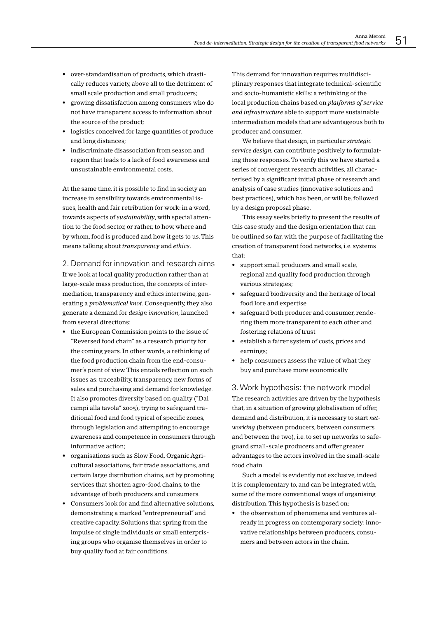- over-standardisation of products, which drastically reduces variety, above all to the detriment of small scale production and small producers;
- growing dissatisfaction among consumers who do not have transparent access to information about the source of the product:
- logistics conceived for large quantities of produce and long distances;
- indiscriminate disassociation from season and region that leads to a lack of food awareness and unsustainable environmental costs.

At the same time, it is possible to find in society an increase in sensibility towards environmental issues, health and fair retribution for work; in a word. towards aspects of sustainability, with special attention to the food sector, or rather, to how, where and by whom, food is produced and how it gets to us. This means talking about transparency and ethics.

### 2. Demand for innovation and research aims

If we look at local quality production rather than at large-scale mass production, the concepts of intermediation, transparency and ethics intertwine, generating a *problematical knot*. Consequently, they also generate a demand for design innovation, launched from several directions:

- the European Commission points to the issue of "Reversed food chain" as a research priority for the coming years. In other words, a rethinking of the food production chain from the end-consumer's point of view. This entails reflection on such issues as: traceability, transparency, new forms of sales and purchasing and demand for knowledge. It also promotes diversity based on quality ("Dai campi alla tavola" 2005), trying to safeguard traditional food and food typical of specific zones, through legislation and attempting to encourage awareness and competence in consumers through informative action:
- organisations such as Slow Food. Organic Agricultural associations, fair trade associations, and certain large distribution chains, act by promoting services that shorten agro-food chains, to the advantage of both producers and consumers.
- Consumers look for and find alternative solutions, demonstrating a marked "entrepreneurial" and creative capacity. Solutions that spring from the impulse of single individuals or small enterprising groups who organise themselves in order to buy quality food at fair conditions.

This demand for innovation requires multidisciplinary responses that integrate technical-scientific and socio-humanistic skills: a rethinking of the local production chains based on platforms of service and infrastructure able to support more sustainable intermediation models that are advantageous both to producer and consumer.

We believe that design, in particular strategic service design. can contribute positively to formulating these responses. To verify this we have started a series of convergent research activities, all characterised by a significant initial phase of research and analysis of case studies (innovative solutions and best practices), which has been, or will be, followed by a design proposal phase.

This essay seeks briefly to present the results of this case study and the design orientation that can be outlined so far, with the purpose of facilitating the creation of transparent food networks, i.e. systems that<sup>-</sup>

- support small producers and small scale, regional and quality food production through various strategies;
- safeguard biodiversity and the heritage of local food lore and expertise
- safeguard both producer and consumer, rendering them more transparent to each other and fostering relations of trust
- establish a fairer system of costs, prices and earnings;
- help consumers assess the value of what they buy and purchase more economically

3. Work hypothesis: the network model The research activities are driven by the hypothesis that, in a situation of growing globalisation of offer, demand and distribution, it is necessary to start networking (between producers, between consumers and between the two), i.e. to set up networks to safeguard small-scale producers and offer greater advantages to the actors involved in the small-scale food chain.

Such a model is evidently not exclusive, indeed it is complementary to, and can be integrated with, some of the more conventional ways of organising distribution. This hypothesis is based on:

• the observation of phenomena and ventures already in progress on contemporary society: innovative relationships between producers, consumers and between actors in the chain.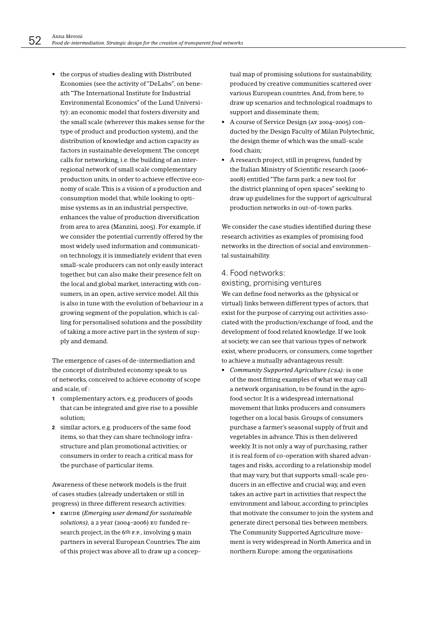• the corpus of studies dealing with Distributed Economies (see the activity of "DeLabs", on beneath "The International Institute for Industrial Environmental Economics" of the Lund University): an economic model that fosters diversity and the small scale (wherever this makes sense for the type of product and production system), and the distribution of knowledge and action capacity as factors in sustainable development. The concept calls for networking, i.e. the building of an interregional network of small scale complementary production units, in order to achieve effective economy of scale. This is a vision of a production and consumption model that, while looking to optimise systems as in an industrial perspective, enhances the value of production diversification from area to area (Manzini, 2005). For example, if we consider the potential currently offered by the most widely used information and communication technology, it is immediately evident that even small-scale producers can not only easily interact together, but can also make their presence felt on the local and global market, interacting with consumers, in an open, active service model. All this is also in tune with the evolution of behaviour in a growing segment of the population, which is calling for personalised solutions and the possibility of taking a more active part in the system of supply and demand.

The emergence of cases of de-intermediation and the concept of distributed economy speak to us of networks, conceived to achieve economy of scope and scale, of :

- 1 complementary actors, e.g. producers of goods that can be integrated and give rise to a possible solution;
- 2 similar actors, e.g. producers of the same food items, so that they can share technology infrastructure and plan promotional activities; or consumers in order to reach a critical mass for the purchase of particular items.

Awareness of these network models is the fruit of cases studies (already undertaken or still in progress) in three different research activities:

• EMUDE (Emeraina user demand for sustainable solutions), a 2 year (2004-2006) EU funded research project, in the 6th F.P., involving 9 main partners in several European Countries. The aim of this project was above all to draw up a concep-

tual map of promising solutions for sustainability, produced by creative communities scattered over various European countries. And, from here, to draw up scenarios and technological roadmaps to support and disseminate them;

- A course of Service Design (Ay 2004-2005) conducted by the Design Faculty of Milan Polytechnic, the design theme of which was the small-scale food chain:
- A research project, still in progress, funded by the Italian Ministry of Scientific research (2006-2008) entitled "The farm park: a new tool for the district planning of open spaces" seeking to draw up guidelines for the support of agricultural production networks in out-of-town parks.

We consider the case studies identified during these research activities as examples of promising food networks in the direction of social and environmental sustainability.

### 4. Food networks: existing, promising ventures

We can define food networks as the (physical or virtual) links between different types of actors, that exist for the purpose of carrying out activities associated with the production/exchange of food, and the development of food related knowledge. If we look at society, we can see that various types of network exist, where producers, or consumers, come together to achieve a mutually advantageous result:

• Community Supported Agriculture (CSA): is one of the most fitting examples of what we may call a network organisation, to be found in the agrofood sector. It is a widespread international movement that links producers and consumers together on a local basis. Groups of consumers purchase a farmer's seasonal supply of fruit and vegetables in advance. This is then delivered weekly. It is not only a way of purchasing, rather it is real form of co-operation with shared advantages and risks, according to a relationship model that may vary, but that supports small-scale producers in an effective and crucial way, and even takes an active part in activities that respect the environment and labour, according to principles that motivate the consumer to join the system and generate direct personal ties between members. The Community Supported Agriculture movement is very widespread in North America and in northern Europe: among the organisations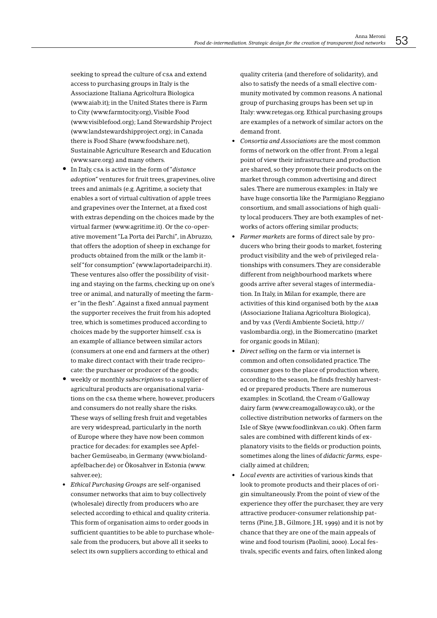seeking to spread the culture of CSA and extend access to purchasing groups in Italy is the Associazione Italiana Agricoltura Biologica (www.aiab.it); in the United States there is Farm to City (www.farmtocity.org), Visible Food (www.visiblefood.org); Land Stewardship Project (www.landstewardshipproject.org); in Canada there is Food Share (www.foodshare.net), Sustainable Agriculture Research and Education (www.sare.org) and many others.

- In Italy, csa is active in the form of "distance" *adoption"* ventures for fruit trees, grapevines, olive trees and animals (e.g. Agritime, a society that enables a sort of virtual cultivation of apple trees and grapevines over the Internet, at a fixed cost with extras depending on the choices made by the virtual farmer (www.agritime.it). Or the co-operative movement "La Porta dei Parchi", in Abruzzo, that offers the adoption of sheep in exchange for products obtained from the milk or the lamb itself "for consumption" (www.laportadeiparchi.it). These ventures also offer the possibility of visiting and staying on the farms, checking up on one's tree or animal, and naturally of meeting the farmer "in the flesh". Against a fixed annual payment the supporter receives the fruit from his adopted tree, which is sometimes produced according to choices made by the supporter himself, csa is an example of alliance between similar actors (consumers at one end and farmers at the other) to make direct contact with their trade reciprocate: the purchaser or producer of the goods;
- weekly or monthly subscriptions to a supplier of agricultural products are organisational variations on the CSA theme where, however, producers and consumers do not really share the risks. These ways of selling fresh fruit and vegetables are very widespread, particularly in the north of Europe where they have now been common practice for decades: for examples see Apfelbacher Gemüseabo, in Germany (www.biolandapfelbacher.de) or Ökosahver in Estonia (www. sahver.ee);
- Ethical Purchasing Groups are self-organised consumer networks that aim to buy collectively (wholesale) directly from producers who are selected according to ethical and quality criteria. This form of organisation aims to order goods in sufficient quantities to be able to purchase wholesale from the producers, but above all it seeks to select its own suppliers according to ethical and

quality criteria (and therefore of solidarity), and also to satisfy the needs of a small elective community motivated by common reasons. A national group of purchasing groups has been set up in Italy: www.retegas.org. Ethical purchasing groups are examples of a network of similar actors on the demand front.

- Consortia and Associations are the most common forms of network on the offer front. From a legal point of view their infrastructure and production are shared, so they promote their products on the market through common advertising and direct sales. There are numerous examples: in Italy we have huge consortia like the Parmigiano Reggiano consortium, and small associations of high quality local producers. They are both examples of networks of actors offering similar products;
- Farmer markets are forms of direct sale by producers who bring their goods to market, fostering product visibility and the web of privileged relationships with consumers. They are considerable different from neighbourhood markets where goods arrive after several stages of intermediation. In Italy, in Milan for example, there are activities of this kind organised both by the AIAB (Associazione Italiana Agricoltura Biologica), and by vas (Verdi Ambiente Società, http:// vaslombardia.org), in the Biomercatino (market for organic goods in Milan);
- Direct selling on the farm or via internet is common and often consolidated practice. The consumer goes to the place of production where, according to the season, he finds freshly harvested or prepared products. There are numerous examples: in Scotland, the Cream o'Galloway dairy farm (www.creamogalloway.co.uk), or the collective distribution networks of farmers on the Isle of Skye (www.foodlinkvan.co.uk). Often farm sales are combined with different kinds of explanatory visits to the fields or production points. sometimes along the lines of didactic farms, especially aimed at children;
- Local events are activities of various kinds that look to promote products and their places of origin simultaneously. From the point of view of the experience they offer the purchaser, they are very attractive producer-consumer relationship patterns (Pine, J.B., Gilmore, J.H, 1999) and it is not by chance that they are one of the main appeals of wine and food tourism (Paolini, 2000). Local festivals, specific events and fairs, often linked along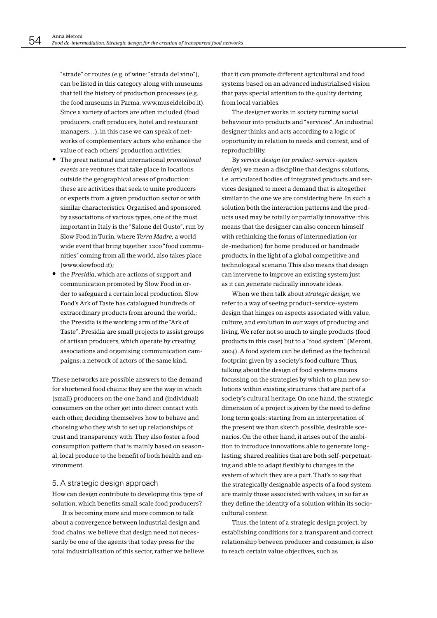"strade" or routes (e.g. of wine: "strada del vino"), can be listed in this category along with museums that tell the history of production processes (e.g. the food museums in Parma, www.museidelcibo.it). Since a variety of actors are often included (food producers, craft producers, hotel and restaurant managers...), in this case we can speak of networks of complementary actors who enhance the value of each others' production activities:

- The great national and international *promotional* events are ventures that take place in locations outside the geographical areas of production: these are activities that seek to unite producers or experts from a given production sector or with similar characteristics. Organised and sponsored by associations of various types, one of the most important in Italy is the "Salone del Gusto", run by Slow Food in Turin, where Terra Madre, a world wide event that bring together 1200 "food communities" coming from all the world, also takes place (www.slowfood.it);
- the Presidia, which are actions of support and communication promoted by Slow Food in order to safeguard a certain local production. Slow Food's Ark of Taste has catalogued hundreds of extraordinary products from around the world.: the Presidia is the working arm of the "Ark of Taste". Presidia are small projects to assist groups of artisan producers, which operate by creating associations and organising communication campaigns: a network of actors of the same kind.

These networks are possible answers to the demand for shortened food chains: they are the way in which (small) producers on the one hand and (individual) consumers on the other get into direct contact with each other, deciding themselves how to behave and choosing who they wish to set up relationships of trust and transparency with. They also foster a food consumption pattern that is mainly based on seasonallocal produce to the benefit of both health and environment.

### 5. A strategic design approach

How can design contribute to developing this type of solution, which benefits small scale food producers?

It is becoming more and more common to talk about a convergence between industrial design and food chains: we believe that design need not necessarily be one of the agents that today press for the total industrialisation of this sector, rather we believe that it can promote different agricultural and food systems based on an advanced industrialised vision that pays special attention to the quality deriving from local variables.

The designer works in society turning social behaviour into products and "services". An industrial designer thinks and acts according to a logic of opportunity in relation to needs and context, and of reproducibility.

By service design (or product-service-system design) we mean a discipline that designs solutions, i.e. articulated bodies of integrated products and services designed to meet a demand that is altogether similar to the one we are considering here. In such a solution both the interaction patterns and the products used may be totally or partially innovative: this means that the designer can also concern himself with rethinking the forms of intermediation (or de-mediation) for home produced or handmade products, in the light of a global competitive and technological scenario. This also means that design can intervene to improve an existing system just as it can generate radically innovate ideas.

When we then talk about strategic design, we refer to a way of seeing product-service-system design that hinges on aspects associated with value, culture, and evolution in our ways of producing and living. We refer not so much to single products (food products in this case) but to a "food system" (Meroni, 2004). A food system can be defined as the technical footprint given by a society's food culture. Thus, talking about the design of food systems means focussing on the strategies by which to plan new solutions within existing structures that are part of a society's cultural heritage. On one hand, the strategic dimension of a project is given by the need to define long term goals: starting from an interpretation of the present we than sketch possible, desirable scenarios. On the other hand, it arises out of the ambition to introduce innovations able to generate longlasting, shared realities that are both self-perpetuating and able to adapt flexibly to changes in the system of which they are a part. That's to say that the strategically designable aspects of a food system are mainly those associated with values, in so far as they define the identity of a solution within its sociocultural context.

Thus, the intent of a strategic design project, by establishing conditions for a transparent and correct relationship between producer and consumer, is also to reach certain value objectives, such as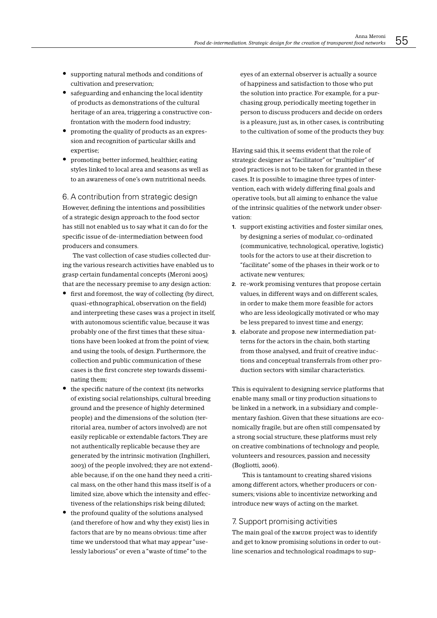- supporting natural methods and conditions of cultivation and preservation;
- safeguarding and enhancing the local identity of products as demonstrations of the cultural heritage of an area, triggering a constructive confrontation with the modern food industry:
- promoting the quality of products as an expression and recognition of particular skills and expertise:
- promoting better informed, healthier, eating styles linked to local area and seasons as well as to an awareness of one's own nutritional needs.

6. A contribution from strategic design However, defining the intentions and possibilities of a strategic design approach to the food sector has still not enabled us to say what it can do for the specific issue of de-intermediation between food producers and consumers.

The vast collection of case studies collected during the various research activities have enabled us to grasp certain fundamental concepts (Meroni 2005) that are the necessary premise to any design action:

- first and foremost, the way of collecting (by direct, quasi-ethnographical, observation on the field) and interpreting these cases was a project in itself, with autonomous scientific value, because it was probably one of the first times that these situations have been looked at from the point of view, and using the tools, of design. Furthermore, the collection and public communication of these cases is the first concrete step towards disseminating them;
- the specific nature of the context (its networks of existing social relationships, cultural breeding ground and the presence of highly determined people) and the dimensions of the solution (territorial area, number of actors involved) are not easily replicable or extendable factors. They are not authentically replicable because they are generated by the intrinsic motivation (Inghilleri. 2003) of the people involved; they are not extendable because, if on the one hand they need a critical mass, on the other hand this mass itself is of a limited size, above which the intensity and effectiveness of the relationships risk being diluted;
- the profound quality of the solutions analysed (and therefore of how and why they exist) lies in factors that are by no means obvious: time after time we understood that what may appear "uselessly laborious" or even a "waste of time" to the

eyes of an external observer is actually a source of happiness and satisfaction to those who put the solution into practice. For example, for a purchasing group, periodically meeting together in person to discuss producers and decide on orders is a pleasure, just as, in other cases, is contributing to the cultivation of some of the products they buy.

Having said this, it seems evident that the role of strategic designer as "facilitator" or "multiplier" of good practices is not to be taken for granted in these cases. It is possible to imagine three types of intervention, each with widely differing final goals and operative tools, but all aiming to enhance the value of the intrinsic qualities of the network under observation<sup>.</sup>

- 1. support existing activities and foster similar ones, by designing a series of modular, co-ordinated (communicative, technological, operative, logistic) tools for the actors to use at their discretion to "facilitate" some of the phases in their work or to activate new ventures:
- 2. re-work promising ventures that propose certain values, in different ways and on different scales, in order to make them more feasible for actors who are less ideologically motivated or who may be less prepared to invest time and energy;
- 3. elaborate and propose new intermediation patterns for the actors in the chain, both starting from those analysed, and fruit of creative inductions and conceptual transferrals from other production sectors with similar characteristics.

This is equivalent to designing service platforms that enable many, small or tiny production situations to be linked in a network, in a subsidiary and complementary fashion. Given that these situations are economically fragile, but are often still compensated by a strong social structure, these platforms must rely on creative combinations of technology and people. volunteers and resources, passion and necessity (Bogliotti, 2006).

This is tantamount to creating shared visions among different actors, whether producers or consumers; visions able to incentivize networking and introduce new ways of acting on the market.

### 7. Support promising activities

The main goal of the EMUDE project was to identify and get to know promising solutions in order to outline scenarios and technological roadmaps to sup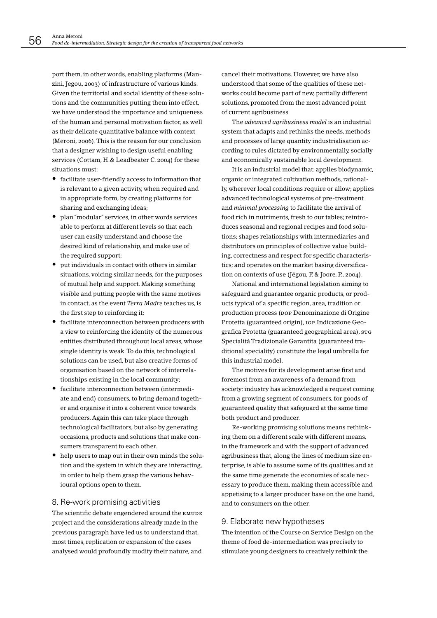port them, in other words, enabling platforms (Manzini, Jegou, 2003) of infrastructure of various kinds. Given the territorial and social identity of these solutions and the communities putting them into effect, we have understood the importance and uniqueness of the human and personal motivation factor, as well as their delicate quantitative balance with context (Meroni, 2006). This is the reason for our conclusion that a designer wishing to design useful enabling services (Cottam, H.& Leadbeater C. 2004) for these situations must

- facilitate user-friendly access to information that is relevant to a given activity, when required and in appropriate form, by creating platforms for sharing and exchanging ideas;
- plan "modular" services, in other words services able to perform at different levels so that each user can easily understand and choose the desired kind of relationship, and make use of the required support;
- put individuals in contact with others in similar situations, voicing similar needs, for the purposes of mutual help and support. Making something visible and putting people with the same motives in contact, as the event Terra Madre teaches us, is the first step to reinforcing it;
- facilitate interconnection between producers with a view to reinforcing the identity of the numerous entities distributed throughout local areas, whose single identity is weak. To do this, technological solutions can be used, but also creative forms of organisation based on the network of interrelationships existing in the local community;
- facilitate interconnection between (intermediate and end) consumers, to bring demand together and organise it into a coherent voice towards producers. Again this can take place through technological facilitators, but also by generating occasions, products and solutions that make consumers transparent to each other.
- help users to map out in their own minds the solution and the system in which they are interacting, in order to help them grasp the various behavioural options open to them.

### 8. Re-work promising activities

The scientific debate engendered around the EMUDE project and the considerations already made in the previous paragraph have led us to understand that, most times, replication or expansion of the cases analysed would profoundly modify their nature, and

cancel their motivations. However, we have also understood that some of the qualities of these networks could become part of new, partially different solutions, promoted from the most advanced point of current agribusiness.

The *advanced agribusiness model* is an industrial system that adapts and rethinks the needs, methods and processes of large quantity industrialisation according to rules dictated by environmentally, socially and economically sustainable local development.

It is an industrial model that: applies biodynamic, organic or integrated cultivation methods, rationally, wherever local conditions require or allow; applies advanced technological systems of pre-treatment and minimal processing to facilitate the arrival of food rich in nutriments, fresh to our tables; reintroduces seasonal and regional recipes and food solutions; shapes relationships with intermediaries and distributors on principles of collective value building, correctness and respect for specific characteristics; and operates on the market basing diversification on contexts of use (Jégou, F. & Joore, P., 2004).

National and international legislation aiming to safeguard and guarantee organic products, or products typical of a specific region, area, tradition or production process (por Denominazione di Origine Protetta (guaranteed origin), IGP Indicazione Geografica Protetta (guaranteed geographical area), srg Specialità Tradizionale Garantita (guaranteed traditional speciality) constitute the legal umbrella for this industrial model

The motives for its development arise first and foremost from an awareness of a demand from society: industry has acknowledged a request coming from a growing segment of consumers, for goods of guaranteed quality that safeguard at the same time both product and producer.

Re-working promising solutions means rethinking them on a different scale with different means, in the framework and with the support of advanced agribusiness that, along the lines of medium size enterprise, is able to assume some of its qualities and at the same time generate the economies of scale necessary to produce them, making them accessible and appetising to a larger producer base on the one hand, and to consumers on the other.

### 9. Elaborate new hypotheses

The intention of the Course on Service Design on the theme of food de-intermediation was precisely to stimulate young designers to creatively rethink the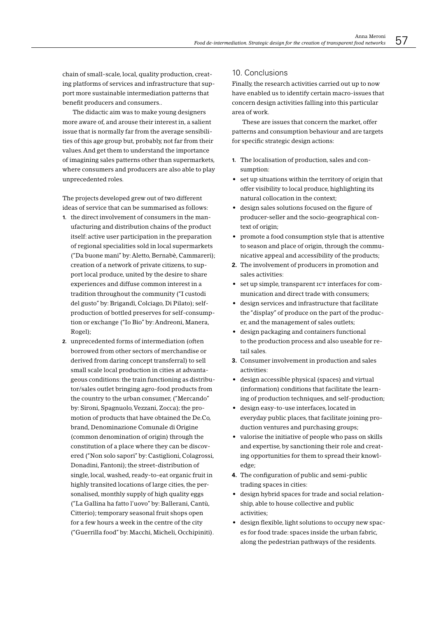chain of small-scale, local, quality production, creating platforms of services and infrastructure that support more sustainable intermediation patterns that benefit producers and consumers..

The didactic aim was to make young designers more aware of, and arouse their interest in, a salient issue that is normally far from the average sensibilities of this age group but, probably, not far from their values. And get them to understand the importance of imagining sales patterns other than supermarkets. where consumers and producers are also able to play unprecedented roles.

The projects developed grew out of two different ideas of service that can be summarised as follows:

- 1 the direct involvement of consumers in the manufacturing and distribution chains of the product itself: active user participation in the preparation of regional specialities sold in local supermarkets ("Da buone mani" by: Aletto, Bernabè, Cammareri); creation of a network of private citizens, to support local produce, united by the desire to share experiences and diffuse common interest in a tradition throughout the community ("I custodi del gusto" by: Brigandì, Colciago, Di Pilato); selfproduction of bottled preserves for self-consumption or exchange ("Io Bio" by: Andreoni, Manera, Rogel);
- 2. unprecedented forms of intermediation (often borrowed from other sectors of merchandise or derived from daring concept transferral) to sell small scale local production in cities at advantageous conditions: the train functioning as distributor/sales outlet bringing agro-food products from the country to the urban consumer, ("Mercando" by: Sironi, Spagnuolo, Vezzani, Zocca); the promotion of products that have obtained the De.Co, brand, Denominazione Comunale di Origine (common denomination of origin) through the constitution of a place where they can be discovered ("Non solo sapori" by: Castiglioni, Colagrossi, Donadini, Fantoni); the street-distribution of single, local, washed, ready-to-eat organic fruit in highly transited locations of large cities, the personalised, monthly supply of high quality eggs ("La Gallina ha fatto l'uovo" by: Ballerani, Cantù, Citterio): temporary seasonal fruit shops open for a few hours a week in the centre of the city ("Guerrilla food" by: Macchi, Micheli, Occhipiniti).

### 10. Conclusions

Finally, the research activities carried out up to now have enabled us to identify certain macro-issues that concern design activities falling into this particular area of work.

These are issues that concern the market, offer patterns and consumption behaviour and are targets for specific strategic design actions:

- 1. The localisation of production, sales and consumption:
- set up situations within the territory of origin that offer visibility to local produce, highlighting its natural collocation in the context:
- design sales solutions focused on the figure of producer-seller and the socio-geographical context of origin;
- promote a food consumption style that is attentive to season and place of origin, through the communicative appeal and accessibility of the products;
- 2. The involvement of producers in promotion and sales activities:
- set up simple, transparent ICT interfaces for communication and direct trade with consumers;
- design services and infrastructure that facilitate the "display" of produce on the part of the producer, and the management of sales outlets;
- design packaging and containers functional to the production process and also useable for retail sales.
- 3. Consumer involvement in production and sales activities:
- design accessible physical (spaces) and virtual (information) conditions that facilitate the learning of production techniques, and self-production;
- · design easy-to-use interfaces, located in everyday public places, that facilitate joining production ventures and purchasing groups;
- valorise the initiative of people who pass on skills and expertise, by sanctioning their role and creating opportunities for them to spread their knowledge;
- 4. The configuration of public and semi-public trading spaces in cities:
- design hybrid spaces for trade and social relationship, able to house collective and public activities:
- design flexible, light solutions to occupy new spaces for food trade: spaces inside the urban fabric, along the pedestrian pathways of the residents.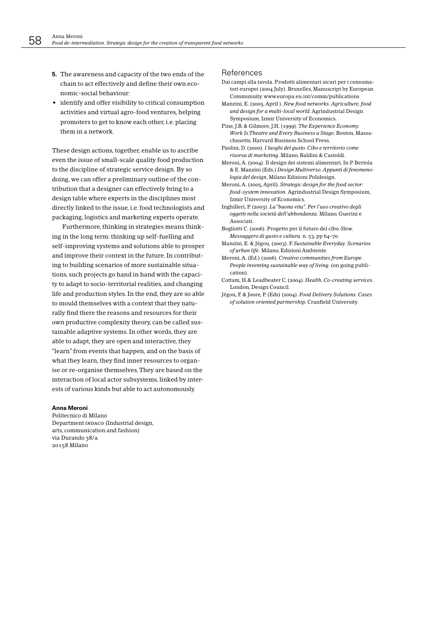- 5. The awareness and capacity of the two ends of the chain to act effectively and define their own economic-social behaviour:
- identify and offer visibility to critical consumption activities and virtual agro-food ventures, helping promoters to get to know each other, i.e. placing them in a network.

These design actions, together, enable us to ascribe even the issue of small-scale quality food production to the discipline of strategic service design. By so doing, we can offer a preliminary outline of the contribution that a designer can effectively bring to a design table where experts in the disciplines most directly linked to the issue, i.e. food technologists and packaging, logistics and marketing experts operate.

Furthermore, thinking in strategies means thinking in the long term: thinking up self-fuelling and self-improving systems and solutions able to prosper and improve their context in the future. In contributing to building scenarios of more sustainable situations, such projects go hand in hand with the capacity to adapt to socio-territorial realities, and changing life and production styles. In the end, they are so able to mould themselves with a context that they naturally find there the reasons and resources for their own productive complexity theory, can be called sustainable adaptive systems. In other words, they are able to adapt, they are open and interactive, they "learn" from events that happen, and on the basis of what they learn, they find inner resources to organise or re-organise themselves. They are based on the interaction of local actor subsystems, linked by interests of various kinds but able to act autonomously.

#### **Anna Meroni**

Politecnico di Milano Department INDACO (Industrial design, arts, communication and fashion) via Durando 38/A 20158 Milano

#### References

- Dai campi alla tavola. Prodotti alimentari sicuri per i consumatori europei (2004 July). Bruxelles, Manuscript by European Communuity.www.europa.eu.int/comm/publications
- Manzini, E. (2005, April). New food networks. Agriculture, food and design for a multi-local world. Agrindustrial Design Symposium, Izmir University of Economics.
- Pine, J.B. & Gilmore, J.H. (1999). The Experience Economy. Work Is Theatre and Every Business a Stage, Boston, Massachusetts. Harvard Business School Press.
- Paolini, D. (2000). I luoghi del gusto. Cibo e territorio come risorsa di marketina. Milano, Baldini & Castoldi.
- Meroni, A. (2004). Il design dei sistemi alimentari. In P. Bertola & E. Manzini (Eds.) Design Multiverso. Appunti di fenomenologia del design, Milano Edizioni Polidesign.
- Meroni, A. (2005, April). Strategic design for the food sector: food-system innovation. Agrindustrial Design Symposium. Izmir University of Economics.
- Inghilleri, P. (2003). La "buona vita". Per l'uso creativo deali oggetti nella società dell'abbondanza. Milano, Guerini e Associati.
- Bogliotti C. (2006). Progetto per il futuro del cibo. Slow. Messaggero di gusto e cultura. n. 53, pp 64-70.
- Manzini, E. & Jégou, (2003). F. Sustainable Everyday. Scenarios of urban life. Milano, Edizioni Ambiente.
- Meroni, A. (Ed.) (2006). Creative communities from Europe. People inventing sustainable way of living. (on going publication)
- Cottam, H.& Leadbeater C. (2004). Health. Co-creating services. London, Design Council.
- Jégou, F. & Joore, P. (Eds) (2004). Food Delivery Solutions. Cases of solution oriented partnership, Cranfield University.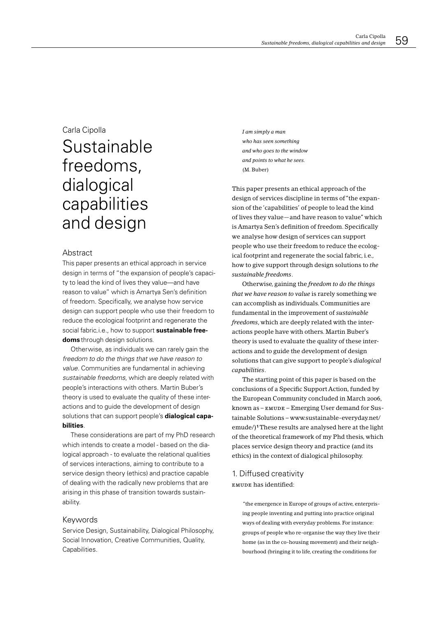## Carla Cipolla

# Sustainable freedoms, dialogical capabilities and design

### Abstract

This paper presents an ethical approach in service design in terms of "the expansion of people's capacity to lead the kind of lives they value-and have reason to value" which is Amartya Sen's definition of freedom. Specifically, we analyse how service design can support people who use their freedom to reduce the ecological footprint and regenerate the social fabric, i.e., how to support sustainable freedoms through design solutions.

Otherwise, as individuals we can rarely gain the freedom to do the things that we have reason to value. Communities are fundamental in achieving sustainable freedoms, which are deeply related with people's interactions with others. Martin Buber's theory is used to evaluate the quality of these interactions and to quide the development of design solutions that can support people's **dialogical capa**bilities.

These considerations are part of my PhD research which intends to create a model - based on the dialogical approach - to evaluate the relational qualities of services interactions, aiming to contribute to a service design theory (ethics) and practice capable of dealing with the radically new problems that are arising in this phase of transition towards sustainability.

### Keywords

Service Design, Sustainability, Dialogical Philosophy, Social Innovation, Creative Communities, Quality, Capabilities.

I am simply a man who has seen something and who aoes to the window and points to what he sees.  $(M. Buber)$ 

This paper presents an ethical approach of the design of services discipline in terms of "the expansion of the 'capabilities' of people to lead the kind of lives they value-and have reason to value" which is Amartya Sen's definition of freedom. Specifically we analyse how design of services can support people who use their freedom to reduce the ecological footprint and regenerate the social fabric, i.e., how to give support through design solutions to the sustainable freedoms.

Otherwise, gaining the freedom to do the things that we have reason to value is rarely something we can accomplish as individuals. Communities are fundamental in the improvement of sustainable freedoms, which are deeply related with the interactions people have with others. Martin Buber's theory is used to evaluate the quality of these interactions and to guide the development of design solutions that can give support to people's *dialogical* capabilities.

The starting point of this paper is based on the conclusions of a Specific Support Action, funded by the European Community concluded in March 2006, known as - EMUDE - Emerging User demand for Sustainable Solutions - www.sustainable-everyday.net/ emude/)<sup>1</sup>These results are analysed here at the light of the theoretical framework of my Phd thesis, which places service design theory and practice (and its ethics) in the context of dialogical philosophy.

### 1. Diffused creativity EMUDE has identified:

"the emergence in Europe of groups of active, enterprising people inventing and putting into practice original ways of dealing with everyday problems. For instance: groups of people who re-organise the way they live their home (as in the co-housing movement) and their neighbourhood (bringing it to life, creating the conditions for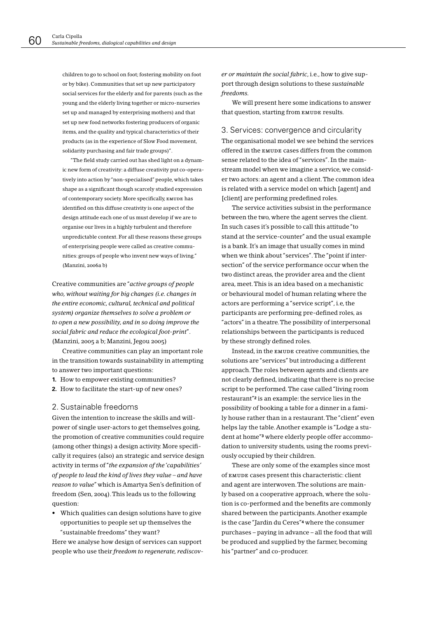children to go to school on foot: fostering mobility on foot or by bike). Communities that set up new participatory social services for the elderly and for parents (such as the young and the elderly living together or micro-nurseries set up and managed by enterprising mothers) and that set up new food networks fostering producers of organic items, and the quality and typical characteristics of their products (as in the experience of Slow Food movement, solidarity purchasing and fair trade groups)".

"The field study carried out has shed light on a dynamic new form of creativity: a diffuse creativity put co-operatively into action by "non-specialised" people, which takes shape as a significant though scarcely studied expression of contemporary society. More specifically, EMUDE has identified on this diffuse creativity is one aspect of the design attitude each one of us must develop if we are to organise our lives in a highly turbulent and therefore unpredictable context. For all these reasons these groups of enterprising people were called as creative communities: groups of people who invent new ways of living." (Manzini, 2006a b)

Creative communities are "active groups of people *who, without waiting for big changes (i.e. changes in* the entire economic, cultural, technical and political *System*) organize themselves to solve a problem or to open a new possibility, and in so doing improve the *social fabric and reduce the ecological foot-print".* (Manzini, 2005 a b; Manzini, Jegou 2005)

Creative communities can play an important role in the transition towards sustainability in attempting to answer two important questions:

- 1. How to empower existing communities?
- 2. How to facilitate the start-up of new ones?

### 2. Sustainable freedoms

Given the intention to increase the skills and willpower of single user-actors to get themselves going, the promotion of creative communities could require (among other things) a design activity. More specifically it requires (also) an strategic and service design activity in terms of "the expansion of the 'capabilities' *of people to lead the kind of lives they value - and have reason to value*" which is Amartya Sen's definition of freedom (Sen, 2004). This leads us to the following question:

• Which qualities can design solutions have to give opportunities to people set up themselves the "sustainable freedoms" they want?

Here we analyse how design of services can support people who use their freedom to regenerate, rediscov-

er or maintain the social fabric, *i.e.*, how to give support through design solutions to these sustainable *FREEDOMS*

We will present here some indications to answer that question, starting from EMUDE results.

3. Services: convergence and circularity The organisational model we see behind the services offered in the EMUDE cases differs from the common sense related to the idea of "services". In the mainstream model when we imagine a service, we consider two actors: an agent and a client. The common idea is related with a service model on which [agent] and [client] are performing predefined roles.

The service activities subsist in the performance between the two, where the agent serves the client. In such cases it's possible to call this attitude "to stand at the service-counter" and the usual example is a bank. It's an image that usually comes in mind when we think about "services". The "point if intersection" of the service performance occur when the two distinct areas, the provider area and the client area, meet. This is an idea based on a mechanistic or behavioural model of human relating where the actors are performing a "service script", i.e, the participants are performing pre-defined roles, as "actors" in a theatre. The possibility of interpersonal relationships between the participants is reduced by these strongly defined roles.

Instead, in the EMUDE creative communities, the solutions are "services" but introducing a different approach. The roles between agents and clients are not clearly defined, indicating that there is no precise script to be performed. The case called "living room restaurant"<sup>2</sup> is an example: the service lies in the possibility of booking a table for a dinner in a family house rather than in a restaurant. The "client" even helps lay the table. Another example is "Lodge a student at home"<sup>3</sup> where elderly people offer accommodation to university students, using the rooms previously occupied by their children.

These are only some of the examples since most Of EMUDE Cases present this characteristic: client and agent are interwoven. The solutions are mainly based on a cooperative approach, where the solution is co-performed and the benefits are commonly shared between the participants. Another example is the case "Jardin du Ceres"<sup>4</sup> where the consumer purchases - paying in advance - all the food that will be produced and supplied by the farmer, becoming his "partner" and co-producer.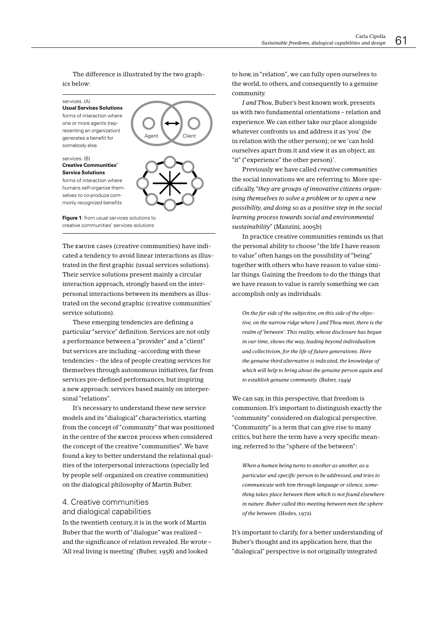The difference is illustrated by the two graphics below:

services (A) **Usual Services Solutions** 

forms of interaction where one or more agents (representing an organization) generates a benefit for somebody else

#### services. (B) **Creative Communities Service Solutions**

forms of interaction where humans self-organize themselves to co-produce commonly recognized benefits



Figure 1: from usual services solutions to creative communities' services solutions

The EMUDE cases (creative communities) have indicated a tendency to avoid linear interactions as illustrated in the first graphic (usual services solutions). Their service solutions present mainly a circular interaction approach, strongly based on the interpersonal interactions between its members as illustrated on the second graphic (creative communities' service solutions).

These emerging tendencies are defining a particular "service" definition. Services are not only a performance between a "provider" and a "client" but services are including-according with these tendencies – the idea of people creating services for themselves through autonomous initiatives, far from services pre-defined performances, but inspiring a new approach: services based mainly on interpersonal "relations"

It's necessary to understand these new service models and its "dialogical" characteristics, starting from the concept of "community" that was positioned in the centre of the EMUDE process when considered the concept of the creative "communities". We have found a key to better understand the relational qualities of the interpersonal interactions (specially led by people self-organized on creative communities) on the dialogical philosophy of Martin Buber.

### 4. Creative communities and dialogical capabilities

In the twentieth century, it is in the work of Martin Buber that the worth of "dialogue" was realized and the significance of relation revealed. He wrote -'All real living is meeting' (Buber, 1958) and looked

to how, in "relation", we can fully open ourselves to the world, to others, and consequently to a genuine community.

I and Thou, Buber's best known work, presents us with two fundamental orientations - relation and experience. We can either take our place alongside whatever confronts us and address it as 'you' (be in relation with the other person); or we 'can hold ourselves apart from it and view it as an object, an "it" ("experience" the other person)'.

Previously we have called creative communities the social innovations we are referring to. More specifically, "they are groups of innovative citizens organising themselves to solve a problem or to open a new possibility, and doing so as a positive step in the social learning process towards social and environmental sustainability" (Manzini, 2005b)

In practice creative communities reminds us that the personal ability to choose "the life I have reason to value" often hangs on the possibility of "being" together with others who have reason to value similar things. Gaining the freedom to do the things that we have reason to value is rarely something we can accomplish only as individuals:

On the far side of the subjective, on this side of the objective, on the narrow ridge where I and Thou meet, there is the realm of 'between'. This reality, whose disclosure has begun in our time, shows the way, leading beyond individualism and collectivism, for the life of future generations. Here the genuine third alternative is indicated, the knowledge of which will help to bring about the genuine person again and to establish genuine community. (Buber, 1949)

We can say, in this perspective, that freedom is communion. It's important to distinguish exactly the "community" considered on dialogical perspective. "Community" is a term that can give rise to many critics, but here the term have a very specific meaning, referred to the "sphere of the between":

When a human being turns to another as another, as a particular and specific person to be addressed, and tries to communicate with him through language or silence, something takes place between them which is not found elsewhere in nature. Buber called this meeting between men the sphere of the between. (Hodes, 1972)

It's important to clarify, for a better understanding of Buber's thought and its application here, that the "dialogical" perspective is not originally integrated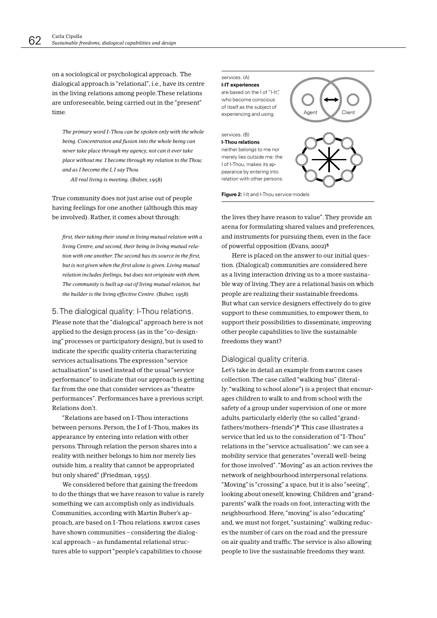on a sociological or psychological approach. The dialogical approach is "relational", i.e., have its centre in the living relations among people. These relations are unforeseeable, being carried out in the "present" time

The primary word I-Thou can be spoken only with the whole being. Concentration and fusion into the whole being can never take place through my agency, not can it ever take place without me. I become through my relation to the Thou; and as I become the I. I say Thou. All real living is meeting. (Buber, 1958)

True community does not just arise out of people having feelings for one another (although this may be involved). Rather, it comes about through:

first, their taking their stand in living mutual relation with a living Centre, and second, their being in living mutual relation with one another. The second has its source in the first, but is not given when the first alone is given. Living mutual relation includes feelings, but does not originate with them. The community is built up out of living mutual relation, but the builder is the living effective Centre. (Buber, 1958)

### 5. The dialogical quality: I-Thou relations.

Please note that the "dialogical" approach here is not applied to the design process (as in the "co-designing" processes or participatory design), but is used to indicate the specific quality criteria characterizing services actualisations. The expression "service actualisation" is used instead of the usual "service performance" to indicate that our approach is getting far from the one that consider services as "theatre performances". Performances have a previous script. Relations don't.

"Relations are based on I-Thou interactions between persons. Person, the I of I-Thou, makes its appearance by entering into relation with other persons. Through relation the person shares into a reality with neither belongs to him nor merely lies outside him, a reality that cannot be appropriated but only shared" (Friedman, 1955).

We considered before that gaining the freedom to do the things that we have reason to value is rarely something we can accomplish only as individuals. Communities, according with Martin Buber's approach, are based on I-Thou relations. EMUDE cases have shown communities - considering the dialogical approach - as fundamental relational structures able to support "people's capabilities to choose

#### services. (A) **I-IT experiences** are based on the I of "I-It", who become conscious of itself as the subject of Client experiencing and using. services (B) **I-Thou relations** neither belongs to me nor merely lies outside me: the I of I-Thou, makes its appearance by entering into

Figure 2: I-It and I-Thou service models

relation with other persons.

the lives they have reason to value". They provide an arena for formulating shared values and preferences, and instruments for pursuing them, even in the face of powerful opposition (Evans, 2002)<sup>5</sup>

Here is placed on the answer to our initial question. (Dialogical) communities are considered here as a living interaction driving us to a more sustainable way of living. They are a relational basis on which people are realizing their sustainable freedoms. But what can service designers effectively do to give support to these communities, to empower them, to support their possibilities to disseminate, improving other people capabilities to live the sustainable freedoms they want?

### Dialogical quality criteria.

Let's take in detail an example from EMUDE cases collection. The case called "walking bus" (literally: "walking to school alone") is a project that encourages children to walk to and from school with the safety of a group under supervision of one or more adults, particularly elderly (the so called "grandfathers/mothers-friends")<sup>6</sup> This case illustrates a service that led us to the consideration of "I-Thou" relations in the "service actualisation": we can see a mobility service that generates "overall well-being for those involved". "Moving" as an action revives the network of neighbourhood interpersonal relations. "Moving" is "crossing" a space, but it is also "seeing", looking about oneself, knowing. Children and "grandparents" walk the roads on foot, interacting with the neighbourhood. Here, "moving" is also "educating" and, we must not forget, "sustaining": walking reduces the number of cars on the road and the pressure on air quality and traffic. The service is also allowing people to live the sustainable freedoms they want.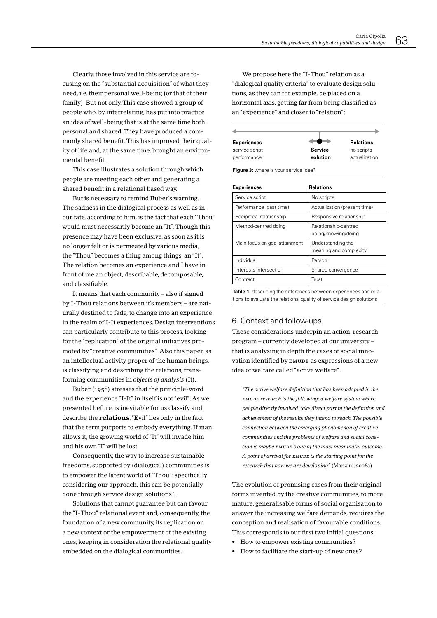Clearly, those involved in this service are focusing on the "substantial acquisition" of what they need, i.e. their personal well-being (or that of their family). But not only. This case showed a group of people who, by interrelating, has put into practice an idea of well-being that is at the same time both personal and shared. They have produced a commonly shared benefit. This has improved their quality of life and, at the same time, brought an environmental benefit.

This case illustrates a solution through which people are meeting each other and generating a shared benefit in a relational based way.

But is necessary to remind Buber's warning. The sadness in the dialogical process as well as in our fate, according to him, is the fact that each "Thou" would must necessarily become an "It". Though this presence may have been exclusive, as soon as it is no longer felt or is permeated by various media. the "Thou" becomes a thing among things, an "It". The relation becomes an experience and I have in front of me an object, describable, decomposable, and classifiable.

It means that each community – also if signed by I-Thou relations between it's members - are naturally destined to fade, to change into an experience in the realm of I-It experiences. Design interventions can particularly contribute to this process, looking for the "replication" of the original initiatives promoted by "creative communities". Also this paper, as an intellectual activity proper of the human beings. is classifying and describing the relations, transforming communities in objects of analysis (It).

Buber (1958) stresses that the principle-word and the experience "I-It" in itself is not "evil". As we presented before, is inevitable for us classify and describe the **relations**. "Evil" lies only in the fact that the term purports to embody everything. If man allows it, the growing world of "It" will invade him and his own "I" will be lost.

Consequently, the way to increase sustainable freedoms, supported by (dialogical) communities is to empower the latent world of "Thou": specifically considering our approach, this can be potentially done through service design solutions7.

Solutions that cannot guarantee but can favour the "I-Thou" relational event and, consequently, the foundation of a new community, its replication on a new context or the empowerment of the existing ones, keeping in consideration the relational quality embedded on the dialogical communities.

We propose here the "I-Thou" relation as a "dialogical quality criteria" to evaluate design solutions, as they can for example, be placed on a horizontal axis, getting far from being classified as an "experience" and closer to "relation":

| <b>Experiences</b> | -              | <b>Relations</b> |
|--------------------|----------------|------------------|
| service script     | <b>Service</b> | no scripts       |
| performance        | solution       | actualization    |

Figure 3: where is your service idea?

| <b>Experiences</b>            | <b>Relations</b>                            |  |  |
|-------------------------------|---------------------------------------------|--|--|
| Service script                | No scripts                                  |  |  |
| Performance (past time)       | Actualization (present time)                |  |  |
| Reciprocal relationship       | Responsive relationship                     |  |  |
| Method-centred doing          | Relationship-centred<br>being/knowing/doing |  |  |
| Main focus on goal attainment | Understanding the<br>meaning and complexity |  |  |
| Individual                    | Person                                      |  |  |
| Interests intersection        | Shared convergence                          |  |  |
| Contract                      | Trust                                       |  |  |

Table 1: describing the differences between experiences and relations to evaluate the relational quality of service design solutions.

### 6. Context and follow-ups

These considerations underpin an action-research program – currently developed at our university – that is analysing in depth the cases of social innovation identified by EMUDE as expressions of a new idea of welfare called "active welfare".

"The active welfare definition that has been adopted in the EMUDE research is the following: a welfare system where people directly involved, take direct part in the definition and achievement of the results they intend to reach. The possible connection between the emerging phenomenon of creative communities and the problems of welfare and social cohesion is maybe EMUDE's one of the most meaningful outcome. A point of arrival for EMUDE is the starting point for the research that now we are developing" (Manzini, 2006a)

The evolution of promising cases from their original forms invented by the creative communities, to more mature, generalisable forms of social organisation to answer the increasing welfare demands, requires the conception and realisation of favourable conditions. This corresponds to our first two initial questions:

- How to empower existing communities?
- How to facilitate the start-up of new ones?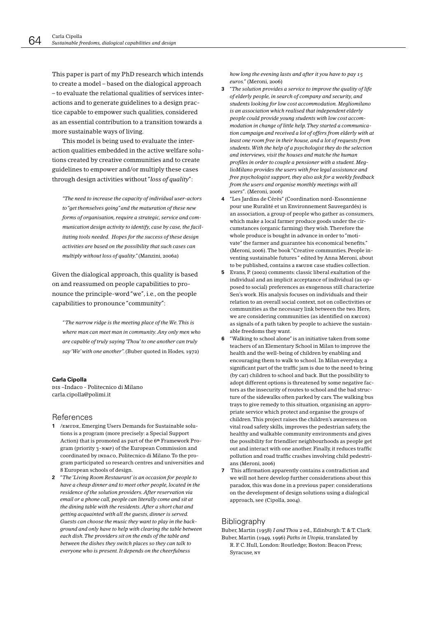This paper is part of my PhD research which intends to create a model - based on the dialogical approach - to evaluate the relational qualities of services interactions and to generate guidelines to a design practice capable to empower such qualities, considered as an essential contribution to a transition towards a more sustainable ways of living.

This model is being used to evaluate the interaction qualities embedded in the active welfare solutions created by creative communities and to create guidelines to empower and/or multiply these cases through design activities without "loss of quality":

"The need to increase the capacity of individual user-actors to "get themselves going" and the maturation of these new forms of organisation, require a strategic, service and communication design activity to identify, case by case, the facilitating tools needed. Hopes for the success of these design activities are based on the possibility that such cases can multiply without loss of quality." (Manzini, 2006a)

Given the dialogical approach, this quality is based on and reassumed on people capabilities to pronounce the principle-word "we", i.e., on the people capabilities to pronounce "community":

"The narrow ridge is the meeting place of the We. This is where man can meet man in community. Any only men who are capable of truly saying 'Thou' to one another can truly say 'We' with one another". (Buber quoted in Hodes, 1972)

#### **Carla Cipolla**

DIS-Indaco - Politecnico di Milano carla.cipolla@polimi.it

### References

- 1 /EMUDE, Emerging Users Demands for Sustainable solutions is a program (more precisely: a Special Support Action) that is promoted as part of the 6<sup>th</sup> Framework Program (priority 3-NMP) of the European Commission and coordinated by INDACO, Politecnico di Milano. To the program participated 10 research centres and universities and 8 European schools of design.
- 2 "The 'Living Room Restaurant' is an occasion for people to have a cheap dinner and to meet other people, located in the residence of the solution providers. After reservation via email or a phone call, people can literally come and sit at the dining table with the residents. After a short chat and getting acquainted with all the guests, dinner is served. Guests can choose the music they want to play in the background and only have to help with clearing the table between each dish. The providers sit on the ends of the table and between the dishes they switch places so they can talk to everyone who is present. It depends on the cheerfulness

how long the evening lasts and after it you have to pay 15 euros." (Meroni, 2006)

- $\overline{\mathbf{3}}$ "The solution provides a service to improve the quality of life of elderly people, in search of company and security, and students looking for low cost accommodation. Megliomilano is an association which realised that independent elderly people could provide young students with low cost accommodation in change of little help. They started a communication campaign and received a lot of offers from elderly with at least one room free in their house, and a lot of requests from students. With the help of a psychologist they do the selection and interviews, visit the houses and matche the human profiles in order to couple a pensioner with a student. MeglioMilano provides the users with free legal assistance and free psychologist support, they also ask for a weekly feedback from the users and organise monthly meetings with all users". (Meroni, 2006)
- 4 "Les Jardins de Cérès" (Coordination nord-Essonnienne pour une Ruralité et un Environnement Sauvegardés) is an association, a group of people who gather as consumers, which make a local farmer produce goods under the circumstances (organic farming) they wish. Therefore the whole produce is bought in advance in order to "motivate" the farmer and guarantee his economical benefits." (Meroni, 2006). The book "Creative communties. People inventing sustainable futures " edited by Anna Meroni, about to be published, contains a EMUDE case studies collection.
- 5. Evans, P. (2002) comments: classic liberal exaltation of the individual and an implicit acceptance of individual (as opposed to social) preferences as exogenous still characterize Sen's work. His analysis focuses on individuals and their relation to an overall social context, not on collectivities or communities as the necessary link between the two. Here, we are considering communities (as identified on EMUDE) as signals of a path taken by people to achieve the sustainable freedoms they want.
- 6 "Walking to school alone" is an initiative taken from some teachers of an Elementary School in Milan to improve the health and the well-being of children by enabling and encouraging them to walk to school. In Milan everyday, a significant part of the traffic jam is due to the need to bring (by car) children to school and back. But the possibility to adopt different options is threatened by some negative factors as the insecurity of routes to school and the bad structure of the sidewalks often parked by cars. The walking bus trays to give remedy to this situation, organising an appropriate service which protect and organise the groups of children. This project raises the children's awareness on vital road safety skills, improves the pedestrian safety, the healthy and walkable community environments and gives the possibility for friendlier neighbourhoods as people get out and interact with one another. Finally, it reduces traffic pollution and road traffic crashes involving child pedestrians (Meroni 2006)
- $\overline{ }$ This affirmation apparently contains a contradiction and we will not here develop further considerations about this paradox, this was done in a previous paper: considerations on the development of design solutions using a dialogical approach, see (Cipolla, 2004).

### Bibliography

Buber, Martin (1958) I and Thou 2 ed., Edinburgh: T. & T. Clark. Buber, Martin (1949, 1996) Paths in Utopia, translated by

R. F. C. Hull, London: Routledge; Boston: Beacon Press; Syracuse, NY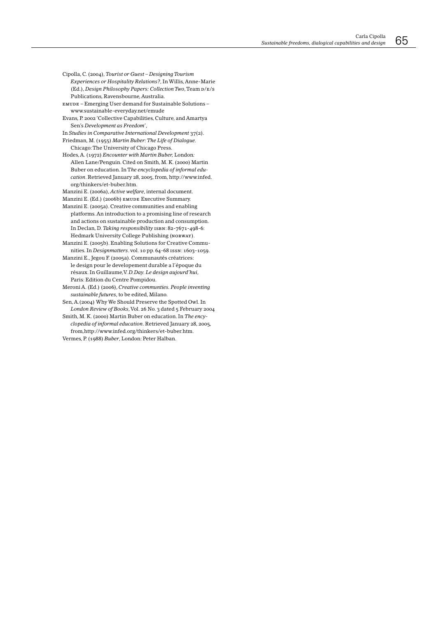Cipolla, C. (2004), Tourist or Guest - Designing Tourism

- Experiences or Hospitality Relations?, In Willis, Anne-Marie (Ed.), Design Philosophy Papers: Collection Two, Team  $p/\text{g/s}$ Publications, Ravensbourne, Australia.
- EMUDE Emerging User demand for Sustainable Solutions www.sustainable-everyday.net/emude
- Evans, P. 2002 'Collective Capabilities, Culture, and Amartya Sen's Development as Freedom',
- In Studies in Comparative International Development 37(2). Friedman, M. (1955) Martin Buber: The Life of Dialogue.
- Chicago: The University of Chicago Press.
- Hodes, A. (1972) Encounter with Martin Buber, London: Allen Lane/Penguin. Cited on Smith, M. K. (2000) Martin Buber on education. In The encyclopedia of informal education. Retrieved January 28, 2005, from, http://www.infed. org/thinkers/et-buber.htm
- Manzini E. (2006a), Active welfare, internal document. Manzini E. (Ed.) (2006b) EMUDE Executive Summary.
- Manzini E. (2005a). Creative communities and enabling platforms. An introduction to a promising line of research and actions on sustainable production and consumption. In Declan, D. Taking responsibility ISBN: 82-7671-498-6: Hedmark University College Publishing (NORWAY).
- Manzini E. (2005b). Enabling Solutions for Creative Communities. In Designmatters. vol. 10 pp. 64-68 ISSN: 1603-1059.
- Manzini E., Jegou F. (2005a). Communautés créatrices: le design pour le developement durable a l'époque du résaux. In Guillaume, V. D. Day. Le design aujourd'hui, Paris: Edition du Centre Pompidou.
- Meroni A. (Ed.) (2006), Creative communties. People inventing sustainable futures, to be edited, Milano.
- Sen, A. (2004) Why We Should Preserve the Spotted Owl. In London Review of Books, Vol. 26 No. 3 dated 5 February 2004
- Smith, M. K. (2000) Martin Buber on education. In The encyclopedia of informal education. Retrieved January 28, 2005, from,http://www.infed.org/thinkers/et-buber.htm.
- Vermes, P. (1988) Buber, London: Peter Halban.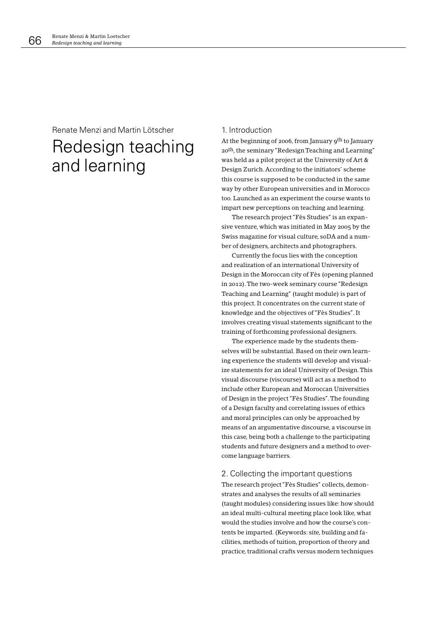# Renate Menzi and Martin Lötscher Redesign teaching and learning

### 1. Introduction

At the beginning of 2006, from January 9<sup>th</sup> to January 20<sup>th</sup>, the seminary "Redesign Teaching and Learning" was held as a pilot project at the University of Art & Design Zurich. According to the initiators' scheme this course is supposed to be conducted in the same way by other European universities and in Morocco too. Launched as an experiment the course wants to impart new perceptions on teaching and learning.

The research project "Fès Studies" is an expansive venture, which was initiated in May 2005 by the Swiss magazine for visual culture, soDA and a number of designers, architects and photographers.

Currently the focus lies with the conception and realization of an international University of Design in the Moroccan city of Fès (opening planned in 2012). The two-week seminary course "Redesign Teaching and Learning" (taught module) is part of this project. It concentrates on the current state of knowledge and the objectives of "Fès Studies". It involves creating visual statements significant to the training of forthcoming professional designers.

The experience made by the students themselves will be substantial. Based on their own learning experience the students will develop and visualize statements for an ideal University of Design. This visual discourse (viscourse) will act as a method to include other European and Moroccan Universities of Design in the project "Fès Studies". The founding of a Design faculty and correlating issues of ethics and moral principles can only be approached by means of an argumentative discourse, a viscourse in this case, being both a challenge to the participating students and future designers and a method to overcome language barriers.

### 2. Collecting the important questions

The research project "Fès Studies" collects, demonstrates and analyses the results of all seminaries (taught modules) considering issues like: how should an ideal multi-cultural meeting place look like, what would the studies involve and how the course's contents be imparted. (Keywords: site, building and facilities, methods of tuition, proportion of theory and practice, traditional crafts versus modern techniques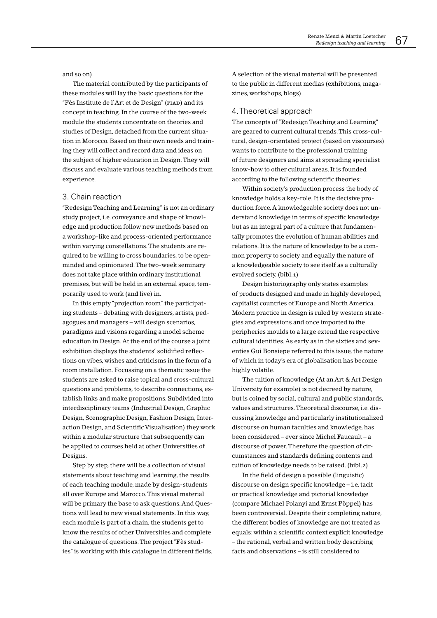and so on).

The material contributed by the participants of these modules will lay the basic questions for the "Fès Institute de l'Art et de Design" (FIAD) and its concept in teaching. In the course of the two-week module the students concentrate on theories and studies of Design, detached from the current situation in Morocco. Based on their own needs and training they will collect and record data and ideas on the subject of higher education in Design. They will discuss and evaluate various teaching methods from experience.

#### 3. Chain reaction

"Redesign Teaching and Learning" is not an ordinary study project, i.e. conveyance and shape of knowledge and production follow new methods based on a workshop-like and process-oriented performance within varying constellations. The students are required to be willing to cross boundaries, to be openminded and opinionated. The two-week seminary does not take place within ordinary institutional premises, but will be held in an external space, temporarily used to work (and live) in.

In this empty "projection room" the participating students - debating with designers, artists, pedagogues and managers - will design scenarios, paradigms and visions regarding a model scheme education in Design. At the end of the course a joint exhibition displays the students' solidified reflections on vibes, wishes and criticisms in the form of a room installation. Focussing on a thematic issue the students are asked to raise topical and cross-cultural questions and problems, to describe connections, establish links and make propositions. Subdivided into interdisciplinary teams (Industrial Design, Graphic Design, Scenographic Design, Fashion Design, Interaction Design, and Scientific Visualisation) they work within a modular structure that subsequently can be applied to courses held at other Universities of Designs.

Step by step, there will be a collection of visual statements about teaching and learning, the results of each teaching module, made by design-students all over Europe and Marocco. This visual material will be primary the base to ask questions. And Questions will lead to new visual statements. In this way. each module is part of a chain, the students get to know the results of other Universities and complete the catalogue of questions. The project "Fès studies" is working with this catalogue in different fields.

A selection of the visual material will be presented to the public in different medias (exhibitions, magazines, workshops, blogs).

### 4. Theoretical approach

The concepts of "Redesign Teaching and Learning" are geared to current cultural trends. This cross-cultural, design-orientated project (based on viscourses) wants to contribute to the professional training of future designers and aims at spreading specialist know-how to other cultural areas. It is founded according to the following scientific theories:

Within society's production process the body of knowledge holds a key-role. It is the decisive production force. A knowledgeable society does not understand knowledge in terms of specific knowledge but as an integral part of a culture that fundamentally promotes the evolution of human abilities and relations. It is the nature of knowledge to be a common property to society and equally the nature of a knowledgeable society to see itself as a culturally evolved society. (bibl.1)

Design historiography only states examples of products designed and made in highly developed, capitalist countries of Europe and North America. Modern practice in design is ruled by western strategies and expressions and once imported to the peripheries moulds to a large extend the respective cultural identities. As early as in the sixties and seventies Gui Bonsiepe referred to this issue, the nature of which in today's era of globalisation has become highly volatile.

The tuition of knowledge (At an Art & Art Design University for example) is not decreed by nature, but is coined by social, cultural and public standards, values and structures. Theoretical discourse, i.e. discussing knowledge and particularly institutionalized discourse on human faculties and knowledge, has been considered - ever since Michel Faucault - a discourse of power. Therefore the question of circumstances and standards defining contents and tuition of knowledge needs to be raised. (bibl.2)

In the field of design a possible (linguistic) discourse on design specific knowledge – i.e. tacit or practical knowledge and pictorial knowledge (compare Michael Polanyi and Ernst Pöppel) has been controversial. Despite their completing nature. the different bodies of knowledge are not treated as equals: within a scientific context explicit knowledge - the rational, verbal and written body describing facts and observations – is still considered to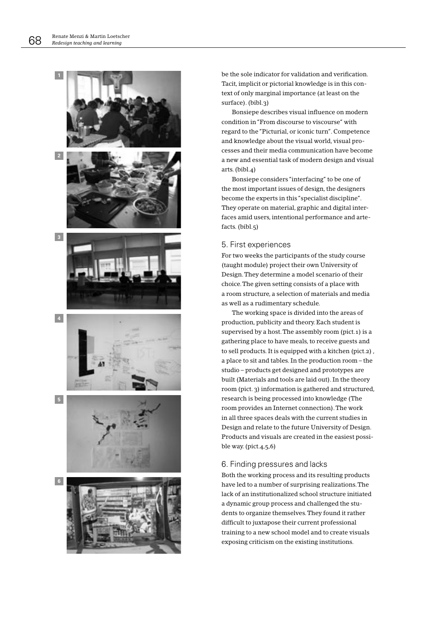

be the sole indicator for validation and verification. Tacit, implicit or pictorial knowledge is in this context of only marginal importance (at least on the surface). (bibl.3)

Bonsiepe describes visual influence on modern condition in "From discourse to viscourse" with regard to the "Picturial, or iconic turn". Competence and knowledge about the visual world, visual processes and their media communication have become a new and essential task of modern design and visual arts. (bibl.4)

Bonsiepe considers "interfacing" to be one of the most important issues of design, the designers become the experts in this "specialist discipline". They operate on material, graphic and digital interfaces amid users, intentional performance and artefacts. (bibl.5)

### 5. First experiences

For two weeks the participants of the study course (taught module) project their own University of Design. They determine a model scenario of their choice. The given setting consists of a place with a room structure, a selection of materials and media as well as a rudimentary schedule.

The working space is divided into the areas of production, publicity and theory. Each student is supervised by a host. The assembly room (pict.1) is a gathering place to have meals, to receive guests and to sell products. It is equipped with a kitchen (pict.2), a place to sit and tables. In the production room - the studio – products get designed and prototypes are built (Materials and tools are laid out). In the theory room (pict. 3) information is gathered and structured, research is being processed into knowledge (The room provides an Internet connection). The work in all three spaces deals with the current studies in Design and relate to the future University of Design. Products and visuals are created in the easiest possible way. (pict. $4,5,6$ )

### 6. Finding pressures and lacks

Both the working process and its resulting products have led to a number of surprising realizations. The lack of an institutionalized school structure initiated a dynamic group process and challenged the students to organize themselves. They found it rather difficult to juxtapose their current professional training to a new school model and to create visuals exposing criticism on the existing institutions.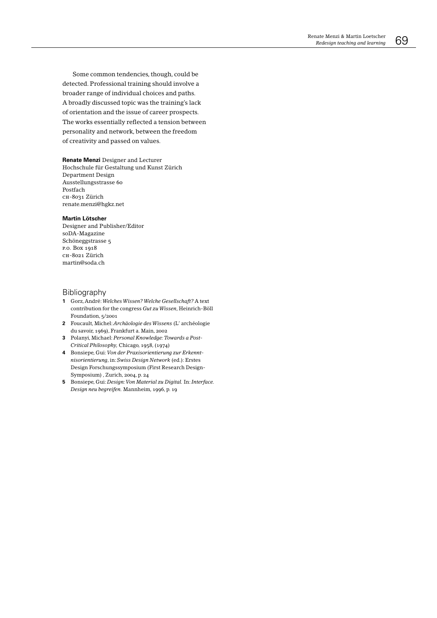Some common tendencies, though, could be detected. Professional training should involve a broader range of individual choices and paths. A broadly discussed topic was the training's lack of orientation and the issue of career prospects. The works essentially reflected a tension between personality and network, between the freedom of creativity and passed on values.

#### Renate Menzi Designer and Lecturer Hochschule für Gestaltung und Kunst Zürich Department Design Ausstellungsstrasse 60 Postfach сн-8031 Zürich renate.menzi@hgkz.net

#### **Martin Lötscher**

Designer and Publisher/Editor soDA-Magazine Schöneggstrasse 5 P.O. Box 1918 сн-8021 Zürich martin@soda.ch

### Bibliography

- 1 Gorz, André: Welches Wissen? Welche Gesellschaft? A text contribution for the congress Gut zu Wissen, Heinrich-Böll Foundation, 5/2001
- 2 Foucault, Michel: Archäologie des Wissens (L'archéologie du savoir, 1969), Frankfurt a. Main, 2002
- 3 Polanyi, Michael: Personal Knowledge: Towards a Post-Critical Philosophy, Chicago, 1958, (1974)
- 4 Bonsiepe, Gui: Von der Praxisorientierung zur Erkenntnisorientierung, in: Swiss Design Network (ed.): Erstes Design Forschungssymposium (First Research Design-Symposium), Zurich, 2004, p. 24
- 5 Bonsiepe, Gui: Design: Von Material zu Digital. In: Interface. Design neu begreifen. Mannheim, 1996, p. 19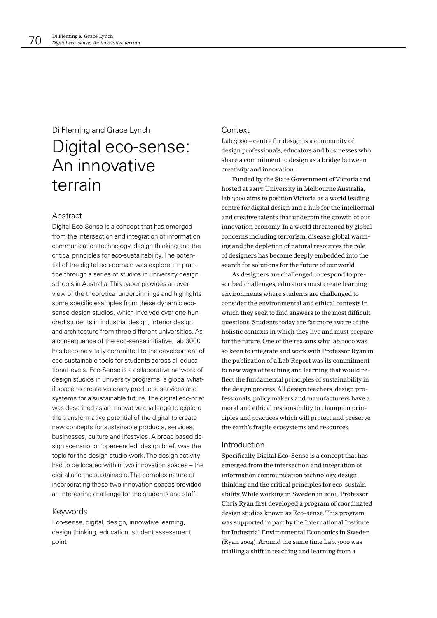### Di Fleming and Grace Lynch

# Digital eco-sense: An innovative terrain

### Abstract

Digital Eco-Sense is a concept that has emerged from the intersection and integration of information communication technology, design thinking and the critical principles for eco-sustainability. The potential of the digital eco-domain was explored in practice through a series of studios in university design schools in Australia. This paper provides an overview of the theoretical underpinnings and highlights some specific examples from these dynamic ecosense design studios, which involved over one hundred students in industrial design, interior design and architecture from three different universities. As a consequence of the eco-sense initiative, lab.3000 has become vitally committed to the development of eco-sustainable tools for students across all educational levels. Eco-Sense is a collaborative network of design studios in university programs, a global whatif space to create visionary products, services and systems for a sustainable future. The digital eco-brief was described as an innovative challenge to explore the transformative potential of the digital to create new concepts for sustainable products, services, businesses, culture and lifestyles. A broad based design scenario, or 'open-ended' design brief, was the topic for the design studio work. The design activity had to be located within two innovation spaces - the digital and the sustainable. The complex nature of incorporating these two innovation spaces provided an interesting challenge for the students and staff.

### Keywords

Eco-sense, digital, design, innovative learning, design thinking, education, student assessment point

### Context

Lab.3000 - centre for design is a community of design professionals, educators and businesses who share a commitment to design as a bridge between creativity and innovation.

Funded by the State Government of Victoria and hosted at RMIT University in Melbourne Australia, lab.3000 aims to position Victoria as a world leading centre for digital design and a hub for the intellectual and creative talents that underpin the growth of our innovation economy. In a world threatened by global concerns including terrorism, disease, global warming and the depletion of natural resources the role of designers has become deeply embedded into the search for solutions for the future of our world.

As designers are challenged to respond to prescribed challenges, educators must create learning environments where students are challenged to consider the environmental and ethical contexts in which they seek to find answers to the most difficult questions. Students today are far more aware of the holistic contexts in which they live and must prepare for the future. One of the reasons why lab.3000 was so keen to integrate and work with Professor Ryan in the publication of a Lab Report was its commitment to new ways of teaching and learning that would reflect the fundamental principles of sustainability in the design process. All design teachers, design professionals, policy makers and manufacturers have a moral and ethical responsibility to champion principles and practices which will protect and preserve the earth's fragile ecosystems and resources.

### Introduction

Specifically, Digital Eco-Sense is a concept that has emerged from the intersection and integration of information communication technology, design thinking and the critical principles for eco-sustainability. While working in Sweden in 2001, Professor Chris Ryan first developed a program of coordinated design studios known as Eco-sense. This program was supported in part by the International Institute for Industrial Environmental Economics in Sweden (Ryan 2004). Around the same time Lab.3000 was trialling a shift in teaching and learning from a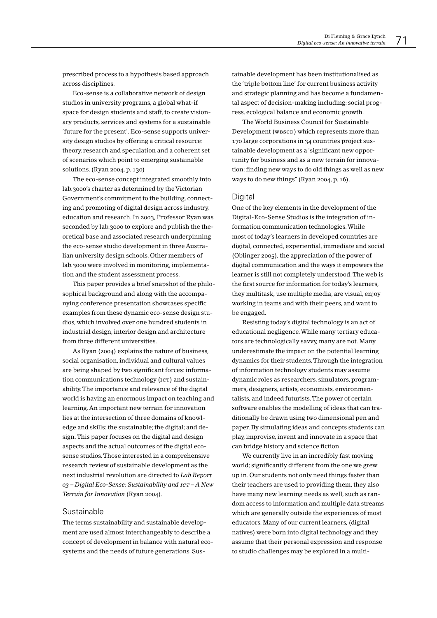prescribed process to a hypothesis based approach across disciplines.

Eco-sense is a collaborative network of design studios in university programs, a global what-if space for design students and staff, to create visionary products, services and systems for a sustainable 'future for the present'. Eco-sense supports university design studios by offering a critical resource: theory, research and speculation and a coherent set of scenarios which point to emerging sustainable solutions. (Ryan 2004, p. 130)

The eco-sense concept integrated smoothly into lab.3000's charter as determined by the Victorian Government's commitment to the building, connecting and promoting of digital design across industry, education and research. In 2003, Professor Ryan was seconded by lab.3000 to explore and publish the theoretical base and associated research underpinning the eco-sense studio development in three Australian university design schools. Other members of lab.3000 were involved in monitoring, implementation and the student assessment process.

This paper provides a brief snapshot of the philosophical background and along with the accompanying conference presentation showcases specific examples from these dynamic eco-sense design studios, which involved over one hundred students in industrial design, interior design and architecture from three different universities.

As Ryan (2004) explains the nature of business, social organisation, individual and cultural values are being shaped by two significant forces: information communications technology (ICT) and sustainability. The importance and relevance of the digital world is having an enormous impact on teaching and learning. An important new terrain for innovation lies at the intersection of three domains of knowledge and skills: the sustainable; the digital; and design. This paper focuses on the digital and design aspects and the actual outcomes of the digital ecosense studios. Those interested in a comprehensive research review of sustainable development as the next industrial revolution are directed to Lab Report  $o_3$  – Digital Eco-Sense: Sustainability and  $icT - A$  New Terrain for Innovation (Ryan 2004).

### Sustainable

The terms sustainability and sustainable development are used almost interchangeably to describe a concept of development in balance with natural ecosystems and the needs of future generations. Sustainable development has been institutionalised as the 'triple bottom line' for current business activity and strategic planning and has become a fundamental aspect of decision-making including: social progress, ecological balance and economic growth.

The World Business Council for Sustainable Development (WBSCD) which represents more than 170 large corporations in 34 countries project sustainable development as a 'significant new opportunity for business and as a new terrain for innovation: finding new ways to do old things as well as new ways to do new things" (Ryan 2004, p.  $16$ ).

#### Digital

One of the key elements in the development of the Digital-Eco-Sense Studios is the integration of information communication technologies. While most of today's learners in developed countries are digital, connected, experiential, immediate and social (Oblinger 2005), the appreciation of the power of digital communication and the ways it empowers the learner is still not completely understood. The web is the first source for information for today's learners, they multitask, use multiple media, are visual, enjoy working in teams and with their peers, and want to be engaged.

Resisting today's digital technology is an act of educational negligence. While many tertiary educators are technologically savvy, many are not. Many underestimate the impact on the potential learning dynamics for their students. Through the integration of information technology students may assume dynamic roles as researchers, simulators, programmers, designers, artists, economists, environmentalists, and indeed futurists. The power of certain software enables the modelling of ideas that can traditionally be drawn using two dimensional pen and paper. By simulating ideas and concepts students can play, improvise, invent and innovate in a space that can bridge history and science fiction.

We currently live in an incredibly fast moving world; significantly different from the one we grew up in. Our students not only need things faster than their teachers are used to providing them, they also have many new learning needs as well, such as random access to information and multiple data streams which are generally outside the experiences of most educators. Many of our current learners, (digital natives) were born into digital technology and they assume that their personal expression and response to studio challenges may be explored in a multi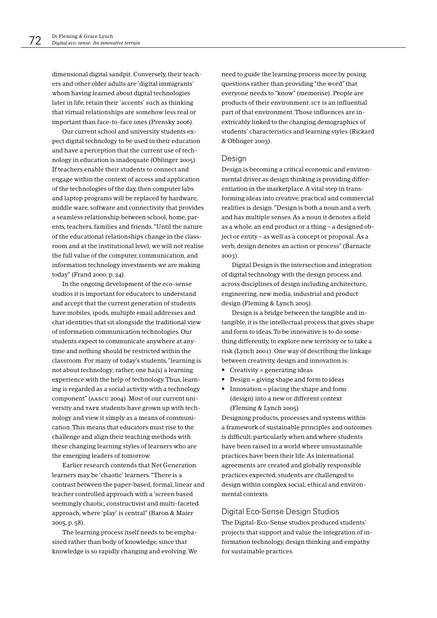dimensional digital sandpit. Conversely, their teachers and other older adults are 'digital immigrants' whom having learned about digital technologies later in life, retain their 'accents' such as thinking that virtual relationships are somehow less real or important than face-to-face ones (Prensky 2006).

Our current school and university students expect digital technology to be used in their education and have a perception that the current use of technology in education is inadequate (Oblinger 2005). If teachers enable their students to connect and engage within the context of access and application of the technologies of the day, then computer labs and laptop programs will be replaced by hardware, middle ware, software and connectivity that provides a seamless relationship between school, home, parents, teachers, families and friends. "Until the nature of the educational relationships change in the classroom and at the institutional level, we will not realise the full value of the computer, communication, and information technology investments we are making today" (Frand 2000, p. 24).

In the ongoing development of the eco-sense studios it is important for educators to understand and accept that the current generation of students have mobiles, ipods, multiple email addresses and chat identities that sit alongside the traditional view of information communication technologies. Our students expect to communicate anywhere at anytime and nothing should be restricted within the classroom. For many of today's students, "learning is not about technology; rather, one ha(s) a learning experience with the help of technology. Thus, learning is regarded as a social activity with a technology component" (AASCU 2004). Most of our current university and TAFE students have grown up with technology and view it simply as a means of communication. This means that educators must rise to the challenge and align their teaching methods with these changing learning styles of learners who are the emerging leaders of tomorrow.

Earlier research contends that Net Generation learners may be 'chaotic' learners. "There is a contrast between the paper-based, formal, linear and teacher controlled approach with a 'screen based seemingly chaotic, constructivist and multi-faceted approach, where 'play' is central" (Baron & Maier 2005, p. 58).

The learning process itself needs to be emphasised rather than body of knowledge, since that knowledge is so rapidly changing and evolving. We need to guide the learning process more by posing questions rather than providing "the word" that everyone needs to "know" (memorise). People are products of their environment: ICT is an influential part of that environment. Those influences are inextricably linked to the changing demographics of students' characteristics and learning styles (Rickard & Oblinger 2003).

### Desian

Design is becoming a critical economic and environmental driver as design thinking is providing differentiation in the marketplace. A vital step in transforming ideas into creative, practical and commercial realities is design. "Design is both a noun and a verb, and has multiple senses. As a noun it denotes a field as a whole, an end product or a thing - a designed object or entity - as well as a concept or proposal. As a verb, design denotes an action or process" (Barnacle 2003).

Digital Design is the intersection and integration of digital technology with the design process and across disciplines of design including architecture, engineering, new media, industrial and product design (Fleming & Lynch 2005).

Design is a bridge between the tangible and intangible, it is the intellectual process that gives shape and form to ideas. To be innovative is to do something differently, to explore new territory or to take a risk (Lynch 2001). One way of describing the linkage between creativity, design and innovation is:

- Creativity = generating ideas
- Design = giving shape and form to ideas
- $\bullet$  Innovation = placing the shape and form (design) into a new or different context (Fleming & Lynch 2005)

Designing products, processes and systems within a framework of sustainable principles and outcomes is difficult; particularly when and where students have been raised in a world where unsustainable practices have been their life. As international agreements are created and globally responsible practices expected, students are challenged to design within complex social, ethical and environmental contexts.

### Digital Eco-Sense Design Studios

The Digital-Eco-Sense studios produced students' projects that support and value the integration of information technology, design thinking and empathy for sustainable practices.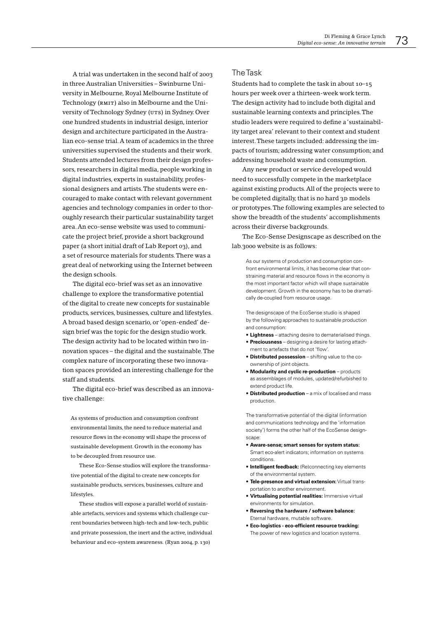A trial was undertaken in the second half of 2003 in three Australian Universities - Swinburne University in Melbourne, Royal Melbourne Institute of Technology (RMIT) also in Melbourne and the University of Technology Sydney (UTS) in Sydney. Over one hundred students in industrial design, interior design and architecture participated in the Australian eco-sense trial. A team of academics in the three universities supervised the students and their work. Students attended lectures from their design professors, researchers in digital media, people working in digital industries, experts in sustainability, professional designers and artists. The students were encouraged to make contact with relevant government agencies and technology companies in order to thoroughly research their particular sustainability target area. An eco-sense website was used to communicate the project brief, provide a short background paper (a short initial draft of Lab Report 03), and a set of resource materials for students. There was a great deal of networking using the Internet between the design schools.

The digital eco-brief was set as an innovative challenge to explore the transformative potential of the digital to create new concepts for sustainable products, services, businesses, culture and lifestyles. A broad based design scenario, or 'open-ended' design brief was the topic for the design studio work. The design activity had to be located within two innovation spaces - the digital and the sustainable. The complex nature of incorporating these two innovation spaces provided an interesting challenge for the staff and students.

The digital eco-brief was described as an innovative challenge:

As systems of production and consumption confront environmental limits, the need to reduce material and resource flows in the economy will shape the process of sustainable development. Growth in the economy has to be decoupled from resource use.

These Eco-Sense studios will explore the transformative potential of the digital to create new concepts for sustainable products, services, businesses, culture and lifestyles.

These studios will expose a parallel world of sustainable artefacts, services and systems which challenge current boundaries between high-tech and low-tech, public and private possession, the inert and the active, individual behaviour and eco-system awareness. (Ryan 2004, p. 130)

# **The Task**

Students had to complete the task in about 10-15 hours per week over a thirteen-week work term. The design activity had to include both digital and sustainable learning contexts and principles. The studio leaders were required to define a 'sustainability target area' relevant to their context and student interest. These targets included: addressing the impacts of tourism: addressing water consumption: and addressing household waste and consumption.

Any new product or service developed would need to successfully compete in the marketplace against existing products. All of the projects were to be completed digitally, that is no hard 3D models or prototypes. The following examples are selected to show the breadth of the students' accomplishments across their diverse backgrounds.

The Eco-Sense Designscape as described on the lab.3000 website is as follows:

As our systems of production and consumption confront environmental limits, it has become clear that constraining material and resource flows in the economy is the most important factor which will shape sustainable development. Growth in the economy has to be dramatically de-coupled from resource usage.

The designscape of the EcoSense studio is shaped by the following approaches to sustainable production and consumption:

- Lightness attaching desire to dematerialised things.
- Preciousness designing a desire for lasting attachment to artefacts that do not 'flow'.
- . Distributed possession shifting value to the coownership of joint objects.
- Modularity and cyclic re-production products as assemblages of modules, updated/refurbished to extend product life.
- Distributed production a mix of localised and mass production.

The transformative potential of the digital (information and communications technology and the 'information society') forms the other half of the EcoSense designscape:

- Aware-sense; smart senses for system status: Smart eco-alert indicators; information on systems conditions
- Intelligent feedback: (Re)connecting key elements of the environmental system.
- . Tele-presence and virtual extension: Virtual transportation to another environment
- . Virtualising potential realities: Immersive virtual environments for simulation
- Reversing the hardware / software balance: Eternal hardware, mutable software
- Eco-logistics eco-efficient resource tracking: The power of new logistics and location systems.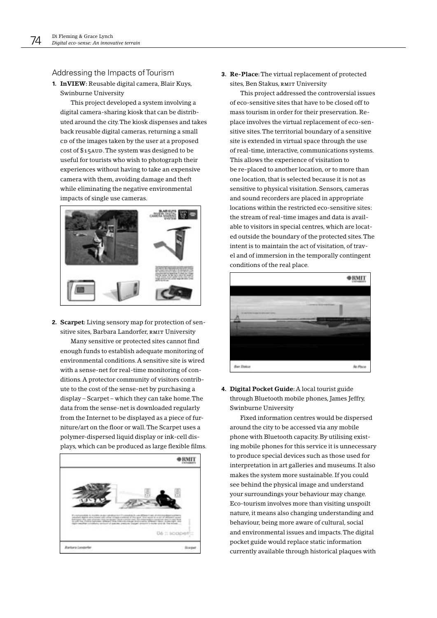# Addressing the Impacts of Tourism

1. InVIEW: Reusable digital camera, Blair Kuys, Swinburne University

This project developed a system involving a digital camera-sharing kiosk that can be distributed around the city. The kiosk dispenses and takes back reusable digital cameras, returning a small cp of the images taken by the user at a proposed cost of \$15AUD. The system was designed to be useful for tourists who wish to photograph their experiences without having to take an expensive camera with them, avoiding damage and theft while eliminating the negative environmental impacts of single use cameras.



2. Scarpet: Living sensory map for protection of sensitive sites, Barbara Landorfer, RMIT University Many sensitive or protected sites cannot find enough funds to establish adequate monitoring of environmental conditions. A sensitive site is wired with a sense-net for real-time monitoring of conditions. A protector community of visitors contribute to the cost of the sense-net by purchasing a display - Scarpet - which they can take home. The

data from the sense-net is downloaded regularly from the Internet to be displayed as a piece of furniture/art on the floor or wall. The Scarpet uses a polymer-dispersed liquid display or ink-cell displays, which can be produced as large flexible films.



3. Re-Place: The virtual replacement of protected sites, Ben Stakus, RMIT University

This project addressed the controversial issues of eco-sensitive sites that have to be closed off to mass tourism in order for their preservation. Replace involves the virtual replacement of eco-sensitive sites. The territorial boundary of a sensitive site is extended in virtual space through the use of real-time, interactive, communications systems. This allows the experience of visitation to be re-placed to another location, or to more than one location, that is selected because it is not as sensitive to physical visitation. Sensors, cameras and sound recorders are placed in appropriate locations within the restricted eco-sensitive sites: the stream of real-time images and data is available to visitors in special centres, which are located outside the boundary of the protected sites. The intent is to maintain the act of visitation, of travel and of immersion in the temporally contingent conditions of the real place.



4. Digital Pocket Guide: A local tourist guide through Bluetooth mobile phones, James Jeffry, Swinburne University

Fixed information centres would be dispersed around the city to be accessed via any mobile phone with Bluetooth capacity. By utilising existing mobile phones for this service it is unnecessary to produce special devices such as those used for interpretation in art galleries and museums. It also makes the system more sustainable. If you could see behind the physical image and understand your surroundings your behaviour may change. Eco-tourism involves more than visiting unspoilt nature, it means also changing understanding and behaviour, being more aware of cultural, social and environmental issues and impacts. The digital pocket guide would replace static information currently available through historical plaques with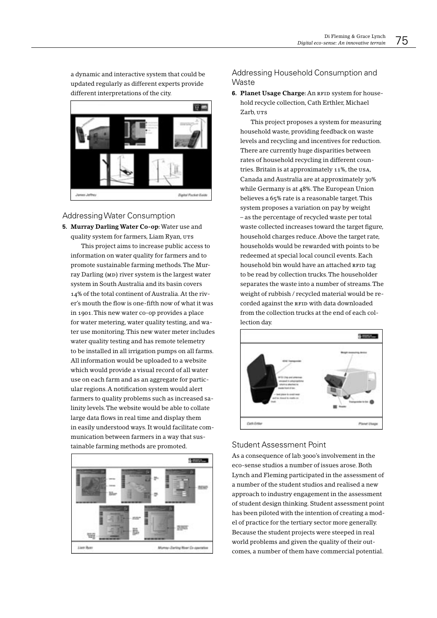a dynamic and interactive system that could be updated regularly as different experts provide different interpretations of the city.



Addressing Water Consumption

5. Murray Darling Water Co-op: Water use and quality system for farmers, Liam Ryan, UTS This project aims to increase public access to information on water quality for farmers and to promote sustainable farming methods. The Murray Darling (MD) river system is the largest water system in South Australia and its basin covers 14% of the total continent of Australia. At the river's mouth the flow is one-fifth now of what it was in 1901. This new water co-op provides a place for water metering, water quality testing, and water use monitoring. This new water meter includes water quality testing and has remote telemetry to be installed in all irrigation pumps on all farms. All information would be uploaded to a website which would provide a visual record of all water use on each farm and as an aggregate for particular regions. A notification system would alert farmers to quality problems such as increased salinity levels. The website would be able to collate large data flows in real time and display them in easily understood ways. It would facilitate communication between farmers in a way that sustainable farming methods are promoted.



# Addressing Household Consumption and Waste

6. Planet Usage Charge: An RFID system for household recycle collection, Cath Erthler, Michael Zarb, UTS

This project proposes a system for measuring household waste, providing feedback on waste levels and recycling and incentives for reduction. There are currently huge disparities between rates of household recycling in different countries. Britain is at approximately 11%, the USA, Canada and Australia are at approximately 30% while Germany is at 48%. The European Union believes a 65% rate is a reasonable target. This system proposes a variation on pay by weight - as the percentage of recycled waste per total waste collected increases toward the target figure, household charges reduce. Above the target rate, households would be rewarded with points to be redeemed at special local council events. Each household bin would have an attached RFID tag to be read by collection trucks. The householder separates the waste into a number of streams. The weight of rubbish / recycled material would be recorded against the RFID with data downloaded from the collection trucks at the end of each collection day.



# **Student Assessment Point**

As a consequence of lab.3000's involvement in the eco-sense studios a number of issues arose. Both Lynch and Fleming participated in the assessment of a number of the student studios and realised a new approach to industry engagement in the assessment of student design thinking. Student assessment point has been piloted with the intention of creating a model of practice for the tertiary sector more generally. Because the student projects were steeped in real world problems and given the quality of their outcomes, a number of them have commercial potential.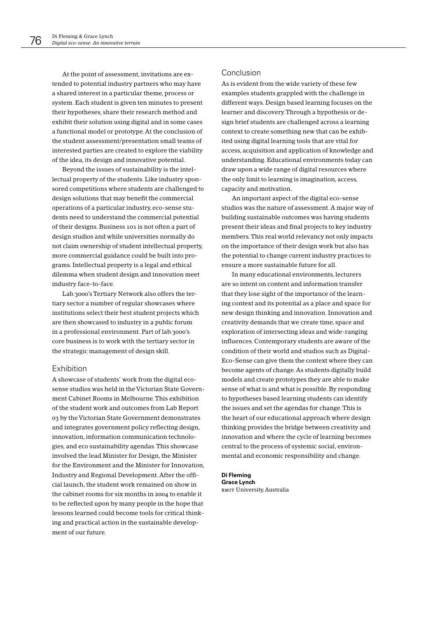At the point of assessment, invitations are extended to potential industry partners who may have a shared interest in a particular theme, process or system. Each student is given ten minutes to present their hypotheses, share their research method and exhibit their solution using digital and in some cases a functional model or prototype. At the conclusion of the student assessment/presentation small teams of interested parties are created to explore the viability of the idea, its design and innovative potential.

Beyond the issues of sustainability is the intellectual property of the students. Like industry sponsored competitions where students are challenged to design solutions that may benefit the commercial operations of a particular industry, eco-sense students need to understand the commercial potential of their designs. Business 101 is not often a part of design studios and while universities normally do not claim ownership of student intellectual property, more commercial guidance could be built into programs. Intellectual property is a legal and ethical dilemma when student design and innovation meet industry face-to-face.

Lab.3000's Tertiary Network also offers the tertiary sector a number of regular showcases where institutions select their best student projects which are then showcased to industry in a public forum in a professional environment. Part of lab.3000's core business is to work with the tertiary sector in the strategic management of design skill.

## Exhibition

A showcase of students' work from the digital ecosense studios was held in the Victorian State Government Cabinet Rooms in Melbourne. This exhibition of the student work and outcomes from Lab Report 03 by the Victorian State Government demonstrates and integrates government policy reflecting design, innovation, information communication technologies, and eco sustainability agendas. This showcase involved the lead Minister for Design, the Minister for the Environment and the Minister for Innovation, Industry and Regional Development. After the official launch, the student work remained on show in the cabinet rooms for six months in 2004 to enable it to be reflected upon by many people in the hope that lessons learned could become tools for critical thinking and practical action in the sustainable development of our future

# Conclusion

As is evident from the wide variety of these few examples students grappled with the challenge in different ways. Design based learning focuses on the learner and discovery. Through a hypothesis or design brief students are challenged across a learning context to create something new that can be exhibited using digital learning tools that are vital for access, acquisition and application of knowledge and understanding. Educational environments today can draw upon a wide range of digital resources where the only limit to learning is imagination, access, capacity and motivation.

An important aspect of the digital eco-sense studios was the nature of assessment. A major way of building sustainable outcomes was having students present their ideas and final projects to key industry members. This real world relevancy not only impacts on the importance of their design work but also has the potential to change current industry practices to ensure a more sustainable future for all.

In many educational environments, lecturers are so intent on content and information transfer that they lose sight of the importance of the learning context and its potential as a place and space for new design thinking and innovation. Innovation and creativity demands that we create time, space and exploration of intersecting ideas and wide-ranging influences. Contemporary students are aware of the condition of their world and studios such as Digital-Eco-Sense can give them the context where they can become agents of change. As students digitally build models and create prototypes they are able to make sense of what is and what is possible. By responding to hypotheses based learning students can identify the issues and set the agendas for change. This is the heart of our educational approach where design thinking provides the bridge between creativity and innovation and where the cycle of learning becomes central to the process of systemic social, environmental and economic responsibility and change.

**Di Fleming Grace Lynch** RMIT University, Australia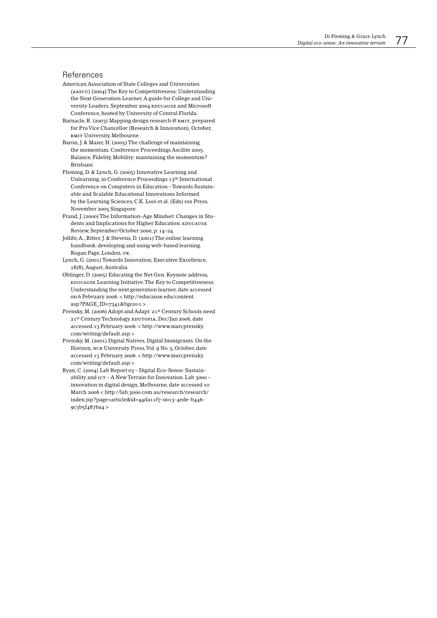## References

- American Association of State Colleges and Universities (AASCU) (2004) The Key to Competitiveness: Understanding the Next Generation Learner, A guide for College and University Leaders. September 2004 EDUCAUSE and Microsoft Conference, hosted by University of Central Florida.
- Barnacle, R. (2003) Mapping design research @ RMIT, prepared for Pro Vice Chancellor (Research & Innovation), October, RMIT University, Melbourne.
- Baron, J. & Maier, H. (2005) The challenge of maintaining the momentum, Conference Proceedings Ascilite 2005: Balance, Fidelity, Mobility: maintaining the momentum? Brisbane.
- Fleming, D. & Lynch, G. (2005) Innovative Learning and Unlearning, in Conference Proceedings 13<sup>th</sup> International Conference on Computers in Education - Towards Sustainable and Scalable Educational Innovations Informed by the Learning Sciences, C.K. Looi et al. (Eds) 10s Press, November 2005 Singapore.
- Frand, J. (2000) The Information-Age Mindset: Changes in Students and Implications for Higher Education. EDUCAUSE Review, September/October 2000, p. 14-24.
- Jollife, A., Ritter, J. & Stevens, D. (2001) The online learning handbook: developing and using web-based learning. Kogan Page, London, UK.
- Lynch, G. (2001) Towards Innovation, Executive Excellence, 18(8), August, Australia.
- Oblinger, D. (2005) Educating the Net Gen. Keynote address, EDUCAUSE Learning Initiative. The Key to Competitiveness: Understanding the next generation learner, date accessed on 6 February 2006. < http://educause.edu/content. asp?PAGE\_ID=7341&bgco=1>
- Prensky, M. (2006) Adopt and Adapt: 21st Century Schools need 21st Century Technology. EDUTOPIA, Dec/Jan 2006, date accessed 13 February 2006. < http://www.marcprensky. com/writing/default.asp>
- Prensky, M. (2001) Digital Natives, Digital Immigrants. On the Horizon, NCB University Press, Vol. 9 No. 5, October, date accessed 13 February 2006. < http://www.marcprensky. com/writing/default.asp>
- Ryan, C. (2004) Lab Report 03 Digital Eco-Sense: Sustainability and  $ic$ r – A New Terrain for Innovation. Lab 3000 – innovation in digital design, Melbourne, date accessed 10 March 2006 < http://lab.3000.com.au/research/research/ index.jsp?page=article&id=44da11f7-0013-4ede-b446-9c3b5f487ba4>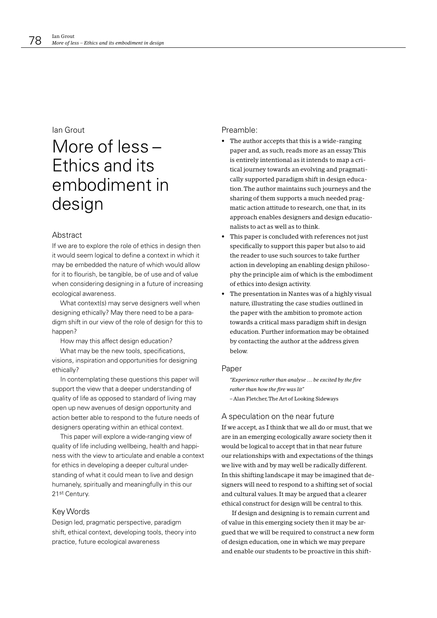# lan Grout

# More of less -Ethics and its embodiment in design

## Abstract

If we are to explore the role of ethics in design then it would seem logical to define a context in which it may be embedded the nature of which would allow for it to flourish, be tangible, be of use and of value when considering designing in a future of increasing ecological awareness.

What context(s) may serve designers well when designing ethically? May there need to be a paradigm shift in our view of the role of design for this to happen?

How may this affect design education?

What may be the new tools, specifications, visions, inspiration and opportunities for designing ethically?

In contemplating these questions this paper will support the view that a deeper understanding of quality of life as opposed to standard of living may open up new avenues of design opportunity and action better able to respond to the future needs of designers operating within an ethical context.

This paper will explore a wide-ranging view of quality of life including wellbeing, health and happiness with the view to articulate and enable a context for ethics in developing a deeper cultural understanding of what it could mean to live and design humanely, spiritually and meaningfully in this our 21st Century.

## Key Words

Design led, pragmatic perspective, paradigm shift, ethical context, developing tools, theory into practice, future ecological awareness

## Preamble:

- The author accepts that this is a wide-ranging paper and, as such, reads more as an essay. This is entirely intentional as it intends to map a critical journey towards an evolving and pragmatically supported paradigm shift in design education. The author maintains such journeys and the sharing of them supports a much needed pragmatic action attitude to research, one that, in its approach enables designers and design educationalists to act as well as to think.
- This paper is concluded with references not just specifically to support this paper but also to aid the reader to use such sources to take further action in developing an enabling design philosophy the principle aim of which is the embodiment of ethics into design activity.
- The presentation in Nantes was of a highly visual nature, illustrating the case studies outlined in the paper with the ambition to promote action towards a critical mass paradigm shift in design education. Further information may be obtained by contacting the author at the address given below.

#### Paper

"Experience rather than analyse ... be excited by the fire rather than how the fire was lit" - Alan Fletcher, The Art of Looking Sideways

#### A speculation on the near future

If we accept, as I think that we all do or must, that we are in an emerging ecologically aware society then it would be logical to accept that in that near future our relationships with and expectations of the things we live with and by may well be radically different. In this shifting landscape it may be imagined that designers will need to respond to a shifting set of social and cultural values. It may be argued that a clearer ethical construct for design will be central to this.

If design and designing is to remain current and of value in this emerging society then it may be argued that we will be required to construct a new form of design education, one in which we may prepare and enable our students to be proactive in this shift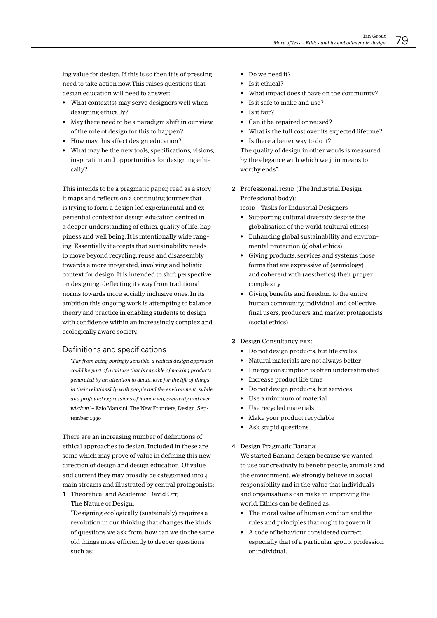ing value for design. If this is so then it is of pressing need to take action now. This raises questions that design education will need to answer:

- What context(s) may serve designers well when designing ethically?
- May there need to be a paradigm shift in our view of the role of design for this to happen?
- How may this affect design education?
- What may be the new tools, specifications, visions, inspiration and opportunities for designing ethically?

This intends to be a pragmatic paper, read as a story it maps and reflects on a continuing journey that is trying to form a design led experimental and experiential context for design education centred in a deeper understanding of ethics, quality of life, happiness and well being. It is intentionally wide ranging. Essentially it accepts that sustainability needs to move beyond recycling, reuse and disassembly towards a more integrated, involving and holistic context for design. It is intended to shift perspective on designing, deflecting it away from traditional norms towards more socially inclusive ones. In its ambition this ongoing work is attempting to balance theory and practice in enabling students to design with confidence within an increasingly complex and ecologically aware society.

# Definitions and specifications

"Far from being boringly sensible, a radical design approach could be part of a culture that is capable of making products generated by an attention to detail, love for the life of things in their relationship with people and the environment; subtle and profound expressions of human wit, creativity and even wisdom"-Ezio Manzini, The New Frontiers, Design, September 1990

There are an increasing number of definitions of ethical approaches to design. Included in these are some which may prove of value in defining this new direction of design and design education. Of value and current they may broadly be categorised into 4 main streams and illustrated by central protagonists:

1 Theoretical and Academic: David Orr, The Nature of Design:

"Designing ecologically (sustainably) requires a revolution in our thinking that changes the kinds of questions we ask from, how can we do the same old things more efficiently to deeper questions such as:

- Do we need it?
- Is it ethical?
- What impact does it have on the community?
- Is it safe to make and use?
- $\bullet$  Is it fair?
- Can it be repaired or reused?
- What is the full cost over its expected lifetime?
- Is there a better way to do it?

The quality of design in other words is measured by the elegance with which we join means to worthy ends".

2 Professional. ICSID (The Industrial Design Professional body):

ICSID - Tasks for Industrial Designers

- Supporting cultural diversity despite the globalisation of the world (cultural ethics)
- Enhancing global sustainability and environmental protection (global ethics)
- Giving products, services and systems those forms that are expressive of (semiology) and coherent with (aesthetics) their proper complexity
- Giving benefits and freedom to the entire human community, individual and collective, final users, producers and market protagonists (social ethics)
- 3 Design Consultancy. PRE:
	- Do not design products, but life cycles
	- Natural materials are not always better
	- Energy consumption is often underestimated
	- Increase product life time
	- Do not design products, but services
	- Use a minimum of material
	- Use recycled materials
	- Make your product recyclable
	- Ask stupid questions

#### 4 Design Pragmatic Banana:

We started Banana design because we wanted to use our creativity to benefit people, animals and the environment. We strongly believe in social responsibility and in the value that individuals and organisations can make in improving the world. Ethics can be defined as:

- The moral value of human conduct and the rules and principles that ought to govern it.
- A code of behaviour considered correct, especially that of a particular group, profession or individual.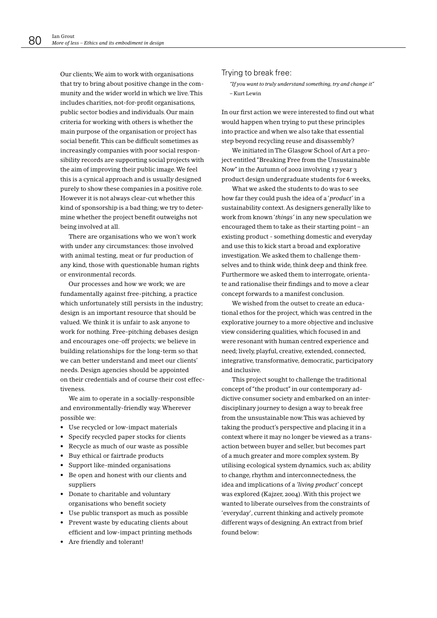Our clients; We aim to work with organisations that try to bring about positive change in the community and the wider world in which we live. This includes charities, not-for-profit organisations, public sector bodies and individuals. Our main criteria for working with others is whether the main purpose of the organisation or project has social benefit. This can be difficult sometimes as increasingly companies with poor social responsibility records are supporting social projects with the aim of improving their public image. We feel this is a cynical approach and is usually designed purely to show these companies in a positive role. However it is not always clear-cut whether this kind of sponsorship is a bad thing; we try to determine whether the project benefit outweighs not being involved at all.

There are organisations who we won't work with under any circumstances: those involved with animal testing, meat or fur production of any kind, those with questionable human rights or environmental records.

Our processes and how we work; we are fundamentally against free-pitching, a practice which unfortunately still persists in the industry; design is an important resource that should be valued. We think it is unfair to ask anyone to work for nothing. Free-pitching debases design and encourages one-off projects; we believe in building relationships for the long-term so that we can better understand and meet our clients' needs. Design agencies should be appointed on their credentials and of course their cost effectiveness.

We aim to operate in a socially-responsible and environmentally-friendly way. Wherever possible we:

- Use recycled or low-impact materials
- Specify recycled paper stocks for clients
- Recycle as much of our waste as possible
- Buy ethical or fairtrade products
- Support like-minded organisations
- Be open and honest with our clients and suppliers
- Donate to charitable and voluntary organisations who benefit society
- Use public transport as much as possible
- Prevent waste by educating clients about efficient and low-impact printing methods
- Are friendly and tolerant!

## Trying to break free:

"If you want to truly understand something, try and change it" - Kurt Lewin

In our first action we were interested to find out what would happen when trying to put these principles into practice and when we also take that essential step beyond recycling reuse and disassembly?

We initiated in The Glasgow School of Art a project entitled "Breaking Free from the Unsustainable Now" in the Autumn of 2002 involving 17 year 3 product design undergraduate students for 6 weeks,

What we asked the students to do was to see how far they could push the idea of a 'product' in a sustainability context. As designers generally like to work from known 'things' in any new speculation we encouraged them to take as their starting point – an existing product - something domestic and everyday and use this to kick start a broad and explorative investigation. We asked them to challenge themselves and to think wide, think deep and think free. Furthermore we asked them to interrogate, orientate and rationalise their findings and to move a clear concept forwards to a manifest conclusion.

We wished from the outset to create an educational ethos for the project, which was centred in the explorative journey to a more objective and inclusive view considering qualities, which focused in and were resonant with human centred experience and need; lively, playful, creative, extended, connected, integrative, transformative, democratic, participatory and inclusive.

This project sought to challenge the traditional concept of "the product" in our contemporary addictive consumer society and embarked on an interdisciplinary journey to design a way to break free from the unsustainable now. This was achieved by taking the product's perspective and placing it in a context where it may no longer be viewed as a transaction between buyer and seller, but becomes part of a much greater and more complex system. By utilising ecological system dynamics, such as; ability to change, rhythm and interconnectedness, the idea and implications of a 'living product' concept was explored (Kajzer, 2004). With this project we wanted to liberate ourselves from the constraints of 'everyday', current thinking and actively promote different ways of designing. An extract from brief found below: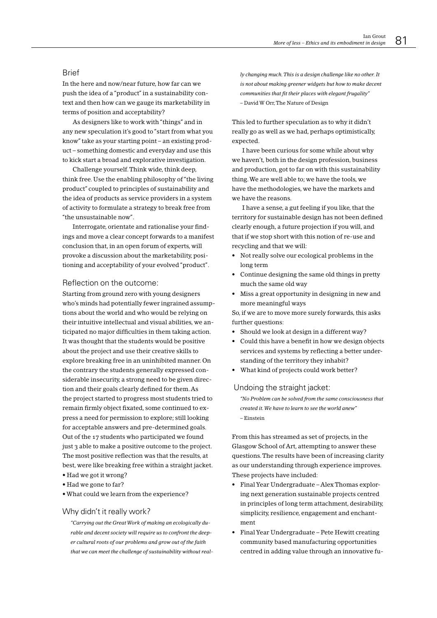# **Rrief**

In the here and now/near future, how far can we push the idea of a "product" in a sustainability context and then how can we gauge its marketability in terms of position and acceptability?

As designers like to work with "things" and in any new speculation it's good to "start from what you know" take as your starting point - an existing product – something domestic and everyday and use this to kick start a broad and explorative investigation.

Challenge yourself. Think wide, think deep, think free. Use the enabling philosophy of "the living product" coupled to principles of sustainability and the idea of products as service providers in a system of activity to formulate a strategy to break free from "the unsustainable now".

Interrogate, orientate and rationalise your findings and move a clear concept forwards to a manifest conclusion that, in an open forum of experts, will provoke a discussion about the marketability, positioning and acceptability of your evolved "product".

## Reflection on the outcome:

Starting from ground zero with young designers who's minds had potentially fewer ingrained assumptions about the world and who would be relying on their intuitive intellectual and visual abilities, we anticipated no major difficulties in them taking action. It was thought that the students would be positive about the project and use their creative skills to explore breaking free in an uninhibited manner. On the contrary the students generally expressed considerable insecurity, a strong need to be given direction and their goals clearly defined for them. As the project started to progress most students tried to remain firmly object fixated, some continued to express a need for permission to explore; still looking for acceptable answers and pre-determined goals. Out of the 17 students who participated we found just 3 able to make a positive outcome to the project. The most positive reflection was that the results, at best, were like breaking free within a straight jacket.

- Had we got it wrong?
- Had we gone to far?
- . What could we learn from the experience?

#### Why didn't it really work?

"Carrying out the Great Work of making an ecologically durable and decent society will require us to confront the deeper cultural roots of our problems and grow out of the faith that we can meet the challenge of sustainability without really changing much. This is a design challenge like no other. It is not about making greener widgets but how to make decent communities that fit their places with elegant frugality" - David W Orr, The Nature of Design

This led to further speculation as to why it didn't really go as well as we had, perhaps optimistically, expected.

I have been curious for some while about why we haven't, both in the design profession, business and production, got to far on with this sustainability thing. We are well able to; we have the tools, we have the methodologies, we have the markets and we have the reasons.

I have a sense, a gut feeling if you like, that the territory for sustainable design has not been defined clearly enough, a future projection if you will, and that if we stop short with this notion of re-use and recycling and that we will:

- Not really solve our ecological problems in the long term
- Continue designing the same old things in pretty much the same old way
- Miss a great opportunity in designing in new and more meaningful ways

So, if we are to move more surely forwards, this asks further questions:

- Should we look at design in a different way?
- Could this have a benefit in how we design objects services and systems by reflecting a better understanding of the territory they inhabit?
- What kind of projects could work better?

#### Undoing the straight jacket:

"No Problem can be solved from the same consciousness that created it. We have to learn to see the world anew"  $-Einstein$ 

From this has streamed as set of projects, in the Glasgow School of Art, attempting to answer these questions. The results have been of increasing clarity as our understanding through experience improves. These projects have included:

- Final Year Undergraduate Alex Thomas exploring next generation sustainable projects centred in principles of long term attachment, desirability, simplicity, resilience, engagement and enchantment
- Final Year Undergraduate Pete Hewitt creating community based manufacturing opportunities centred in adding value through an innovative fu-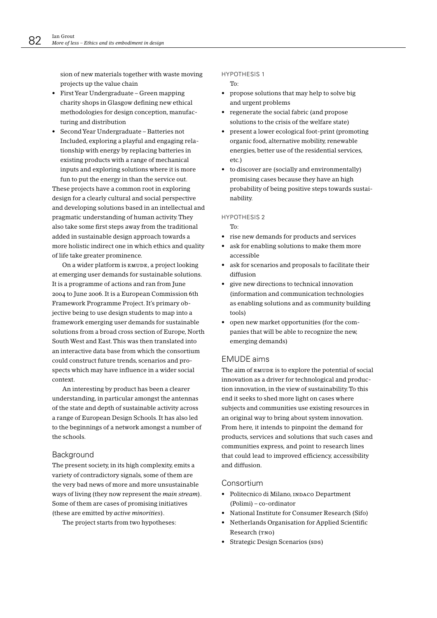sion of new materials together with waste moving projects up the value chain

- $\bullet$  First Year Undergraduate Green mapping charity shops in Glasgow defining new ethical methodologies for design conception, manufacturing and distribution
- Second Year Undergraduate Batteries not Included, exploring a playful and engaging relationship with energy by replacing batteries in existing products with a range of mechanical inputs and exploring solutions where it is more fun to put the energy in than the service out.

These projects have a common root in exploring design for a clearly cultural and social perspective and developing solutions based in an intellectual and pragmatic understanding of human activity. They also take some first steps away from the traditional added in sustainable design approach towards a more holistic indirect one in which ethics and quality of life take greater prominence.

On a wider platform is EMUDE, a project looking at emerging user demands for sustainable solutions. It is a programme of actions and ran from June 2004 to June 2006. It is a European Commission 6th Framework Programme Project. It's primary objective being to use design students to map into a framework emerging user demands for sustainable solutions from a broad cross section of Europe, North South West and East. This was then translated into an interactive data base from which the consortium could construct future trends, scenarios and prospects which may have influence in a wider social context.

An interesting by product has been a clearer understanding, in particular amongst the antennas of the state and depth of sustainable activity across a range of European Design Schools. It has also led to the beginnings of a network amongst a number of the schools.

#### Background

The present society, in its high complexity, emits a variety of contradictory signals, some of them are the very bad news of more and more unsustainable ways of living (they now represent the main stream). Some of them are cases of promising initiatives (these are emitted by *active minorities*).

The project starts from two hypotheses:

#### **HYPOTHESIS1**

To:

- propose solutions that may help to solve big and urgent problems
- regenerate the social fabric (and propose solutions to the crisis of the welfare state)
- present a lower ecological foot-print (promoting organic food, alternative mobility, renewable energies, better use of the residential services. etc.)
- to discover are (socially and environmentally) promising cases because they have an high probability of being positive steps towards sustainability.

#### HYPOTHESIS 2

- $To'$
- rise new demands for products and services
- ask for enabling solutions to make them more accessible
- ask for scenarios and proposals to facilitate their diffusion
- give new directions to technical innovation (information and communication technologies as enabling solutions and as community building tools)
- open new market opportunities (for the companies that will be able to recognize the new, emerging demands)

## **EMUDE** aims

The aim of EMUDE is to explore the potential of social innovation as a driver for technological and production innovation, in the view of sustainability. To this end it seeks to shed more light on cases where subjects and communities use existing resources in an original way to bring about system innovation. From here, it intends to pinpoint the demand for products, services and solutions that such cases and communities express, and point to research lines that could lead to improved efficiency, accessibility and diffusion.

#### Consortium

- · Politecnico di Milano, INDACO Department  $(Polimi)$  – co-ordinator
- National Institute for Consumer Research (Sifo)
- Netherlands Organisation for Applied Scientific Research (TNO)
- Strategic Design Scenarios (sps)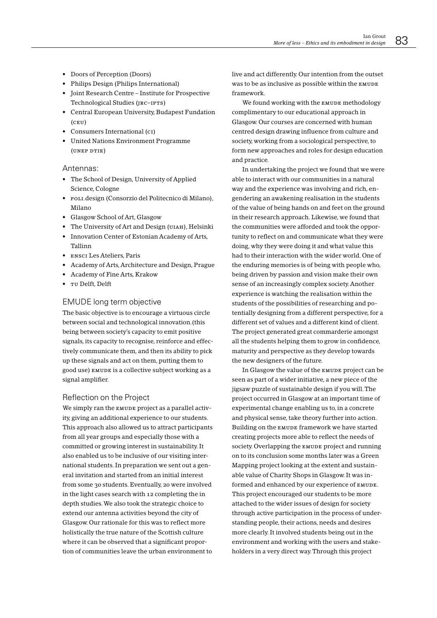- Doors of Perception (Doors)
- Philips Design (Philips International)
- Joint Research Centre Institute for Prospective Technological Studies (JRC-IPTS)
- Central European University, Budapest Fundation  $(CETI)$
- Consumers International (CI)
- United Nations Environment Programme (UNEP DTIE)

## Antennas:

- The School of Design, University of Applied Science, Cologne
- · POLI.design (Consorzio del Politecnico di Milano), Milano
- Glasgow School of Art, Glasgow
- The University of Art and Design (UIAH), Helsinki
- Innovation Center of Estonian Academy of Arts, Tallinn
- ENSCI Les Ateliers, Paris
- Academy of Arts, Architecture and Design, Prague
- Academy of Fine Arts, Krakow
- TU Delft, Delft

# EMUDE long term objective

The basic objective is to encourage a virtuous circle between social and technological innovation.(this being between society's capacity to emit positive signals, its capacity to recognise, reinforce and effectively communicate them, and then its ability to pick up these signals and act on them, putting them to good use) EMUDE is a collective subject working as a signal amplifier.

## Reflection on the Project

We simply ran the EMUDE project as a parallel activity, giving an additional experience to our students. This approach also allowed us to attract participants from all year groups and especially those with a committed or growing interest in sustainability. It also enabled us to be inclusive of our visiting international students. In preparation we sent out a general invitation and started from an initial interest from some 30 students. Eventually, 20 were involved in the light cases search with 12 completing the in depth studies. We also took the strategic choice to extend our antenna activities bevond the city of Glasgow. Our rationale for this was to reflect more holistically the true nature of the Scottish culture where it can be observed that a significant proportion of communities leave the urban environment to live and act differently. Our intention from the outset was to be as inclusive as possible within the EMUDE framework.

We found working with the EMUDE methodology complimentary to our educational approach in Glasgow. Our courses are concerned with human centred design drawing influence from culture and society, working from a sociological perspective, to form new approaches and roles for design education and practice.

In undertaking the project we found that we were able to interact with our communities in a natural way and the experience was involving and rich, engendering an awakening realisation in the students of the value of being hands on and feet on the ground in their research approach. Likewise, we found that the communities were afforded and took the opportunity to reflect on and communicate what they were doing, why they were doing it and what value this had to their interaction with the wider world. One of the enduring memories is of being with people who, being driven by passion and vision make their own sense of an increasingly complex society. Another experience is watching the realisation within the students of the possibilities of researching and potentially designing from a different perspective, for a different set of values and a different kind of client. The project generated great commarderie amongst all the students helping them to grow in confidence, maturity and perspective as they develop towards the new designers of the future.

In Glasgow the value of the EMUDE project can be seen as part of a wider initiative, a new piece of the jigsaw puzzle of sustainable design if you will. The project occurred in Glasgow at an important time of experimental change enabling us to, in a concrete and physical sense, take theory further into action. Building on the EMUDE framework we have started creating projects more able to reflect the needs of society. Overlapping the EMUDE project and running on to its conclusion some months later was a Green Mapping project looking at the extent and sustainable value of Charity Shops in Glasgow. It was informed and enhanced by our experience of EMUDE. This project encouraged our students to be more attached to the wider issues of design for society through active participation in the process of understanding people, their actions, needs and desires more clearly. It involved students being out in the environment and working with the users and stakeholders in a very direct way. Through this project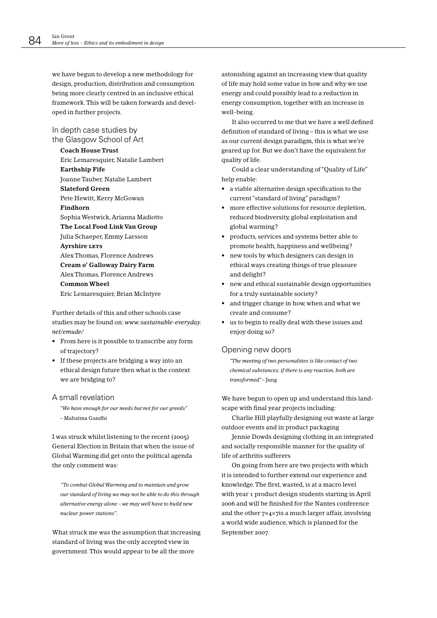we have begun to develop a new methodology for design, production, distribution and consumption being more clearly centred in an inclusive ethical framework. This will be taken forwards and developed in further projects.

In depth case studies by the Glasgow School of Art

## **Coach House Trust**

Eric Lemaresquier, Natalie Lambert **Earthship Fife Joanne Tauber, Natalie Lambert Slateford Green** Pete Hewitt, Kerry McGowan Findhorn Sophia Westwick, Arianna Madiotto The Local Food Link Van Group Julia Schaeper, Emmy Larsson **Avrshire LETS** Alex Thomas, Florence Andrews Cream o' Galloway Dairy Farm Alex Thomas, Florence Andrews **Common Wheel** Eric Lemaresquier, Brian McIntyre

Further details of this and other schools case studies may be found on: www.sustainable-everyday. net/emude/

- From here is it possible to transcribe any form of trajectory?
- If these projects are bridging a way into an ethical design future then what is the context we are bridging to?

#### A small revelation

"We have enough for our needs but not for our greeds" - Mahatma Gandhi

I was struck whilst listening to the recent (2005) General Election in Britain that when the issue of Global Warming did get onto the political agenda the only comment was:

"To combat Global Warming and to maintain and grow our standard of living we may not be able to do this through alternative energy alone - we may well have to build new nuclear power stations".

What struck me was the assumption that increasing standard of living was the only accepted view in government. This would appear to be all the more

astonishing against an increasing view that quality of life may hold some value in how and why we use energy and could possibly lead to a reduction in energy consumption, together with an increase in well-being.

It also occurred to me that we have a well defined definition of standard of living - this is what we use as our current design paradigm, this is what we're geared up for. But we don't have the equivalent for quality of life.

Could a clear understanding of "Quality of Life" help enable:

- a viable alternative design specification to the current "standard of living" paradigm?
- more effective solutions for resource depletion, reduced biodiversity, global exploitation and global warming?
- products, services and systems better able to promote health, happiness and wellbeing?
- new tools by which designers can design in ethical ways creating things of true pleasure and delight?
- new and ethical sustainable design opportunities for a truly sustainable society?
- and trigger change in how, when and what we create and consume?
- us to begin to really deal with these issues and enjoy doing so?

#### Opening new doors

"The meeting of two personalities is like contact of two chemical substances; if there is any reaction, both are transformed"-Jung

We have begun to open up and understand this landscape with final year projects including:

Charlie Hill playfully designing out waste at large outdoor events and in product packaging

Jennie Dowds designing clothing in an integrated and socially responsible manner for the quality of life of arthritis sufferers

On going from here are two projects with which it is intended to further extend our experience and knowledge. The first, wasted, is at a macro level with year 1 product design students starting in April 2006 and will be finished for the Nantes conference and the other  $7 \times 4 \times 7$  is a much larger affair, involving a world wide audience, which is planned for the September 2007.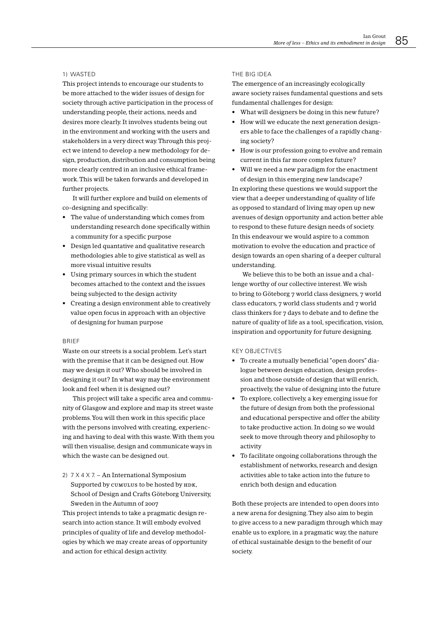#### 1) WASTED

This project intends to encourage our students to be more attached to the wider issues of design for society through active participation in the process of understanding people, their actions, needs and desires more clearly. It involves students being out in the environment and working with the users and stakeholders in a very direct way. Through this project we intend to develop a new methodology for design, production, distribution and consumption being more clearly centred in an inclusive ethical framework. This will be taken forwards and developed in further projects.

It will further explore and build on elements of co-designing and specifically:

- The value of understanding which comes from understanding research done specifically within a community for a specific purpose
- Design led quantative and qualitative research methodologies able to give statistical as well as more visual intuitive results
- Using primary sources in which the student becomes attached to the context and the issues being subjected to the design activity
- Creating a design environment able to creatively value open focus in approach with an objective of designing for human purpose

#### **BRIEF**

Waste on our streets is a social problem. Let's start with the premise that it can be designed out. How may we design it out? Who should be involved in designing it out? In what way may the environment look and feel when it is designed out?

This project will take a specific area and community of Glasgow and explore and map its street waste problems. You will then work in this specific place with the persons involved with creating, experiencing and having to deal with this waste. With them you will then visualise, design and communicate ways in which the waste can be designed out.

2) 7 X 4 X 7. - An International Symposium Supported by CUMULUS to be hosted by HDK, School of Design and Crafts Göteborg University, Sweden in the Autumn of 2007

This project intends to take a pragmatic design research into action stance. It will embody evolved principles of quality of life and develop methodologies by which we may create areas of opportunity and action for ethical design activity.

#### THE BIG IDEA

The emergence of an increasingly ecologically aware society raises fundamental questions and sets fundamental challenges for design:

- What will designers be doing in this new future?
- How will we educate the next generation designers able to face the challenges of a rapidly changing society?
- How is our profession going to evolve and remain current in this far more complex future?
- Will we need a new paradigm for the enactment of design in this emerging new landscape?

In exploring these questions we would support the view that a deeper understanding of quality of life as opposed to standard of living may open up new avenues of design opportunity and action better able to respond to these future design needs of society. In this endeavour we would aspire to a common motivation to evolve the education and practice of design towards an open sharing of a deeper cultural understanding.

We believe this to be both an issue and a challenge worthy of our collective interest. We wish to bring to Göteborg 7 world class designers, 7 world class educators, 7 world class students and 7 world class thinkers for 7 days to debate and to define the nature of quality of life as a tool, specification, vision, inspiration and opportunity for future designing.

#### **KFY OBJECTIVES**

- To create a mutually beneficial "open doors" dialogue between design education, design profession and those outside of design that will enrich, proactively, the value of designing into the future
- To explore, collectively, a key emerging issue for the future of design from both the professional and educational perspective and offer the ability to take productive action. In doing so we would seek to move through theory and philosophy to activity
- To facilitate ongoing collaborations through the establishment of networks, research and design activities able to take action into the future to enrich both design and education

Both these projects are intended to open doors into a new arena for designing. They also aim to begin to give access to a new paradigm through which may enable us to explore, in a pragmatic way, the nature of ethical sustainable design to the benefit of our society.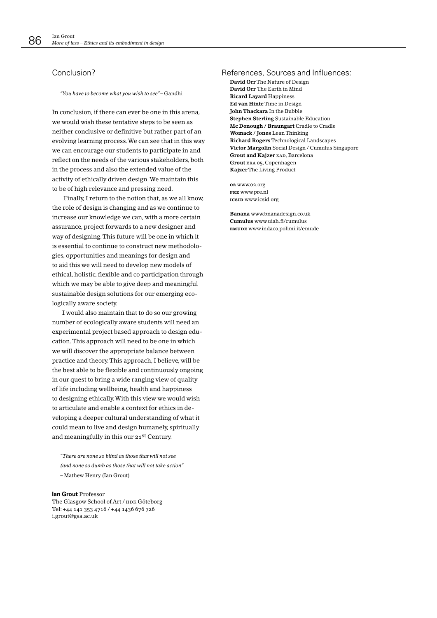# Conclusion?

"You have to become what you wish to see" – Gandhi

In conclusion, if there can ever be one in this arena, we would wish these tentative steps to be seen as neither conclusive or definitive but rather part of an evolving learning process. We can see that in this way we can encourage our students to participate in and reflect on the needs of the various stakeholders, both in the process and also the extended value of the activity of ethically driven design. We maintain this to be of high relevance and pressing need.

Finally, I return to the notion that, as we all know, the role of design is changing and as we continue to increase our knowledge we can, with a more certain assurance, project forwards to a new designer and way of designing. This future will be one in which it is essential to continue to construct new methodologies, opportunities and meanings for design and to aid this we will need to develop new models of ethical, holistic, flexible and co participation through which we may be able to give deep and meaningful sustainable design solutions for our emerging ecologically aware society.

I would also maintain that to do so our growing number of ecologically aware students will need an experimental project based approach to design education. This approach will need to be one in which we will discover the appropriate balance between practice and theory. This approach, I believe, will be the best able to be flexible and continuously ongoing in our quest to bring a wide ranging view of quality of life including wellbeing, health and happiness to designing ethically. With this view we would wish to articulate and enable a context for ethics in developing a deeper cultural understanding of what it could mean to live and design humanely, spiritually and meaningfully in this our 21st Century.

"There are none so hlind as those that will not see (and none so dumb as those that will not take action" - Mathew Henry (Ian Grout)

lan Grout Professor The Glasgow School of Art / HDK Göteborg Tel: +44 141 353 4716 / +44 1436 676 726 i.grout@gsa.ac.uk

#### References, Sources and Influences:

David Orr The Nature of Design David Orr The Earth in Mind **Ricard Layard Happiness** Ed van Hinte Time in Design **John Thackara** In the Bubble **Stephen Sterling Sustainable Education** Mc Donough / Braungart Cradle to Cradle Womack / Jones Lean Thinking Richard Rogers Technological Landscapes Victor Margolin Social Design / Cumulus Singapore **Grout and Kaizer EAD, Barcelona** Grout ERA 05, Copenhagen Kajzer The Living Product

02 www.02.org PRE WWW.pre.nl ICSID WWW.icsid.org

Banana www.bnanadesign.co.uk Cumulus www.uiah.fi/cumulus EMUDE WWW.indaco.polimi.it/emude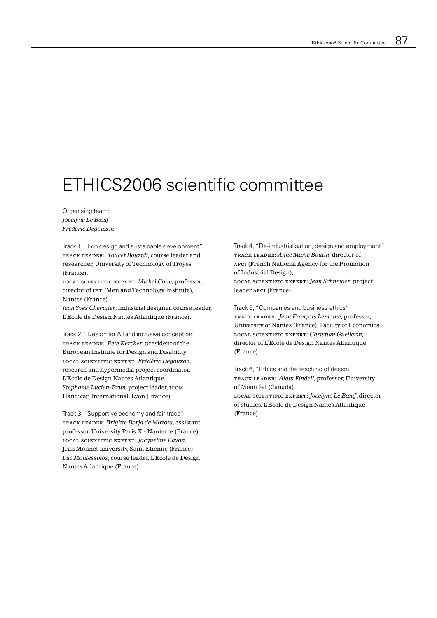# ETHICS2006 scientific committee

Organising team: Jocelyne Le Bœuf Frédéric Degouzon

Track 1, "Eco design and sustainable development" TRACK LEADER: Youcef Bouzidi, course leader and researcher, University of Technology of Troyes (France).

LOCAL SCIENTIFIC EXPERT: Michel Cotte, professor, director of IHT (Men and Technology Institute), Nantes (France).

Jean Yves Chevalier, industrial designer, course leader, L'Ecole de Design Nantes Atlantique (France).

Track 2, "Design for All and inclusive conception" TRACK LEADER: Pete Kercher, president of the European Institute for Design and Disability LOCAL SCIENTIFIC EXPERT: Frédéric Degouzon, research and hypermedia project coordinator, L'Ecole de Design Nantes Atlantique. Stéphanie Lucien-Brun, project leader, 1сом Handicap International, Lyon (France).

Track 3, "Supportive economy and fair trade" TRACK LEADER: Brigitte Borja de Mozota, assistant professor, University Paris X - Nanterre (France) LOCAL SCIENTIFIC EXPERT: Jacqueline Bayon, Jean Monnet university, Saint Etienne (France). Luc Montessinos, course leader, L'Ecole de Design Nantes Atlantique (France)

Track 4, "De-industrialisation, design and employment" TRACK LEADER: Anne Marie Boutin, director of APCI (French National Agency for the Promotion of Industrial Design), LOCAL SCIENTIFIC EXPERT: Jean Schneider, project leader APCI (France).

Track 5, "Companies and business ethics" TRACK LEADER: Jean François Lemoine, professor, University of Nantes (France), Faculty of Economics LOCAL SCIENTIFIC EXPERT: Christian Guellerin, director of L'Ecole de Design Nantes Atlantique (France)

Track 6, "Ethics and the teaching of design" TRACK LEADER: Alain Findeli, professor, University of Montréal (Canada). LOCAL SCIENTIFIC EXPERT: Jocelyne Le Bœuf, director of studies, L'Ecole de Design Nantes Atlantique (France)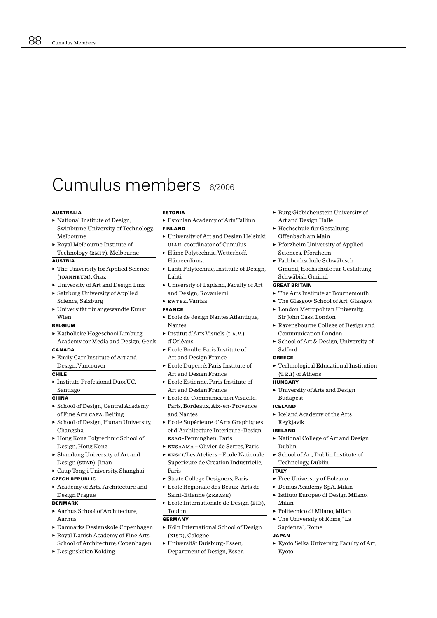# Cumulus members 6/2006

#### **AUSTRALIA**

- National Institute of Design, Swinburne University of Technology, Melbourne
- $\triangleright$  Royal Melbourne Institute of Technology (RMIT), Melbourne

#### **AUSTRIA**

- $\blacktriangleright$  The University for Applied Science (JOANNEUM), Graz
- $\triangleright$  University of Art and Design Linz
- Salzburg University of Applied
- Science, Salzburg
- $\blacktriangleright$  Universität für angewandte Kunst Wien

#### **BELGIUM**

Katholieke Hogeschool Limburg, Academy for Media and Design, Genk

#### CANADA

Emily Carr Institute of Art and Design, Vancouver

#### $CHIIF$

 $\triangleright$  Instituto Profesional DuocUC. Santiago

#### CHINA

- School of Design, Central Academy of Fine Arts CAFA, Beijing
- School of Design, Hunan University, Changsha
- ► Hong Kong Polytechnic School of Design, Hong Kong
- $\triangleright$  Shandong University of Art and Design (SUAD), Jinan
- Caup Tongji University, Shanghai

# **CZECH REPUBLIC**

Academy of Arts, Architecture and Design Prague

## **DENMARK**

- Aarhus School of Architecture. Aarhus
- Danmarks Designskole Copenhagen
- Royal Danish Academy of Fine Arts,
- School of Architecture, Copenhagen
- Designskolen Kolding

#### **ESTONIA**

Estonian Academy of Arts Tallinn

## **FINLAND**

- University of Art and Design Helsinki UIAH, coordinator of Cumulus
- Häme Polytechnic, Wetterhoff, Hämeenlinna
- Lahti Polytechnic, Institute of Design, Lahti
- University of Lapland, Faculty of Art and Design, Rovaniemi

#### $\blacktriangleright$  EWTEK, Vantaa

#### **FRANCE**

- Ecole de design Nantes Atlantique, Nantes
- Institut d'Arts Visuels (I.A.V.) d'Orléans
- Ecole Boulle, Paris Institute of Art and Design France
- Ecole Duperré, Paris Institute of Art and Design France
- Ecole Estienne. Paris Institute of Art and Design France
- Ecole de Communication Visuelle. Paris, Bordeaux, Aix-en-Provence and Nantes
- Ecole Supérieure d'Arts Graphiques et d'Architecture Interieure-Design ESAG-Penninghen, Paris
- ENSAAMA Olivier de Serres, Paris
- ENSCI/Les Ateliers Ecole Nationale Superieure de Creation Industrielle. Paris
- Strate College Designers, Paris
- Ecole Régionale des Beaux-Arts de Saint-Etienne (ERBASE)
- Ecole Internationale de Design (EID), Toulon

#### **GERMANY**

- Köln International School of Design (KISD), Cologne
- ► Universität Duisburg-Essen, Department of Design, Essen
- $\triangleright$  Burg Giebichenstein University of Art and Design Halle
- ► Hochschule für Gestaltung Offenbach am Main
- ▶ Pforzheim University of Applied Sciences, Pforzheim
- ► Fachhochschule Schwäbisch
- Gmünd, Hochschule für Gestaltung, Schwäbish Gmünd

# **GREAT BRITAIN**

- $\triangleright$  The Arts Institute at Bournemouth
- The Glasgow School of Art, Glasgow
- London Metropolitan University, Sir John Cass, London
- Ravensbourne College of Design and Communication London
- School of Art & Design, University of Salford

#### **GREECE**

▶ Technological Educational Institution  $(T.E.I)$  of Athens

#### **HUNGARY**

University of Arts and Design **Budapest** 

#### **ICELAND**

 $\triangleright$  Iceland Academy of the Arts Reykjavik

#### **IRELAND**

- $\triangleright$  National College of Art and Design Dublin
- School of Art, Dublin Institute of Technology, Dublin

#### **ITALY**

- $\blacktriangleright$  Free University of Bolzano
- Domus Academy SpA, Milan
- ► Istituto Europeo di Design Milano, Milan
- ► Politecnico di Milano. Milan
- The University of Rome, "La

#### Sapienza", Rome **JAPAN**

Kyoto Seika University, Faculty of Art, Kvoto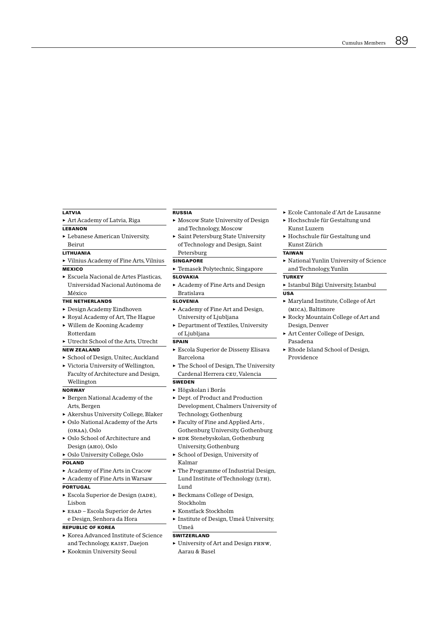## LATVIA

Art Academy of Latvia, Riga

- LEBANON
- Lebanese American University, Beirut

## **LITHUANIA**

▶ Vilnius Academy of Fine Arts, Vilnius

## **MEXICO**

Escuela Nacional de Artes Plasticas, Universidad Nacional Autónoma de México

#### THE NETHERLANDS

- $\blacktriangleright$  Design Academy Eindhoven
- Royal Academy of Art, The Hague
- ▶ Willem de Kooning Academy Rotterdam
- Utrecht School of the Arts, Utrecht

# **NEW ZEALAND**

- School of Design, Unitec, Auckland ▶ Victoria University of Wellington,
- Faculty of Architecture and Design, Wellington

#### **NORWAY**

- ▶ Bergen National Academy of the Arts, Bergen
- Akershus University College, Blaker
- ▶ Oslo National Academy of the Arts (ONAA), Oslo
- ▶ Oslo School of Architecture and Design (Ано), Oslo

#### • Oslo University College, Oslo

#### **POLAND**

Academy of Fine Arts in Cracow

## Academy of Fine Arts in Warsaw

- **PORTUGAL**
- Escola Superior de Design (IADE), Lisbon
- $\triangleright$  ESAD Escola Superior de Artes e Design, Senhora da Hora

## **REPUBLIC OF KOREA**

- ► Korea Advanced Institute of Science and Technology, KAIST, Daejon
- Kookmin University Seoul

#### **RUSSIA**

- Moscow State University of Design and Technology, Moscow
- Saint Petersburg State University of Technology and Design, Saint Petersburg

#### **SINGAPORE**

- Femasek Polytechnic, Singapore **SLOVAKIA**
- $\blacktriangleright$  Academy of Fine Arts and Design **Bratislava**

# **SLOVENIA**

- Academy of Fine Art and Design, University of Ljubljana
- Department of Textiles, University of Ljubljana

#### **SPAIN**

- Escola Superior de Disseny Elisava Barcelona
- The School of Design, The University Cardenal Herrera CEU, Valencia

#### **SWEDEN**

- $\blacktriangleright$  Högskolan i Borås
- Dept. of Product and Production Development, Chalmers University of Technology, Gothenburg
- $\triangleright$  Faculty of Fine and Applied Arts, Gothenburg University, Gothenburg
- E HDK Stenebyskolan, Gothenburg University, Gothenburg
- School of Design, University of Kalmar
- The Programme of Industrial Design, Lund Institute of Technology (LTH), Lund
- $\triangleright$  Beckmans College of Design, Stockholm
- ► Konstfack Stockholm
- Institute of Design, Umeå University, Umeå

#### **SWITZERLAND**

University of Art and Design FHNW, Aarau & Basel

- Ecole Cantonale d'Art de Lausanne
- Hochschule für Gestaltung und Kunst Luzern
- $\blacktriangleright$  Hochschule für Gestaltung und Kunst Zürich

#### **TAIWAN**

National Yunlin University of Science and Technology, Yunlin

#### **TURKEY**

- ▶ Istanbul Bilgi University, Istanbul  $\overline{USA}$
- Maryland Institute, College of Art (MICA). Baltimore
- Rocky Mountain College of Art and Design, Denver
- Art Center College of Design, Pasadena
- Rhode Island School of Design, Providence